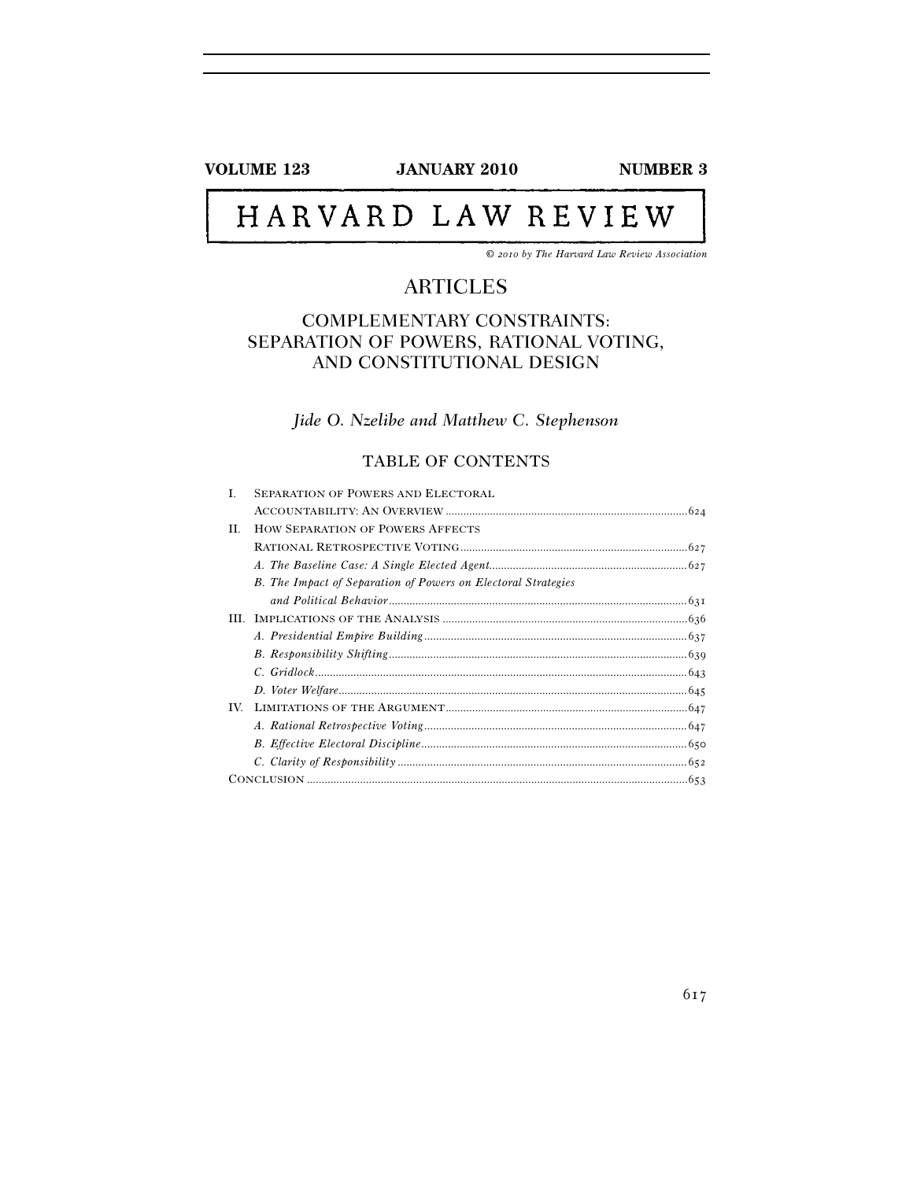**VOLUME 123** JANUARY 2010 NUMBER 3

# HARVARD LAW REVIEW

*© 2010 by The Harvard Law Review Association* 

# ARTICLES

# COMPLEMENTARY CONSTRAINTS: SEPARATION OF POWERS, RATIONAL VOTING, AND CONSTITUTIONAL DESIGN

# *Jide O. Nzelibe and Matthew C. Stephenson*

# TABLE OF CONTENTS

| L   | <b>SEPARATION OF POWERS AND ELECTORAL</b>                            |  |
|-----|----------------------------------------------------------------------|--|
|     |                                                                      |  |
| H.  | <b>HOW SEPARATION OF POWERS AFFECTS</b>                              |  |
|     |                                                                      |  |
|     |                                                                      |  |
|     | <b>B.</b> The Impact of Separation of Powers on Electoral Strategies |  |
|     |                                                                      |  |
|     |                                                                      |  |
|     |                                                                      |  |
|     |                                                                      |  |
|     |                                                                      |  |
|     |                                                                      |  |
| TV. |                                                                      |  |
|     |                                                                      |  |
|     |                                                                      |  |
|     |                                                                      |  |
|     |                                                                      |  |
|     |                                                                      |  |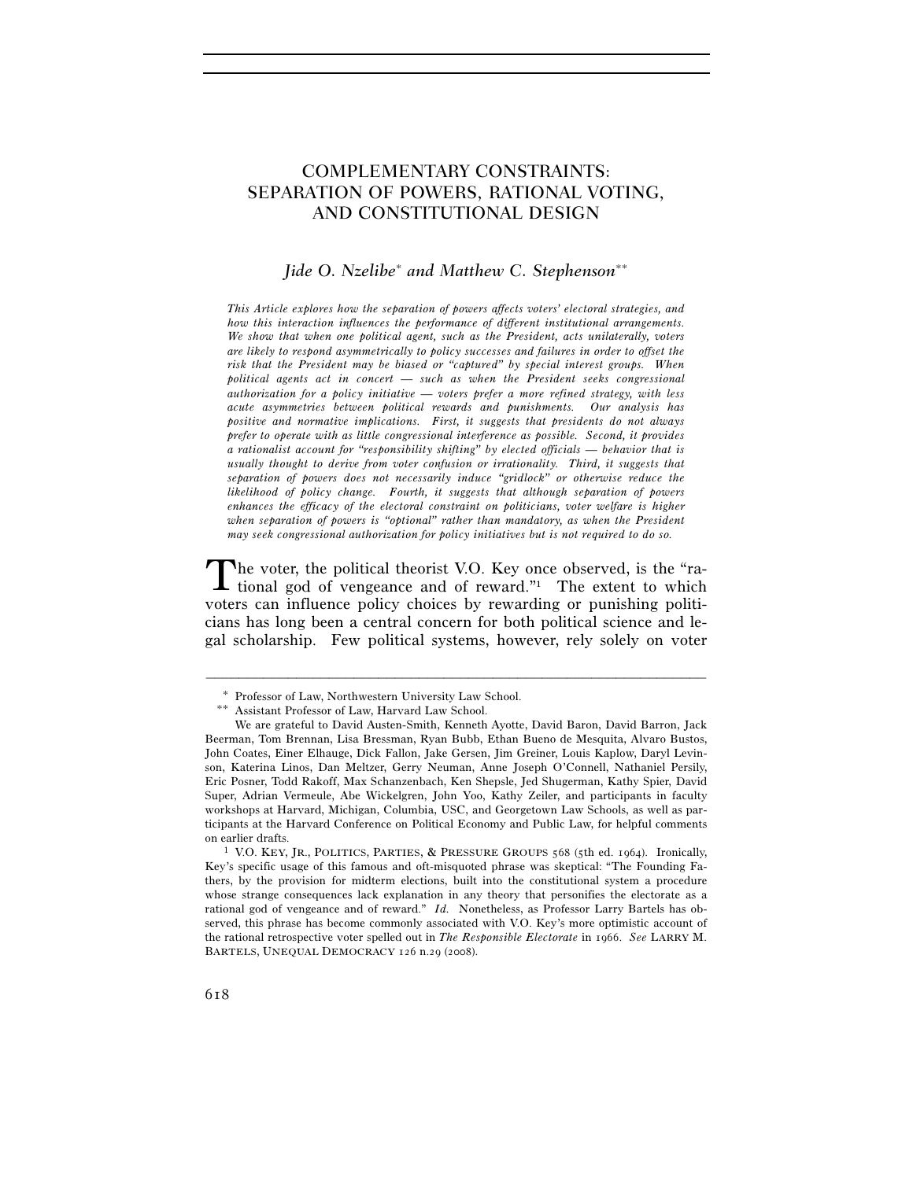# COMPLEMENTARY CONSTRAINTS: SEPARATION OF POWERS, RATIONAL VOTING, AND CONSTITUTIONAL DESIGN

# *Jide O. Nzelibe*<sup>∗</sup>  *and Matthew C. Stephenson*∗∗

*This Article explores how the separation of powers affects voters' electoral strategies, and how this interaction influences the performance of different institutional arrangements. We show that when one political agent, such as the President, acts unilaterally, voters are likely to respond asymmetrically to policy successes and failures in order to offset the risk that the President may be biased or "captured" by special interest groups. When political agents act in concert — such as when the President seeks congressional authorization for a policy initiative — voters prefer a more refined strategy, with less acute asymmetries between political rewards and punishments. Our analysis has positive and normative implications. First, it suggests that presidents do not always prefer to operate with as little congressional interference as possible. Second, it provides a rationalist account for "responsibility shifting" by elected officials — behavior that is usually thought to derive from voter confusion or irrationality. Third, it suggests that separation of powers does not necessarily induce "gridlock" or otherwise reduce the likelihood of policy change. Fourth, it suggests that although separation of powers enhances the efficacy of the electoral constraint on politicians, voter welfare is higher*  when separation of powers is "optional" rather than mandatory, as when the President *may seek congressional authorization for policy initiatives but is not required to do so.* 

he voter, the political theorist V.O. Key once observed, is the "ra-The voter, the political theorist V.O. Key once observed, is the "rational god of vengeance and of reward." The extent to which voters can influence policy choices by rewarding or punishing politicians has long been a central concern for both political science and legal scholarship. Few political systems, however, rely solely on voter

<sup>∗</sup> Professor of Law, Northwestern University Law School. ∗∗ Assistant Professor of Law, Harvard Law School.

We are grateful to David Austen-Smith, Kenneth Ayotte, David Baron, David Barron, Jack Beerman, Tom Brennan, Lisa Bressman, Ryan Bubb, Ethan Bueno de Mesquita, Alvaro Bustos, John Coates, Einer Elhauge, Dick Fallon, Jake Gersen, Jim Greiner, Louis Kaplow, Daryl Levinson, Katerina Linos, Dan Meltzer, Gerry Neuman, Anne Joseph O'Connell, Nathaniel Persily, Eric Posner, Todd Rakoff, Max Schanzenbach, Ken Shepsle, Jed Shugerman, Kathy Spier, David Super, Adrian Vermeule, Abe Wickelgren, John Yoo, Kathy Zeiler, and participants in faculty workshops at Harvard, Michigan, Columbia, USC, and Georgetown Law Schools, as well as participants at the Harvard Conference on Political Economy and Public Law, for helpful comments on earlier drafts.<br><sup>1</sup> V.O. KEY, JR., POLITICS, PARTIES, & PRESSURE GROUPS 568 (5th ed. 1964). Ironically,

Key's specific usage of this famous and oft-misquoted phrase was skeptical: "The Founding Fathers, by the provision for midterm elections, built into the constitutional system a procedure whose strange consequences lack explanation in any theory that personifies the electorate as a rational god of vengeance and of reward." *Id.* Nonetheless, as Professor Larry Bartels has observed, this phrase has become commonly associated with V.O. Key's more optimistic account of the rational retrospective voter spelled out in *The Responsible Electorate* in 1966. *See* LARRY M. BARTELS, UNEQUAL DEMOCRACY 126 n.29 (2008).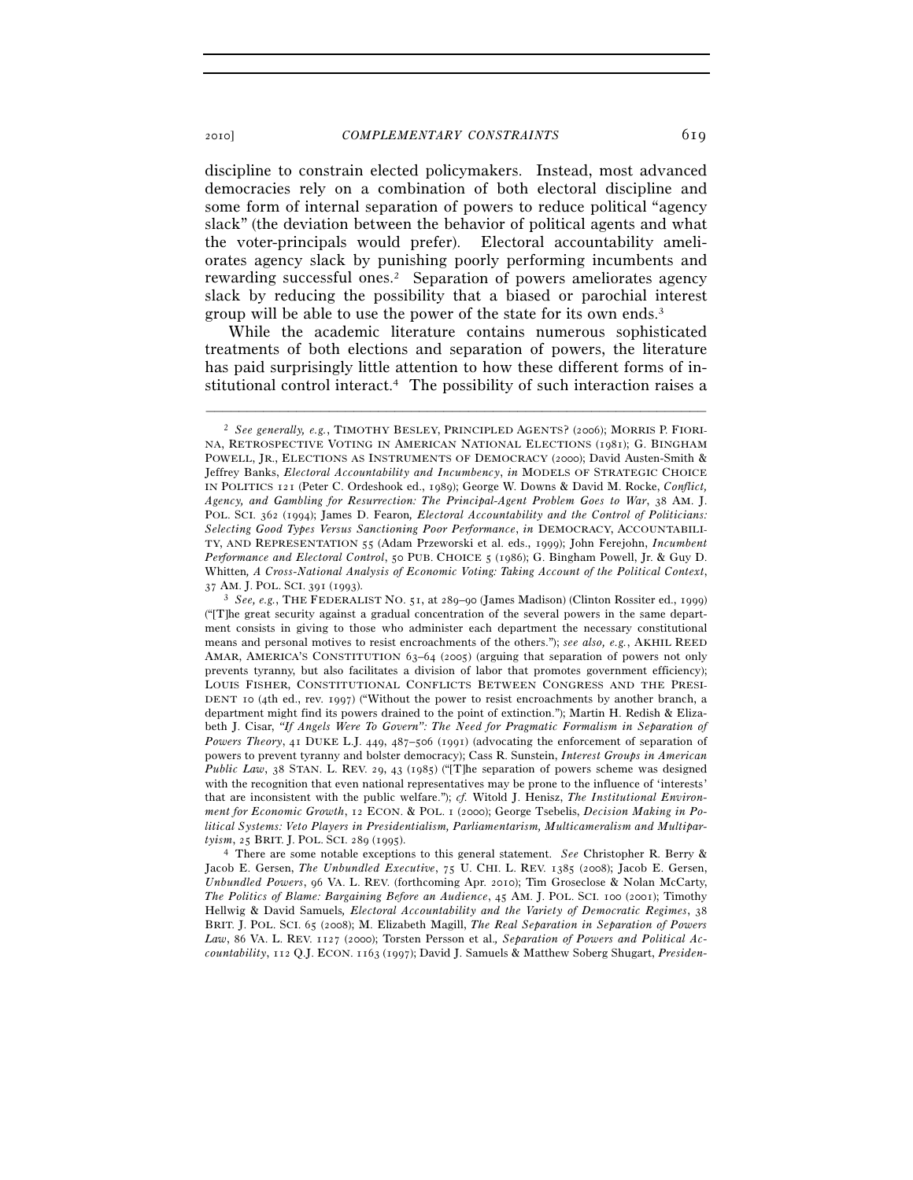discipline to constrain elected policymakers. Instead, most advanced democracies rely on a combination of both electoral discipline and some form of internal separation of powers to reduce political "agency slack" (the deviation between the behavior of political agents and what the voter-principals would prefer). Electoral accountability ameliorates agency slack by punishing poorly performing incumbents and rewarding successful ones.2 Separation of powers ameliorates agency slack by reducing the possibility that a biased or parochial interest group will be able to use the power of the state for its own ends.3

While the academic literature contains numerous sophisticated treatments of both elections and separation of powers, the literature has paid surprisingly little attention to how these different forms of institutional control interact.4 The possibility of such interaction raises a

<sup>2</sup> *See generally, e.g.*, TIMOTHY BESLEY, PRINCIPLED AGENTS? (2006); MORRIS P. FIORI-NA, RETROSPECTIVE VOTING IN AMERICAN NATIONAL ELECTIONS (1981); G. BINGHAM POWELL, JR., ELECTIONS AS INSTRUMENTS OF DEMOCRACY (2000); David Austen-Smith & Jeffrey Banks, *Electoral Accountability and Incumbency*, *in* MODELS OF STRATEGIC CHOICE IN POLITICS 121 (Peter C. Ordeshook ed., 1989); George W. Downs & David M. Rocke, *Conflict, Agency, and Gambling for Resurrection: The Principal-Agent Problem Goes to War*, 38 AM. J. POL. SCI. 362 (1994); James D. Fearon*, Electoral Accountability and the Control of Politicians: Selecting Good Types Versus Sanctioning Poor Performance*, *in* DEMOCRACY, ACCOUNTABILI-TY, AND REPRESENTATION 55 (Adam Przeworski et al. eds., 1999); John Ferejohn, *Incumbent Performance and Electoral Control*, 50 PUB. CHOICE 5 (1986); G. Bingham Powell, Jr. & Guy D. Whitten, *A Cross-National Analysis of Economic Voting: Taking Account of the Political Context*,  $37 \text{ AM}$ . J. POL. SCI.  $391 \text{ (1993)}$ .

<sup>&</sup>lt;sup>3</sup> See, e.g., THE FEDERALIST NO. 51, at 289-90 (James Madison) (Clinton Rossiter ed., 1999) ("[T]he great security against a gradual concentration of the several powers in the same department consists in giving to those who administer each department the necessary constitutional means and personal motives to resist encroachments of the others."); *see also, e.g.*, AKHIL REED AMAR, AMERICA'S CONSTITUTION 63–64 (2005) (arguing that separation of powers not only prevents tyranny, but also facilitates a division of labor that promotes government efficiency); LOUIS FISHER, CONSTITUTIONAL CONFLICTS BETWEEN CONGRESS AND THE PRESI-DENT 10 (4th ed., rev. 1997) ("Without the power to resist encroachments by another branch, a department might find its powers drained to the point of extinction."); Martin H. Redish & Elizabeth J. Cisar, *"If Angels Were To Govern": The Need for Pragmatic Formalism in Separation of Powers Theory*, 41 DUKE L.J. 449, 487–506 (1991) (advocating the enforcement of separation of powers to prevent tyranny and bolster democracy); Cass R. Sunstein, *Interest Groups in American Public Law*, 38 STAN. L. REV. 29, 43 (1985) ("[T]he separation of powers scheme was designed with the recognition that even national representatives may be prone to the influence of 'interests' that are inconsistent with the public welfare."); *cf.* Witold J. Henisz, *The Institutional Environment for Economic Growth*, 12 ECON. & POL. 1 (2000); George Tsebelis, *Decision Making in Political Systems: Veto Players in Presidentialism, Parliamentarism, Multicameralism and Multipartyism*, 25 BRIT. J. POL. SCI. 289 (1995). 4 There are some notable exceptions to this general statement. *See* Christopher R. Berry &

Jacob E. Gersen, *The Unbundled Executive*, 75 U. CHI. L. REV. 1385 (2008); Jacob E. Gersen, *Unbundled Powers*, 96 VA. L. REV. (forthcoming Apr. 2010); Tim Groseclose & Nolan McCarty, *The Politics of Blame: Bargaining Before an Audience*, 45 AM. J. POL. SCI. 100 (2001); Timothy Hellwig & David Samuels*, Electoral Accountability and the Variety of Democratic Regimes*, 38 BRIT. J. POL. SCI. 65 (2008); M. Elizabeth Magill, *The Real Separation in Separation of Powers Law*, 86 VA. L. REV. 1127 (2000); Torsten Persson et al.*, Separation of Powers and Political Accountability*, 112 Q.J. ECON. 1163 (1997); David J. Samuels & Matthew Soberg Shugart, *Presiden-*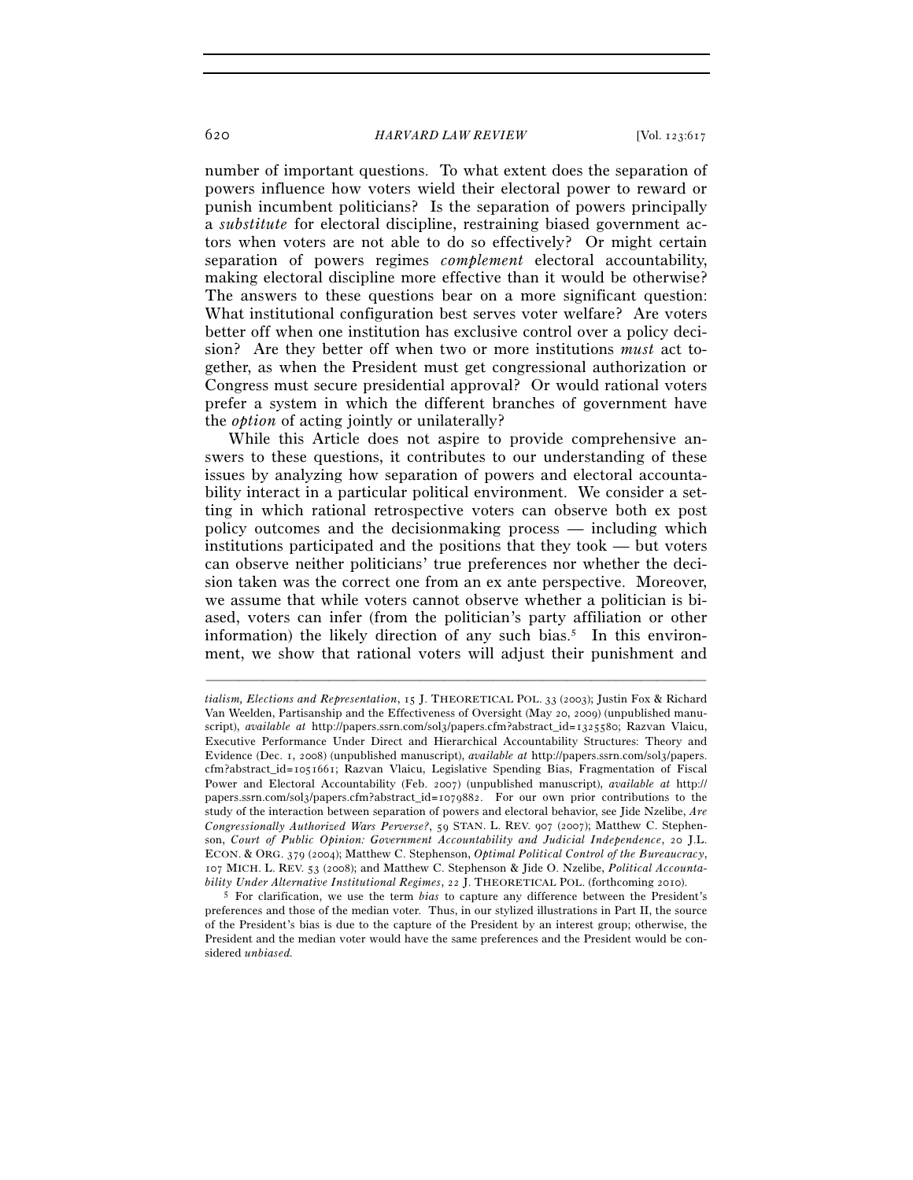number of important questions. To what extent does the separation of powers influence how voters wield their electoral power to reward or punish incumbent politicians? Is the separation of powers principally a *substitute* for electoral discipline, restraining biased government actors when voters are not able to do so effectively? Or might certain separation of powers regimes *complement* electoral accountability, making electoral discipline more effective than it would be otherwise? The answers to these questions bear on a more significant question: What institutional configuration best serves voter welfare? Are voters better off when one institution has exclusive control over a policy decision? Are they better off when two or more institutions *must* act together, as when the President must get congressional authorization or Congress must secure presidential approval? Or would rational voters prefer a system in which the different branches of government have the *option* of acting jointly or unilaterally?

While this Article does not aspire to provide comprehensive answers to these questions, it contributes to our understanding of these issues by analyzing how separation of powers and electoral accountability interact in a particular political environment. We consider a setting in which rational retrospective voters can observe both ex post policy outcomes and the decisionmaking process — including which institutions participated and the positions that they took — but voters can observe neither politicians' true preferences nor whether the decision taken was the correct one from an ex ante perspective. Moreover, we assume that while voters cannot observe whether a politician is biased, voters can infer (from the politician's party affiliation or other information) the likely direction of any such bias.<sup>5</sup> In this environment, we show that rational voters will adjust their punishment and

*tialism, Elections and Representation*, 15 J. THEORETICAL POL. 33 (2003); Justin Fox & Richard Van Weelden, Partisanship and the Effectiveness of Oversight (May 20, 2009) (unpublished manuscript), *available at* http://papers.ssrn.com/sol3/papers.cfm?abstract\_id=1325580; Razvan Vlaicu, Executive Performance Under Direct and Hierarchical Accountability Structures: Theory and Evidence (Dec. 1, 2008) (unpublished manuscript), *available at* http://papers.ssrn.com/sol3/papers. cfm?abstract\_id=1051661; Razvan Vlaicu, Legislative Spending Bias, Fragmentation of Fiscal Power and Electoral Accountability (Feb. 2007) (unpublished manuscript), *available at* http:// papers.ssrn.com/sol3/papers.cfm?abstract\_id=1079882. For our own prior contributions to the study of the interaction between separation of powers and electoral behavior, see Jide Nzelibe, *Are Congressionally Authorized Wars Perverse?*, 59 STAN. L. REV. 907 (2007); Matthew C. Stephenson, *Court of Public Opinion: Government Accountability and Judicial Independence*, 20 J.L. ECON. & ORG. 379 (2004); Matthew C. Stephenson, *Optimal Political Control of the Bureaucracy*, 107 MICH. L. REV. 53 (2008); and Matthew C. Stephenson & Jide O. Nzelibe, *Political Accountability Under Alternative Institutional Regimes*, 22 J. THEORETICAL POL. (forthcoming 2010). 5 For clarification, we use the term *bias* to capture any difference between the President's

preferences and those of the median voter. Thus, in our stylized illustrations in Part II, the source of the President's bias is due to the capture of the President by an interest group; otherwise, the President and the median voter would have the same preferences and the President would be considered *unbiased.*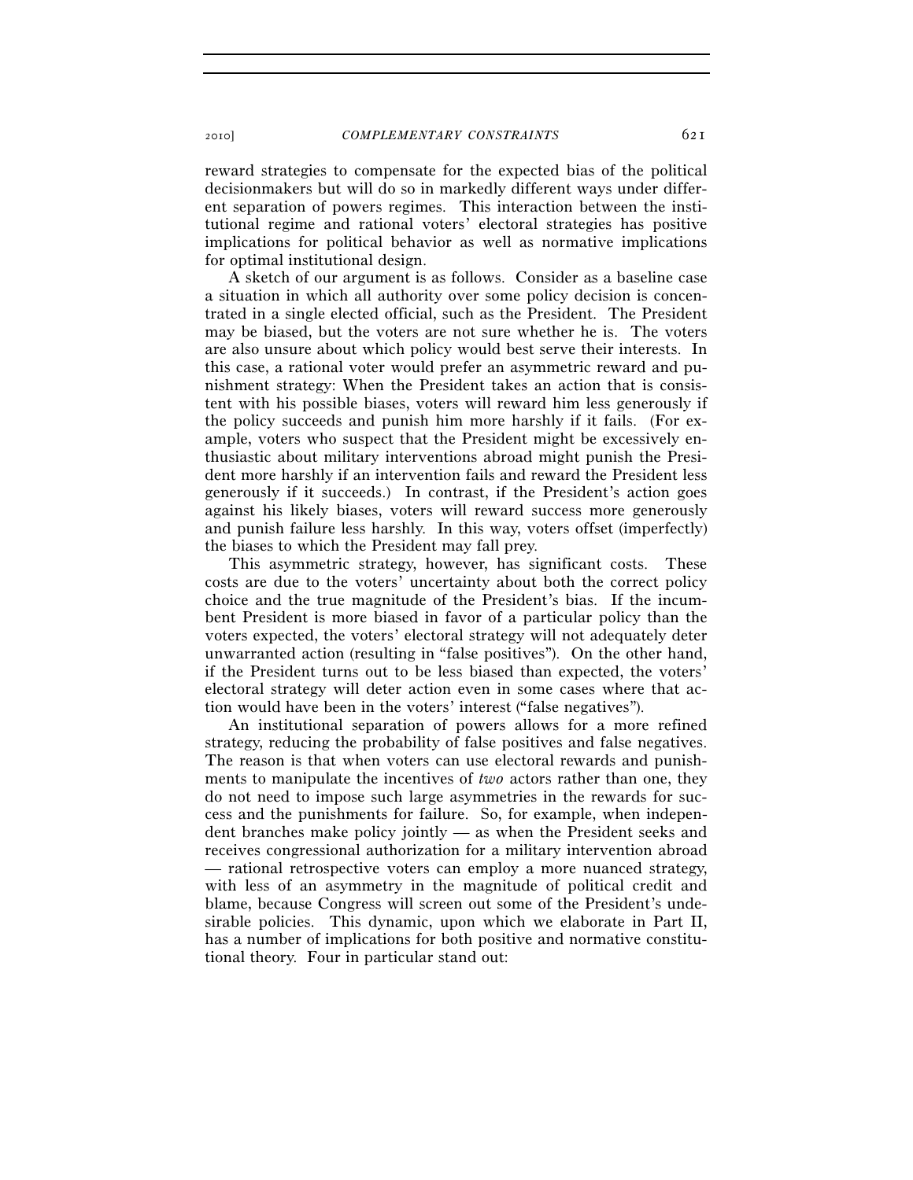reward strategies to compensate for the expected bias of the political decisionmakers but will do so in markedly different ways under different separation of powers regimes. This interaction between the institutional regime and rational voters' electoral strategies has positive implications for political behavior as well as normative implications for optimal institutional design.

A sketch of our argument is as follows. Consider as a baseline case a situation in which all authority over some policy decision is concentrated in a single elected official, such as the President. The President may be biased, but the voters are not sure whether he is. The voters are also unsure about which policy would best serve their interests. In this case, a rational voter would prefer an asymmetric reward and punishment strategy: When the President takes an action that is consistent with his possible biases, voters will reward him less generously if the policy succeeds and punish him more harshly if it fails. (For example, voters who suspect that the President might be excessively enthusiastic about military interventions abroad might punish the President more harshly if an intervention fails and reward the President less generously if it succeeds.) In contrast, if the President's action goes against his likely biases, voters will reward success more generously and punish failure less harshly. In this way, voters offset (imperfectly) the biases to which the President may fall prey.

This asymmetric strategy, however, has significant costs. These costs are due to the voters' uncertainty about both the correct policy choice and the true magnitude of the President's bias. If the incumbent President is more biased in favor of a particular policy than the voters expected, the voters' electoral strategy will not adequately deter unwarranted action (resulting in "false positives"). On the other hand, if the President turns out to be less biased than expected, the voters' electoral strategy will deter action even in some cases where that action would have been in the voters' interest ("false negatives").

An institutional separation of powers allows for a more refined strategy, reducing the probability of false positives and false negatives. The reason is that when voters can use electoral rewards and punishments to manipulate the incentives of *two* actors rather than one, they do not need to impose such large asymmetries in the rewards for success and the punishments for failure. So, for example, when independent branches make policy jointly — as when the President seeks and receives congressional authorization for a military intervention abroad — rational retrospective voters can employ a more nuanced strategy, with less of an asymmetry in the magnitude of political credit and blame, because Congress will screen out some of the President's undesirable policies. This dynamic, upon which we elaborate in Part II, has a number of implications for both positive and normative constitutional theory. Four in particular stand out: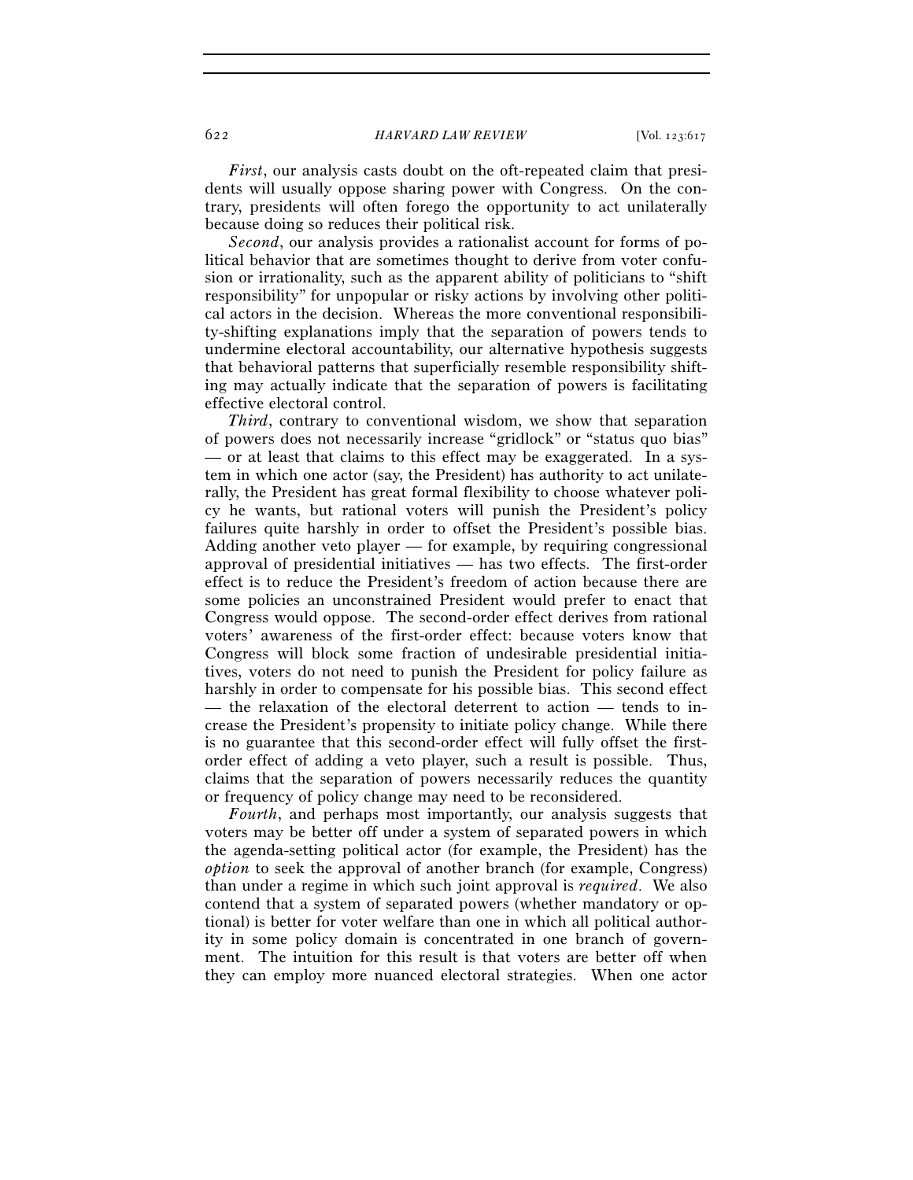*First*, our analysis casts doubt on the oft-repeated claim that presidents will usually oppose sharing power with Congress. On the contrary, presidents will often forego the opportunity to act unilaterally because doing so reduces their political risk.

*Second*, our analysis provides a rationalist account for forms of political behavior that are sometimes thought to derive from voter confusion or irrationality, such as the apparent ability of politicians to "shift responsibility" for unpopular or risky actions by involving other political actors in the decision. Whereas the more conventional responsibility-shifting explanations imply that the separation of powers tends to undermine electoral accountability, our alternative hypothesis suggests that behavioral patterns that superficially resemble responsibility shifting may actually indicate that the separation of powers is facilitating effective electoral control.

*Third*, contrary to conventional wisdom, we show that separation of powers does not necessarily increase "gridlock" or "status quo bias" — or at least that claims to this effect may be exaggerated. In a system in which one actor (say, the President) has authority to act unilaterally, the President has great formal flexibility to choose whatever policy he wants, but rational voters will punish the President's policy failures quite harshly in order to offset the President's possible bias. Adding another veto player — for example, by requiring congressional approval of presidential initiatives — has two effects. The first-order effect is to reduce the President's freedom of action because there are some policies an unconstrained President would prefer to enact that Congress would oppose. The second-order effect derives from rational voters' awareness of the first-order effect: because voters know that Congress will block some fraction of undesirable presidential initiatives, voters do not need to punish the President for policy failure as harshly in order to compensate for his possible bias. This second effect — the relaxation of the electoral deterrent to action — tends to increase the President's propensity to initiate policy change. While there is no guarantee that this second-order effect will fully offset the firstorder effect of adding a veto player, such a result is possible. Thus, claims that the separation of powers necessarily reduces the quantity or frequency of policy change may need to be reconsidered.

*Fourth*, and perhaps most importantly, our analysis suggests that voters may be better off under a system of separated powers in which the agenda-setting political actor (for example, the President) has the *option* to seek the approval of another branch (for example, Congress) than under a regime in which such joint approval is *required*. We also contend that a system of separated powers (whether mandatory or optional) is better for voter welfare than one in which all political authority in some policy domain is concentrated in one branch of government. The intuition for this result is that voters are better off when they can employ more nuanced electoral strategies. When one actor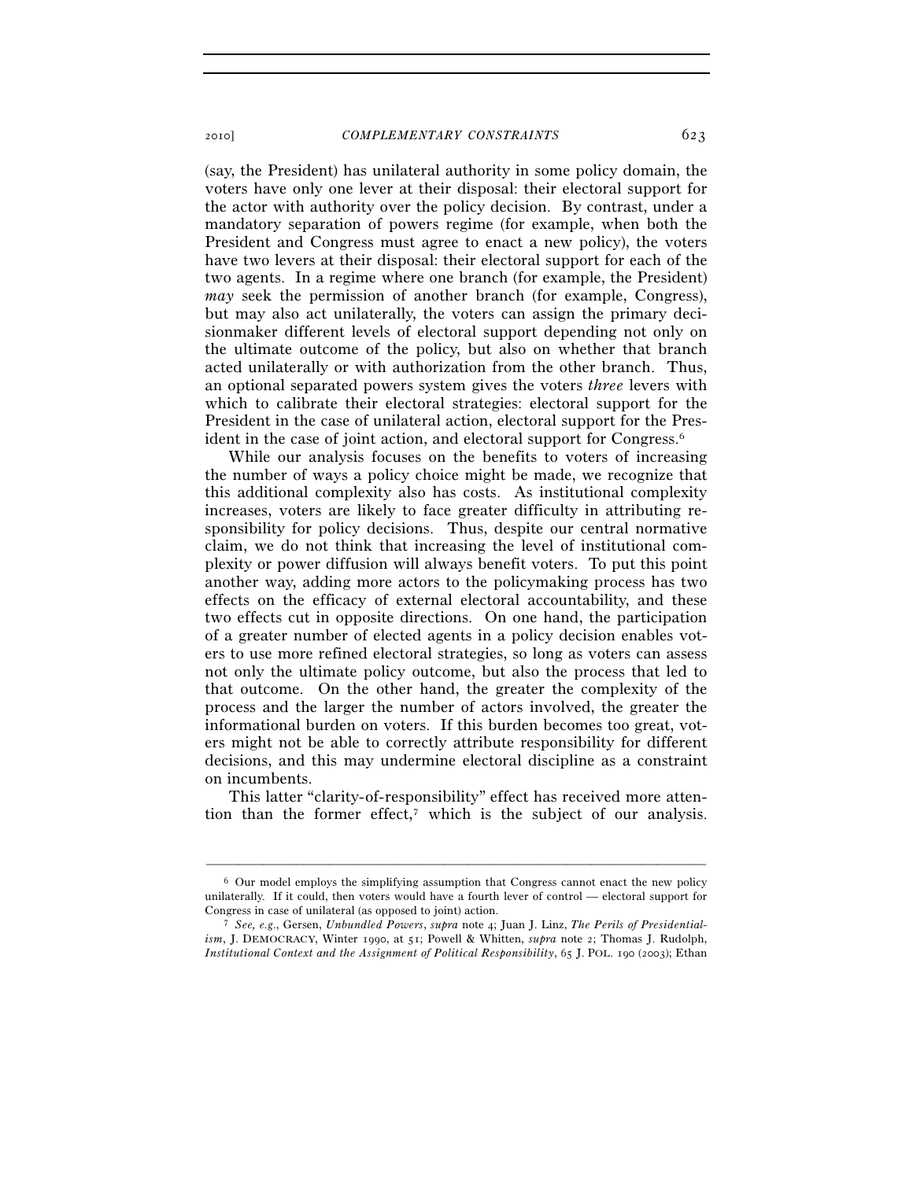(say, the President) has unilateral authority in some policy domain, the voters have only one lever at their disposal: their electoral support for the actor with authority over the policy decision. By contrast, under a mandatory separation of powers regime (for example, when both the President and Congress must agree to enact a new policy), the voters have two levers at their disposal: their electoral support for each of the two agents. In a regime where one branch (for example, the President) *may* seek the permission of another branch (for example, Congress), but may also act unilaterally, the voters can assign the primary decisionmaker different levels of electoral support depending not only on the ultimate outcome of the policy, but also on whether that branch acted unilaterally or with authorization from the other branch. Thus, an optional separated powers system gives the voters *three* levers with which to calibrate their electoral strategies: electoral support for the President in the case of unilateral action, electoral support for the President in the case of joint action, and electoral support for Congress.6

While our analysis focuses on the benefits to voters of increasing the number of ways a policy choice might be made, we recognize that this additional complexity also has costs. As institutional complexity increases, voters are likely to face greater difficulty in attributing responsibility for policy decisions. Thus, despite our central normative claim, we do not think that increasing the level of institutional complexity or power diffusion will always benefit voters. To put this point another way, adding more actors to the policymaking process has two effects on the efficacy of external electoral accountability, and these two effects cut in opposite directions. On one hand, the participation of a greater number of elected agents in a policy decision enables voters to use more refined electoral strategies, so long as voters can assess not only the ultimate policy outcome, but also the process that led to that outcome. On the other hand, the greater the complexity of the process and the larger the number of actors involved, the greater the informational burden on voters. If this burden becomes too great, voters might not be able to correctly attribute responsibility for different decisions, and this may undermine electoral discipline as a constraint on incumbents.

This latter "clarity-of-responsibility" effect has received more attention than the former effect, $\bar{z}$  which is the subject of our analysis.

 $6$  Our model employs the simplifying assumption that Congress cannot enact the new policy unilaterally. If it could, then voters would have a fourth lever of control — electoral support for Congress in case of unilateral (as opposed to joint) action. 7 *See, e.g*., Gersen, *Unbundled Powers*, *supra* note 4; Juan J. Linz, *The Perils of Presidential-*

*ism*, J. DEMOCRACY, Winter 1990, at 51; Powell & Whitten, *supra* note 2; Thomas J. Rudolph, *Institutional Context and the Assignment of Political Responsibility*, 65 J. POL. 190 (2003); Ethan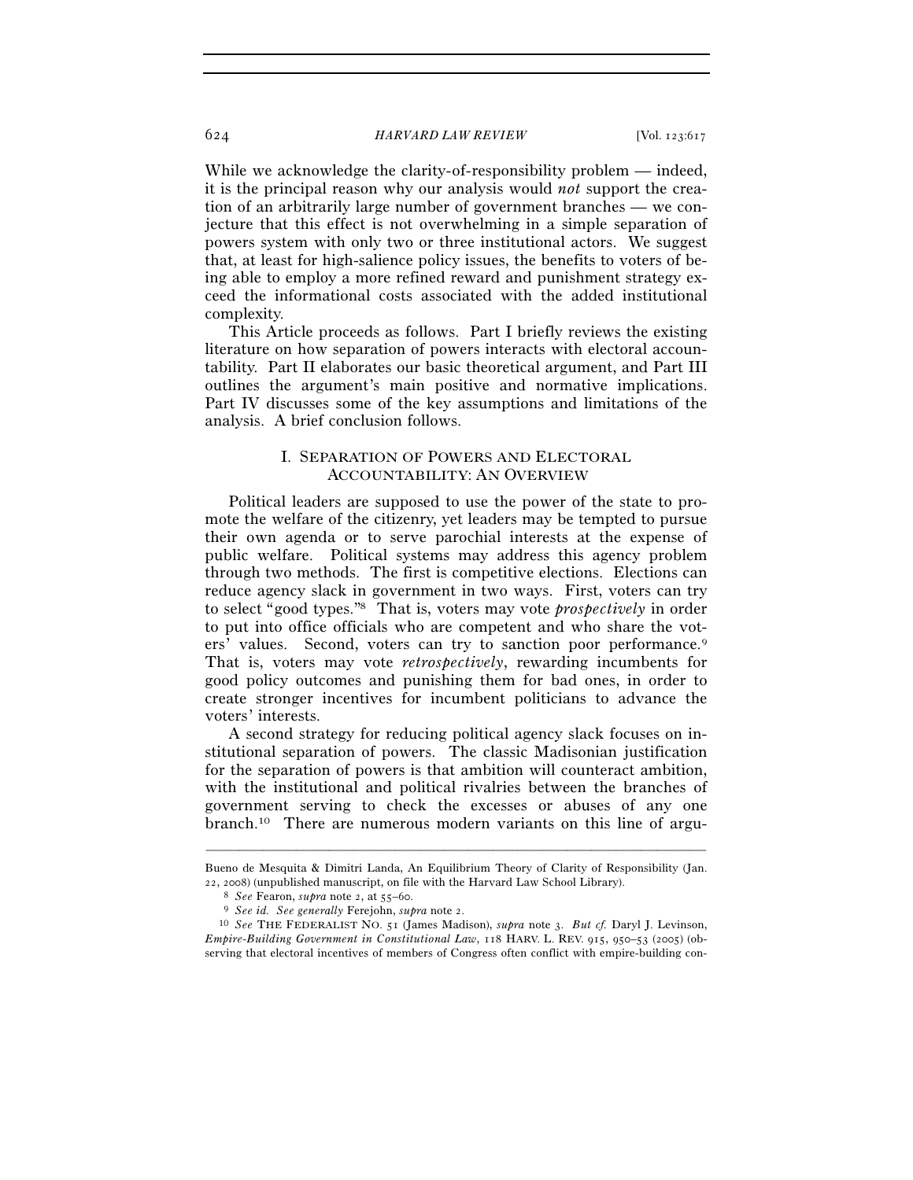While we acknowledge the clarity-of-responsibility problem — indeed, it is the principal reason why our analysis would *not* support the creation of an arbitrarily large number of government branches — we conjecture that this effect is not overwhelming in a simple separation of powers system with only two or three institutional actors. We suggest that, at least for high-salience policy issues, the benefits to voters of being able to employ a more refined reward and punishment strategy exceed the informational costs associated with the added institutional complexity.

This Article proceeds as follows. Part I briefly reviews the existing literature on how separation of powers interacts with electoral accountability. Part II elaborates our basic theoretical argument, and Part III outlines the argument's main positive and normative implications. Part IV discusses some of the key assumptions and limitations of the analysis. A brief conclusion follows.

## I. SEPARATION OF POWERS AND ELECTORAL ACCOUNTABILITY: AN OVERVIEW

Political leaders are supposed to use the power of the state to promote the welfare of the citizenry, yet leaders may be tempted to pursue their own agenda or to serve parochial interests at the expense of public welfare. Political systems may address this agency problem through two methods. The first is competitive elections. Elections can reduce agency slack in government in two ways. First, voters can try to select "good types."8 That is, voters may vote *prospectively* in order to put into office officials who are competent and who share the voters' values. Second, voters can try to sanction poor performance.<sup>9</sup> That is, voters may vote *retrospectively*, rewarding incumbents for good policy outcomes and punishing them for bad ones, in order to create stronger incentives for incumbent politicians to advance the voters' interests.

A second strategy for reducing political agency slack focuses on institutional separation of powers. The classic Madisonian justification for the separation of powers is that ambition will counteract ambition, with the institutional and political rivalries between the branches of government serving to check the excesses or abuses of any one branch.10 There are numerous modern variants on this line of argu-

<sup>–––––––––––––––––––––––––––––––––––––––––––––––––––––––––––––</sup> Bueno de Mesquita & Dimitri Landa, An Equilibrium Theory of Clarity of Responsibility (Jan. 22, 2008) (unpublished manuscript, on file with the Harvard Law School Library).

<sup>&</sup>lt;sup>8</sup> See Fearon, supra note 2, at 55–60.<br><sup>9</sup> See id. See generally Ferejohn, supra note 2.<br><sup>10</sup> See THE FEDERALIST NO. 51 (James Madison), supra note 3. *But cf.* Daryl J. Levinson, *Empire-Building Government in Constitutional Law*, 118 HARV. L. REV. 915, 950–53 (2005) (observing that electoral incentives of members of Congress often conflict with empire-building con-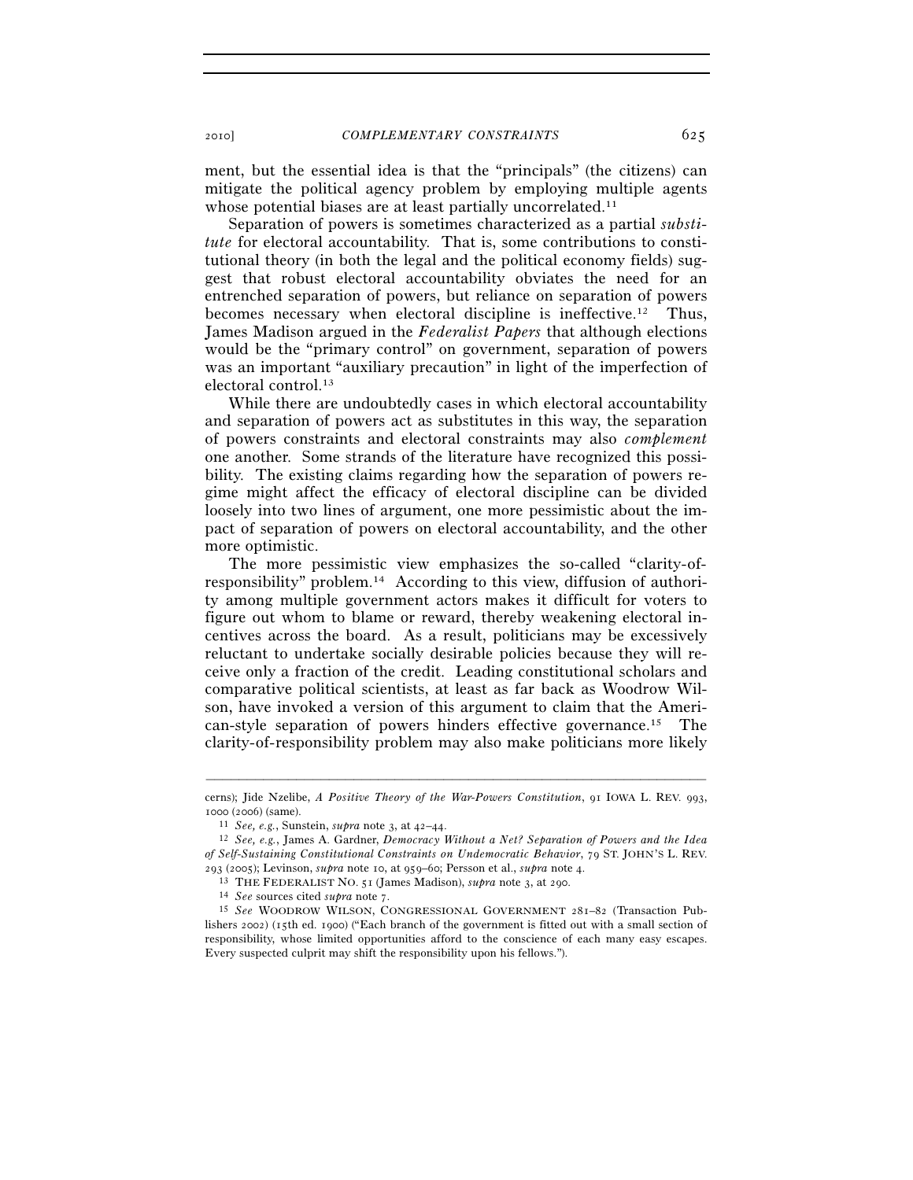ment, but the essential idea is that the "principals" (the citizens) can mitigate the political agency problem by employing multiple agents whose potential biases are at least partially uncorrelated.<sup>11</sup>

Separation of powers is sometimes characterized as a partial *substitute* for electoral accountability. That is, some contributions to constitutional theory (in both the legal and the political economy fields) suggest that robust electoral accountability obviates the need for an entrenched separation of powers, but reliance on separation of powers becomes necessary when electoral discipline is ineffective.12 Thus, James Madison argued in the *Federalist Papers* that although elections would be the "primary control" on government, separation of powers was an important "auxiliary precaution" in light of the imperfection of electoral control.13

While there are undoubtedly cases in which electoral accountability and separation of powers act as substitutes in this way, the separation of powers constraints and electoral constraints may also *complement* one another. Some strands of the literature have recognized this possibility. The existing claims regarding how the separation of powers regime might affect the efficacy of electoral discipline can be divided loosely into two lines of argument, one more pessimistic about the impact of separation of powers on electoral accountability, and the other more optimistic.

The more pessimistic view emphasizes the so-called "clarity-ofresponsibility" problem.14 According to this view, diffusion of authority among multiple government actors makes it difficult for voters to figure out whom to blame or reward, thereby weakening electoral incentives across the board. As a result, politicians may be excessively reluctant to undertake socially desirable policies because they will receive only a fraction of the credit. Leading constitutional scholars and comparative political scientists, at least as far back as Woodrow Wilson, have invoked a version of this argument to claim that the American-style separation of powers hinders effective governance.15 The clarity-of-responsibility problem may also make politicians more likely

<sup>–––––––––––––––––––––––––––––––––––––––––––––––––––––––––––––</sup> cerns); Jide Nzelibe, *A Positive Theory of the War-Powers Constitution*, 91 IOWA L. REV. 993, <sup>1000</sup> (2006) (same). 11 *See, e.g.*, Sunstein, *supra* note 3, at 42–44. 12 *See, e.g.*, James A. Gardner, *Democracy Without a Net? Separation of Powers and the Idea* 

*of Self-Sustaining Constitutional Constraints on Undemocratic Behavior*, 79 ST. JOHN'S L. REV. 293 (2005); Levinson, *supra* note 10, at 959–60; Persson et al., *supra* note 4.<br><sup>13</sup> THE FEDERALIST NO. 51 (James Madison), *supra* note 3, at 290.<br><sup>14</sup> See sources cited *supra* note 7.<br><sup>15</sup> See WOODROW WILSON, CONGRES

lishers 2002) (15th ed. 1900) ("Each branch of the government is fitted out with a small section of responsibility, whose limited opportunities afford to the conscience of each many easy escapes. Every suspected culprit may shift the responsibility upon his fellows.").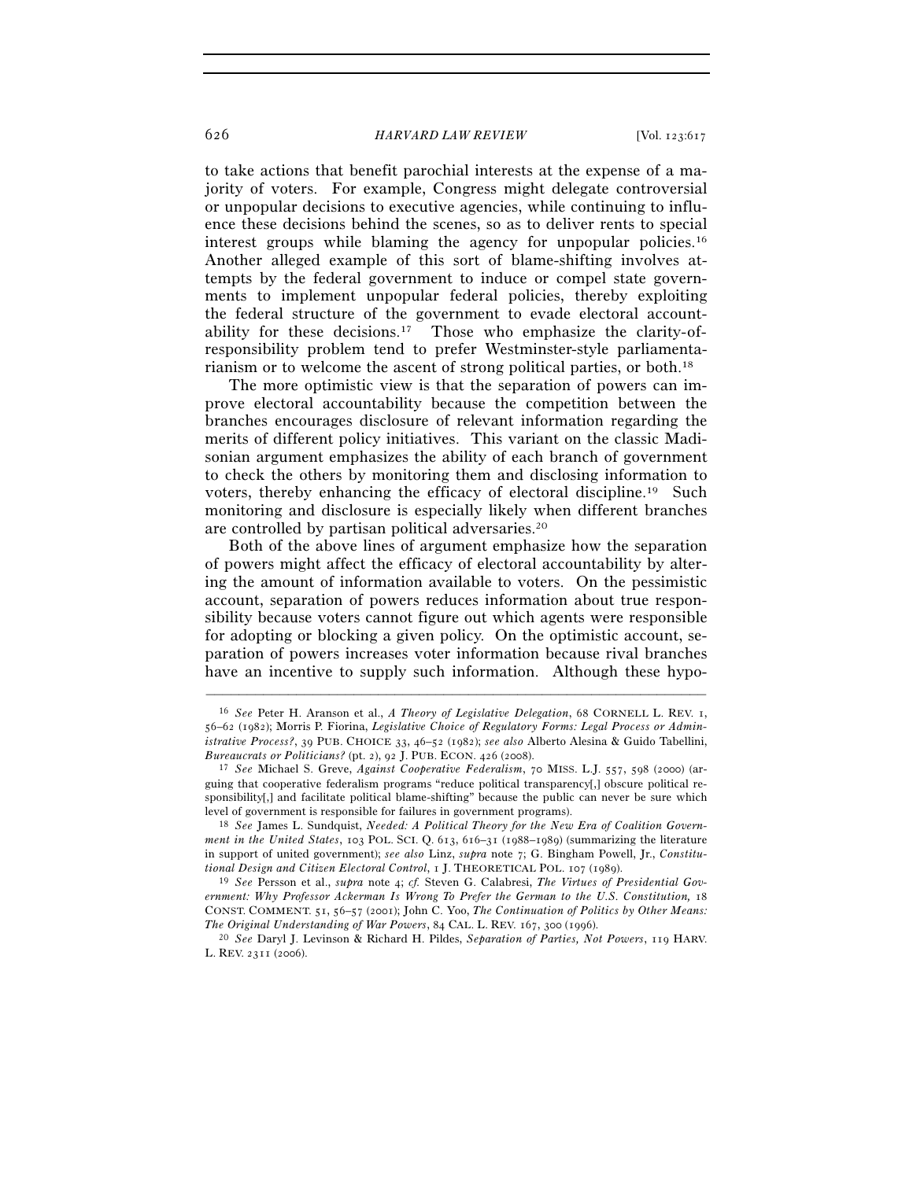to take actions that benefit parochial interests at the expense of a majority of voters. For example, Congress might delegate controversial or unpopular decisions to executive agencies, while continuing to influence these decisions behind the scenes, so as to deliver rents to special interest groups while blaming the agency for unpopular policies.16 Another alleged example of this sort of blame-shifting involves attempts by the federal government to induce or compel state governments to implement unpopular federal policies, thereby exploiting the federal structure of the government to evade electoral accountability for these decisions.17 Those who emphasize the clarity-ofresponsibility problem tend to prefer Westminster-style parliamentarianism or to welcome the ascent of strong political parties, or both.18

The more optimistic view is that the separation of powers can improve electoral accountability because the competition between the branches encourages disclosure of relevant information regarding the merits of different policy initiatives. This variant on the classic Madisonian argument emphasizes the ability of each branch of government to check the others by monitoring them and disclosing information to voters, thereby enhancing the efficacy of electoral discipline.19 Such monitoring and disclosure is especially likely when different branches are controlled by partisan political adversaries.20

Both of the above lines of argument emphasize how the separation of powers might affect the efficacy of electoral accountability by altering the amount of information available to voters. On the pessimistic account, separation of powers reduces information about true responsibility because voters cannot figure out which agents were responsible for adopting or blocking a given policy. On the optimistic account, separation of powers increases voter information because rival branches have an incentive to supply such information. Although these hypo-

<sup>16</sup> *See* Peter H. Aranson et al., *A Theory of Legislative Delegation*, 68 CORNELL L. REV. 1, 56–62 (1982); Morris P. Fiorina, *Legislative Choice of Regulatory Forms: Legal Process or Administrative Process?*, 39 PUB. CHOICE 33, 46–52 (1982); *see also* Alberto Alesina & Guido Tabellini,

<sup>&</sup>lt;sup>17</sup> See Michael S. Greve, *Against Cooperative Federalism*, 70 MISS. L.J. 557, 598 (2000) (arguing that cooperative federalism programs "reduce political transparency[,] obscure political responsibility[,] and facilitate political blame-shifting" because the public can never be sure which level of government is responsible for failures in government programs). 18 *See* James L. Sundquist, *Needed: A Political Theory for the New Era of Coalition Govern-*

*ment in the United States*, 103 POL. SCI. Q. 613, 616–31 (1988–1989) (summarizing the literature in support of united government); *see also* Linz, *supra* note 7; G. Bingham Powell, Jr., *Constitutional Design and Citizen Electoral Control*, 1 J. THEORETICAL POL. 107 (1989). 19 *See* Persson et al., *supra* note 4; *cf.* Steven G. Calabresi, *The Virtues of Presidential Gov-*

*ernment: Why Professor Ackerman Is Wrong To Prefer the German to the U.S. Constitution,* 18 CONST. COMMENT. 51, 56–57 (2001); John C. Yoo, *The Continuation of Politics by Other Means:* 

*The Original Understanding of War Powers*, 84 CAL. L. REV. 167, 300 (1996). 20 *See* Daryl J. Levinson & Richard H. Pildes, *Separation of Parties, Not Powers*, 119 HARV. L. REV. 2311 (2006).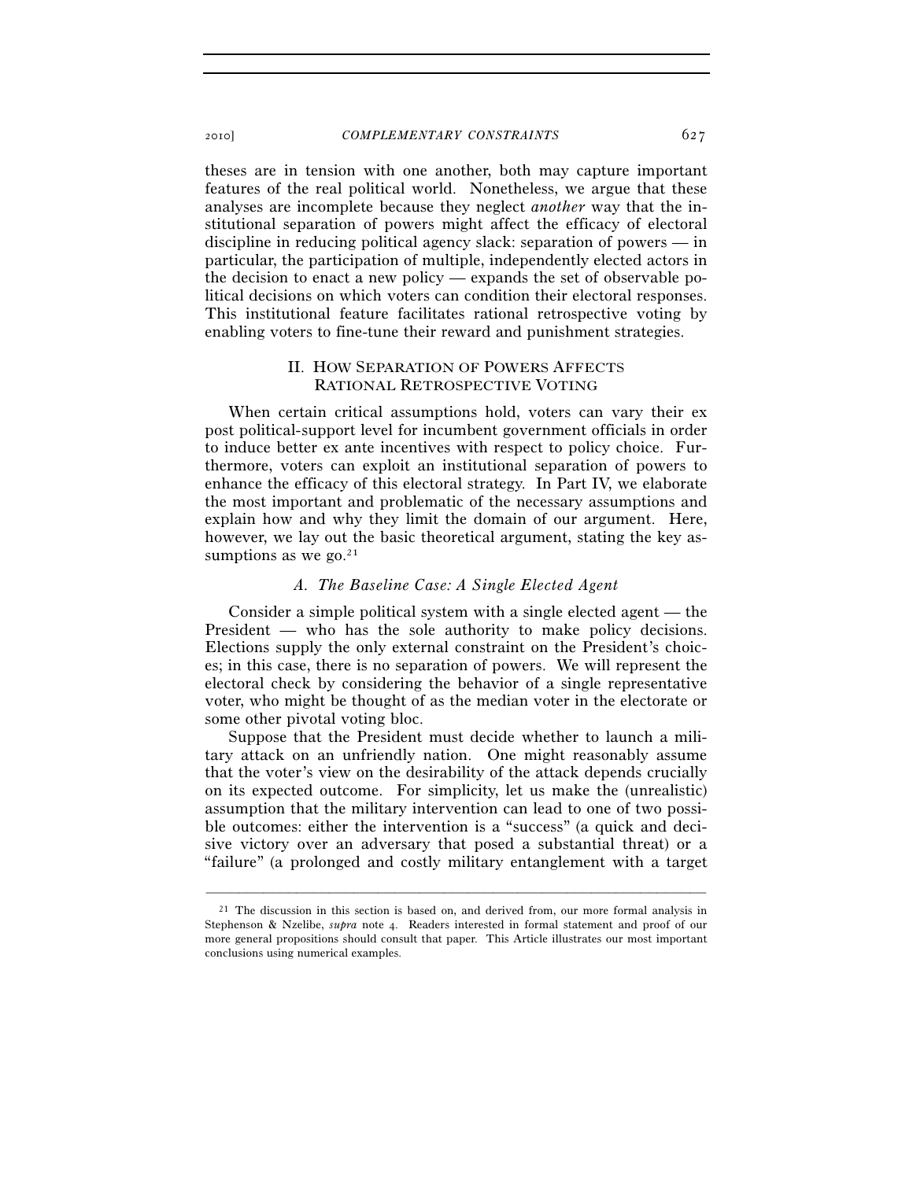theses are in tension with one another, both may capture important features of the real political world. Nonetheless, we argue that these analyses are incomplete because they neglect *another* way that the institutional separation of powers might affect the efficacy of electoral discipline in reducing political agency slack: separation of powers — in particular, the participation of multiple, independently elected actors in the decision to enact a new policy — expands the set of observable political decisions on which voters can condition their electoral responses. This institutional feature facilitates rational retrospective voting by enabling voters to fine-tune their reward and punishment strategies.

# II. HOW SEPARATION OF POWERS AFFECTS RATIONAL RETROSPECTIVE VOTING

When certain critical assumptions hold, voters can vary their ex post political-support level for incumbent government officials in order to induce better ex ante incentives with respect to policy choice. Furthermore, voters can exploit an institutional separation of powers to enhance the efficacy of this electoral strategy. In Part IV, we elaborate the most important and problematic of the necessary assumptions and explain how and why they limit the domain of our argument. Here, however, we lay out the basic theoretical argument, stating the key assumptions as we go. $21$ 

#### *A. The Baseline Case: A Single Elected Agent*

Consider a simple political system with a single elected agent — the President — who has the sole authority to make policy decisions. Elections supply the only external constraint on the President's choices; in this case, there is no separation of powers. We will represent the electoral check by considering the behavior of a single representative voter, who might be thought of as the median voter in the electorate or some other pivotal voting bloc.

Suppose that the President must decide whether to launch a military attack on an unfriendly nation. One might reasonably assume that the voter's view on the desirability of the attack depends crucially on its expected outcome. For simplicity, let us make the (unrealistic) assumption that the military intervention can lead to one of two possible outcomes: either the intervention is a "success" (a quick and decisive victory over an adversary that posed a substantial threat) or a "failure" (a prolonged and costly military entanglement with a target

<sup>21</sup> The discussion in this section is based on, and derived from, our more formal analysis in Stephenson & Nzelibe, *supra* note 4. Readers interested in formal statement and proof of our more general propositions should consult that paper. This Article illustrates our most important conclusions using numerical examples.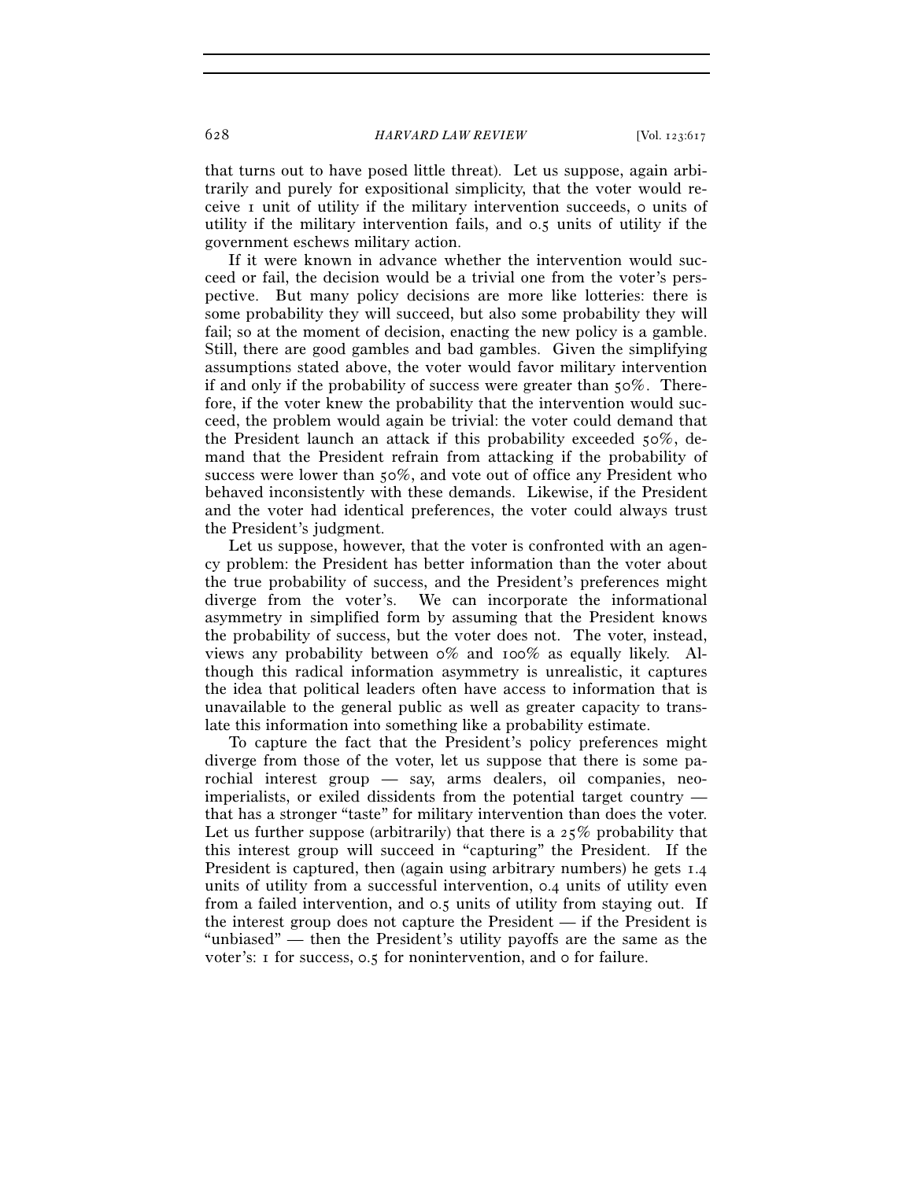that turns out to have posed little threat). Let us suppose, again arbitrarily and purely for expositional simplicity, that the voter would receive 1 unit of utility if the military intervention succeeds, 0 units of utility if the military intervention fails, and 0.5 units of utility if the government eschews military action.

If it were known in advance whether the intervention would succeed or fail, the decision would be a trivial one from the voter's perspective. But many policy decisions are more like lotteries: there is some probability they will succeed, but also some probability they will fail; so at the moment of decision, enacting the new policy is a gamble. Still, there are good gambles and bad gambles. Given the simplifying assumptions stated above, the voter would favor military intervention if and only if the probability of success were greater than  $50\%$ . Therefore, if the voter knew the probability that the intervention would succeed, the problem would again be trivial: the voter could demand that the President launch an attack if this probability exceeded 50%, demand that the President refrain from attacking if the probability of success were lower than 50%, and vote out of office any President who behaved inconsistently with these demands. Likewise, if the President and the voter had identical preferences, the voter could always trust the President's judgment.

Let us suppose, however, that the voter is confronted with an agency problem: the President has better information than the voter about the true probability of success, and the President's preferences might diverge from the voter's. We can incorporate the informational asymmetry in simplified form by assuming that the President knows the probability of success, but the voter does not. The voter, instead, views any probability between 0% and 100% as equally likely. Although this radical information asymmetry is unrealistic, it captures the idea that political leaders often have access to information that is unavailable to the general public as well as greater capacity to translate this information into something like a probability estimate.

To capture the fact that the President's policy preferences might diverge from those of the voter, let us suppose that there is some parochial interest group — say, arms dealers, oil companies, neoimperialists, or exiled dissidents from the potential target country that has a stronger "taste" for military intervention than does the voter. Let us further suppose (arbitrarily) that there is a  $25\%$  probability that this interest group will succeed in "capturing" the President. If the President is captured, then (again using arbitrary numbers) he gets  $1.4$ units of utility from a successful intervention, 0.4 units of utility even from a failed intervention, and 0.5 units of utility from staying out. If the interest group does not capture the President — if the President is "unbiased" — then the President's utility payoffs are the same as the voter's: 1 for success, 0.5 for nonintervention, and 0 for failure.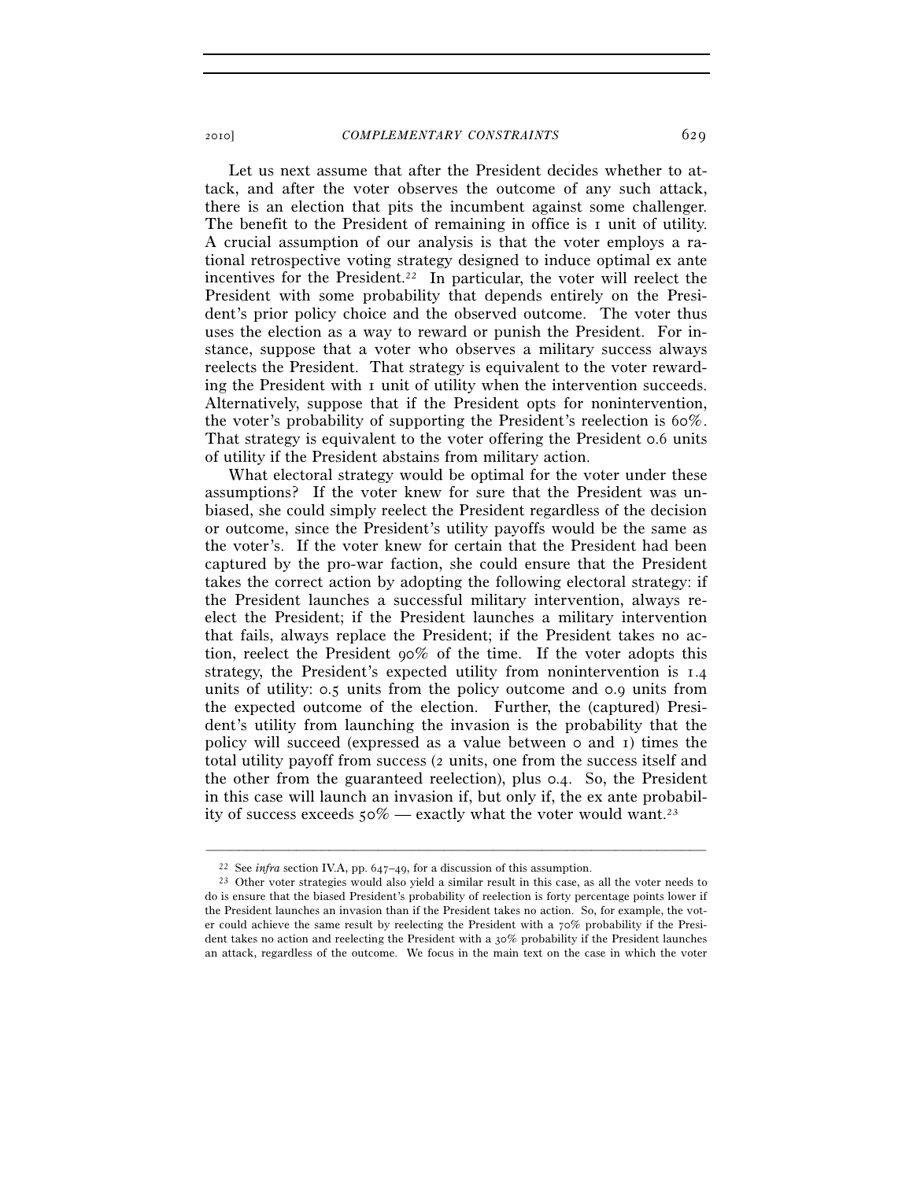Let us next assume that after the President decides whether to attack, and after the voter observes the outcome of any such attack, there is an election that pits the incumbent against some challenger. The benefit to the President of remaining in office is 1 unit of utility. A crucial assumption of our analysis is that the voter employs a rational retrospective voting strategy designed to induce optimal ex ante incentives for the President.<sup>22</sup> In particular, the voter will reelect the President with some probability that depends entirely on the President's prior policy choice and the observed outcome. The voter thus uses the election as a way to reward or punish the President. For instance, suppose that a voter who observes a military success always reelects the President. That strategy is equivalent to the voter rewarding the President with 1 unit of utility when the intervention succeeds. Alternatively, suppose that if the President opts for nonintervention, the voter's probability of supporting the President's reelection is 60%. That strategy is equivalent to the voter offering the President 0.6 units of utility if the President abstains from military action.

What electoral strategy would be optimal for the voter under these assumptions? If the voter knew for sure that the President was unbiased, she could simply reelect the President regardless of the decision or outcome, since the President's utility payoffs would be the same as the voter's. If the voter knew for certain that the President had been captured by the pro-war faction, she could ensure that the President takes the correct action by adopting the following electoral strategy: if the President launches a successful military intervention, always reelect the President; if the President launches a military intervention that fails, always replace the President; if the President takes no action, reelect the President 90% of the time. If the voter adopts this strategy, the President's expected utility from nonintervention is 1.4 units of utility: 0.5 units from the policy outcome and 0.9 units from the expected outcome of the election. Further, the (captured) President's utility from launching the invasion is the probability that the policy will succeed (expressed as a value between 0 and 1) times the total utility payoff from success (2 units, one from the success itself and the other from the guaranteed reelection), plus 0.4. So, the President in this case will launch an invasion if, but only if, the ex ante probability of success exceeds  $50\%$  — exactly what the voter would want.<sup>23</sup>

<sup>&</sup>lt;sup>22</sup> See *infra* section IV.A, pp. 647–49, for a discussion of this assumption.<br><sup>23</sup> Other voter strategies would also yield a similar result in this case, as all the voter needs to do is ensure that the biased President's probability of reelection is forty percentage points lower if the President launches an invasion than if the President takes no action. So, for example, the voter could achieve the same result by reelecting the President with a  $70\%$  probability if the President takes no action and reelecting the President with a 30% probability if the President launches an attack, regardless of the outcome. We focus in the main text on the case in which the voter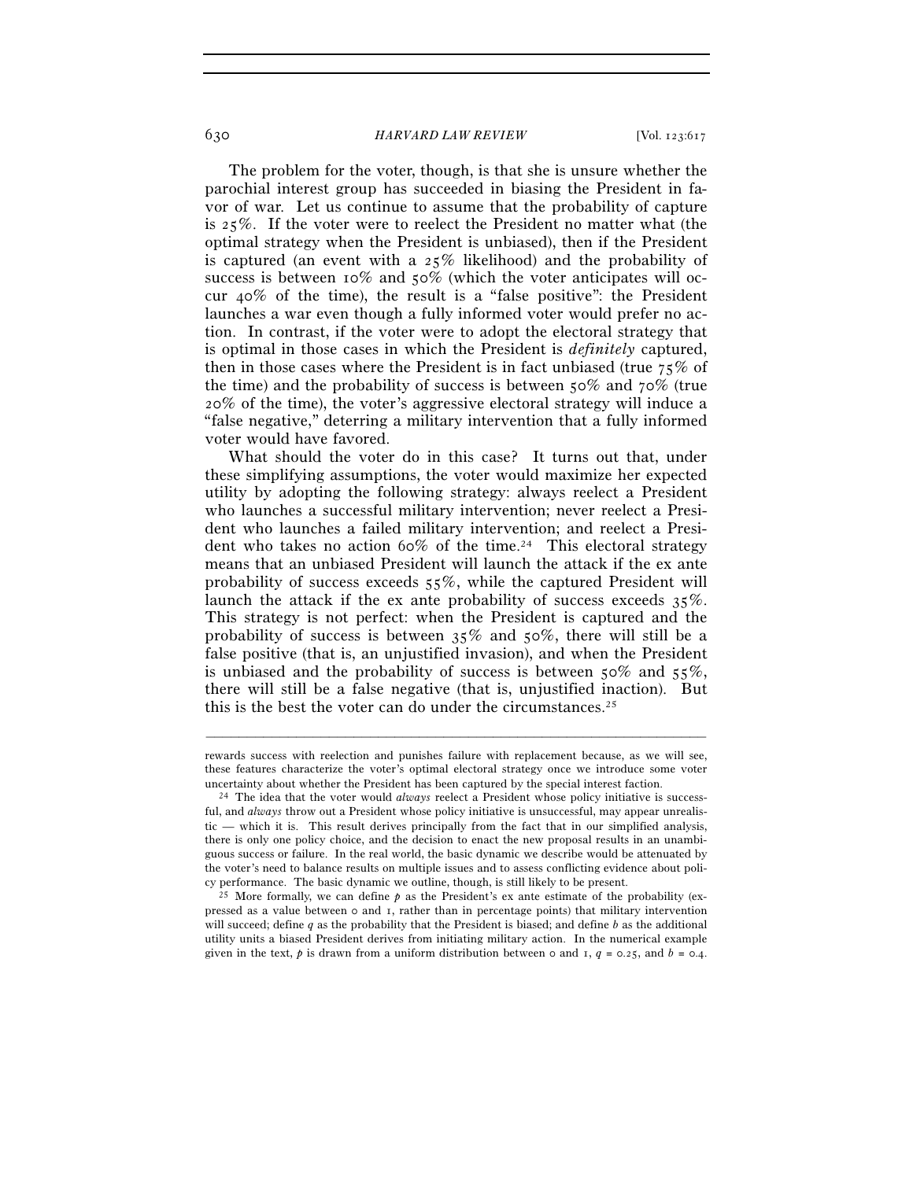The problem for the voter, though, is that she is unsure whether the parochial interest group has succeeded in biasing the President in favor of war. Let us continue to assume that the probability of capture is 25%. If the voter were to reelect the President no matter what (the optimal strategy when the President is unbiased), then if the President is captured (an event with a 25% likelihood) and the probability of success is between 10% and 50% (which the voter anticipates will occur 40% of the time), the result is a "false positive": the President launches a war even though a fully informed voter would prefer no action. In contrast, if the voter were to adopt the electoral strategy that is optimal in those cases in which the President is *definitely* captured, then in those cases where the President is in fact unbiased (true 75% of the time) and the probability of success is between 50% and 70% (true 20% of the time), the voter's aggressive electoral strategy will induce a "false negative," deterring a military intervention that a fully informed voter would have favored.

What should the voter do in this case? It turns out that, under these simplifying assumptions, the voter would maximize her expected utility by adopting the following strategy: always reelect a President who launches a successful military intervention; never reelect a President who launches a failed military intervention; and reelect a President who takes no action 60% of the time.<sup>24</sup> This electoral strategy means that an unbiased President will launch the attack if the ex ante probability of success exceeds 55%, while the captured President will launch the attack if the ex ante probability of success exceeds 35%. This strategy is not perfect: when the President is captured and the probability of success is between 35% and 50%, there will still be a false positive (that is, an unjustified invasion), and when the President is unbiased and the probability of success is between  $50\%$  and  $55\%$ , there will still be a false negative (that is, unjustified inaction). But this is the best the voter can do under the circumstances.<sup>25</sup>

rewards success with reelection and punishes failure with replacement because, as we will see, these features characterize the voter's optimal electoral strategy once we introduce some voter uncertainty about whether the President has been captured by the special interest faction. 24 The idea that the voter would *always* reelect a President whose policy initiative is success-

ful, and *always* throw out a President whose policy initiative is unsuccessful, may appear unrealistic — which it is. This result derives principally from the fact that in our simplified analysis, there is only one policy choice, and the decision to enact the new proposal results in an unambiguous success or failure. In the real world, the basic dynamic we describe would be attenuated by the voter's need to balance results on multiple issues and to assess conflicting evidence about policy performance. The basic dynamic we outline, though, is still likely to be present.

<sup>&</sup>lt;sup>25</sup> More formally, we can define  $p$  as the President's ex ante estimate of the probability (expressed as a value between 0 and 1, rather than in percentage points) that military intervention will succeed; define *q* as the probability that the President is biased; and define *b* as the additional utility units a biased President derives from initiating military action. In the numerical example given in the text,  $p$  is drawn from a uniform distribution between 0 and 1,  $q = 0.25$ , and  $b = 0.4$ .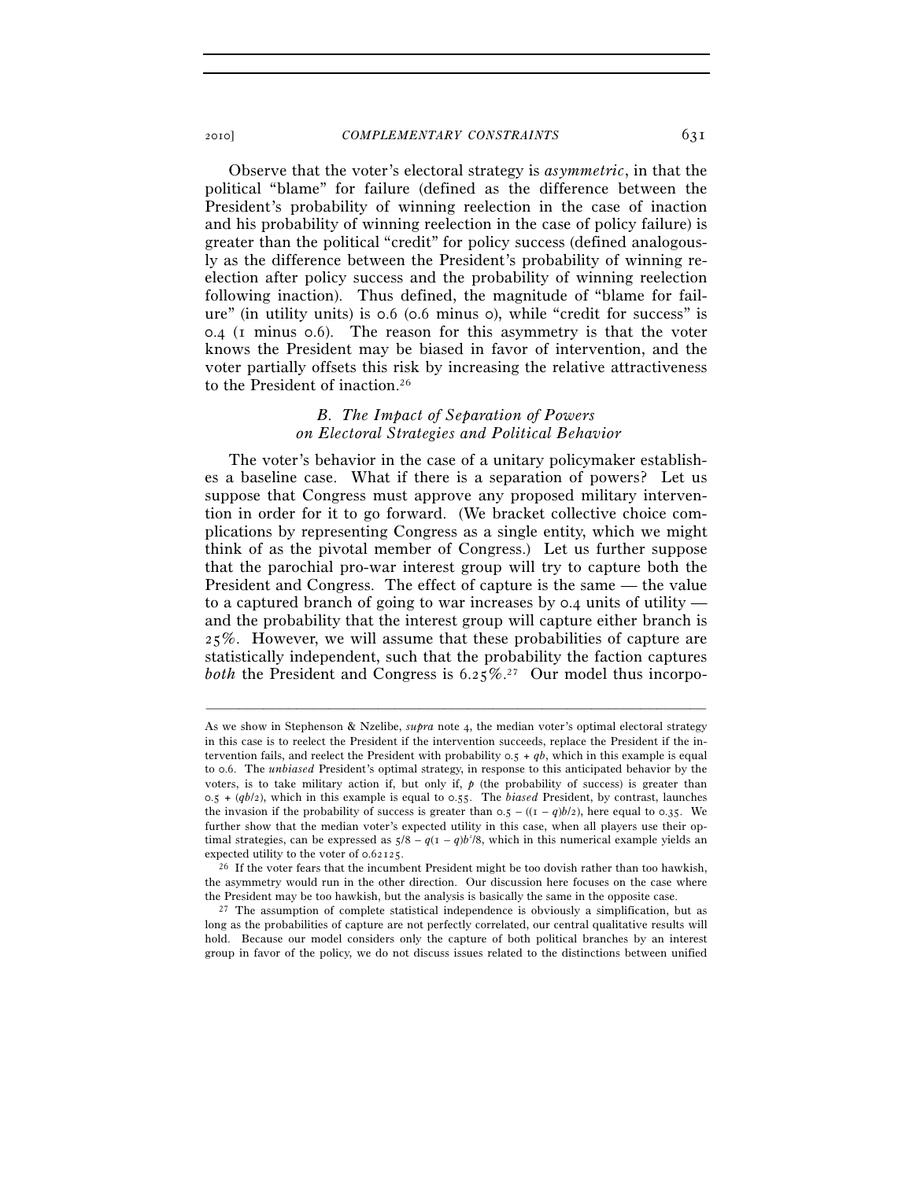Observe that the voter's electoral strategy is *asymmetric*, in that the political "blame" for failure (defined as the difference between the President's probability of winning reelection in the case of inaction and his probability of winning reelection in the case of policy failure) is greater than the political "credit" for policy success (defined analogously as the difference between the President's probability of winning reelection after policy success and the probability of winning reelection following inaction). Thus defined, the magnitude of "blame for failure" (in utility units) is 0.6 (0.6 minus 0), while "credit for success" is 0.4 (1 minus 0.6). The reason for this asymmetry is that the voter knows the President may be biased in favor of intervention, and the voter partially offsets this risk by increasing the relative attractiveness to the President of inaction.26

# *B. The Impact of Separation of Powers on Electoral Strategies and Political Behavior*

The voter's behavior in the case of a unitary policymaker establishes a baseline case. What if there is a separation of powers? Let us suppose that Congress must approve any proposed military intervention in order for it to go forward. (We bracket collective choice complications by representing Congress as a single entity, which we might think of as the pivotal member of Congress.) Let us further suppose that the parochial pro-war interest group will try to capture both the President and Congress. The effect of capture is the same — the value to a captured branch of going to war increases by 0.4 units of utility and the probability that the interest group will capture either branch is 25%. However, we will assume that these probabilities of capture are statistically independent, such that the probability the faction captures *both* the President and Congress is 6.25%.27 Our model thus incorpo-

As we show in Stephenson & Nzelibe, *supra* note 4, the median voter's optimal electoral strategy in this case is to reelect the President if the intervention succeeds, replace the President if the intervention fails, and reelect the President with probability  $0.5 + qb$ , which in this example is equal to 0.6. The *unbiased* President's optimal strategy, in response to this anticipated behavior by the voters, is to take military action if, but only if, *p* (the probability of success) is greater than 0.5 + (*qb*/2), which in this example is equal to 0.55. The *biased* President, by contrast, launches the invasion if the probability of success is greater than  $0.5 - ((1 - q)b/2)$ , here equal to 0.35. We further show that the median voter's expected utility in this case, when all players use their optimal strategies, can be expressed as  $5/8 - q(1 - q)b^2/8$ , which in this numerical example yields an expected utility to the voter of 0.62125.<br><sup>26</sup> If the voter fears that the incumbent President might be too dovish rather than too hawkish,

the asymmetry would run in the other direction. Our discussion here focuses on the case where the President may be too hawkish, but the analysis is basically the same in the opposite case.  $27$  The assumption of complete statistical independence is obviously a simplification, but as

long as the probabilities of capture are not perfectly correlated, our central qualitative results will hold. Because our model considers only the capture of both political branches by an interest group in favor of the policy, we do not discuss issues related to the distinctions between unified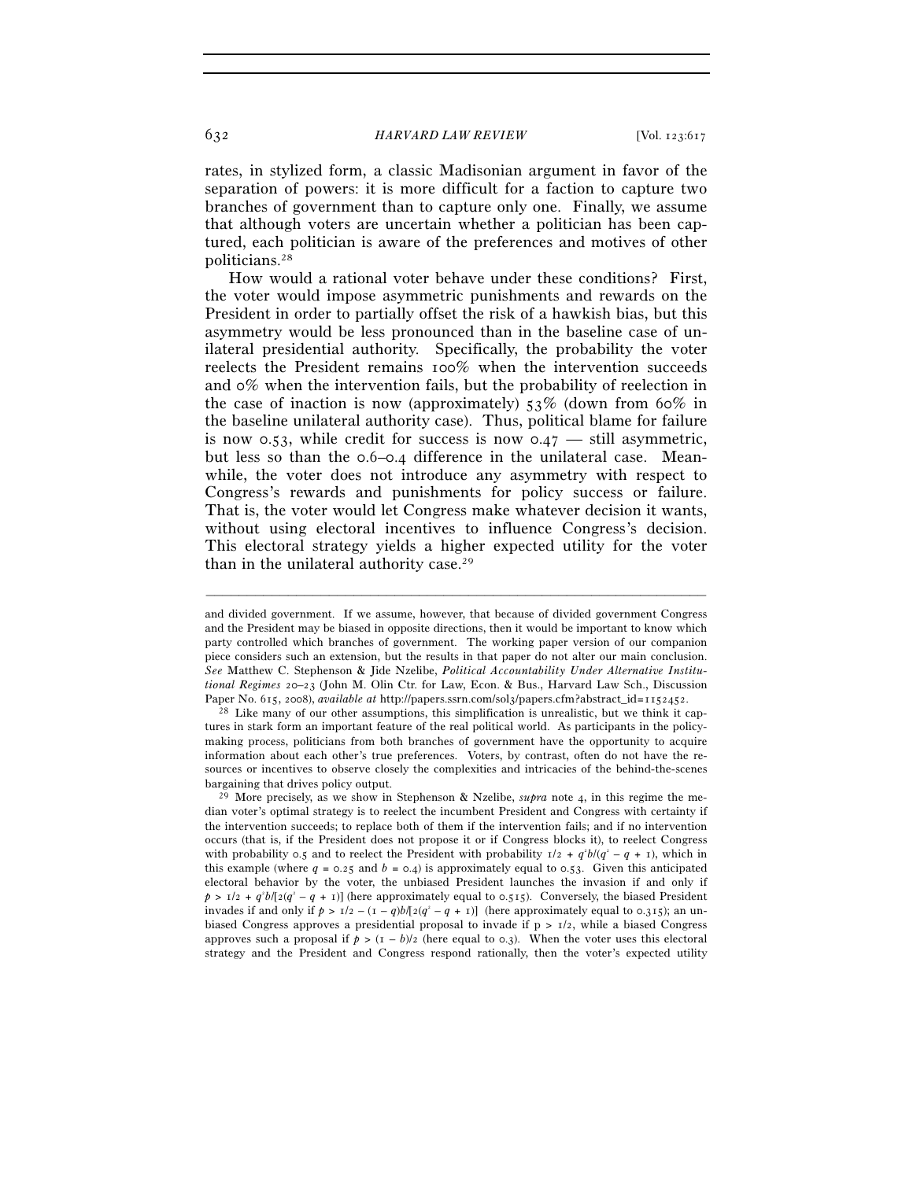rates, in stylized form, a classic Madisonian argument in favor of the separation of powers: it is more difficult for a faction to capture two branches of government than to capture only one. Finally, we assume that although voters are uncertain whether a politician has been captured, each politician is aware of the preferences and motives of other politicians.28

How would a rational voter behave under these conditions? First, the voter would impose asymmetric punishments and rewards on the President in order to partially offset the risk of a hawkish bias, but this asymmetry would be less pronounced than in the baseline case of unilateral presidential authority. Specifically, the probability the voter reelects the President remains 100% when the intervention succeeds and 0% when the intervention fails, but the probability of reelection in the case of inaction is now (approximately)  $53\%$  (down from 60% in the baseline unilateral authority case). Thus, political blame for failure is now 0.53, while credit for success is now  $0.47$  — still asymmetric, but less so than the 0.6–0.4 difference in the unilateral case. Meanwhile, the voter does not introduce any asymmetry with respect to Congress's rewards and punishments for policy success or failure. That is, the voter would let Congress make whatever decision it wants, without using electoral incentives to influence Congress's decision. This electoral strategy yields a higher expected utility for the voter than in the unilateral authority case.29

and divided government. If we assume, however, that because of divided government Congress and the President may be biased in opposite directions, then it would be important to know which party controlled which branches of government. The working paper version of our companion piece considers such an extension, but the results in that paper do not alter our main conclusion. *See* Matthew C. Stephenson & Jide Nzelibe, *Political Accountability Under Alternative Institutional Regimes* 20–23 (John M. Olin Ctr. for Law, Econ. & Bus., Harvard Law Sch., Discussion Paper No. 615, 2008), *available at* http://papers.ssrn.com/sol3/papers.cfm?abstract\_id=1152452. 28 Like many of our other assumptions, this simplification is unrealistic, but we think it cap-

tures in stark form an important feature of the real political world. As participants in the policymaking process, politicians from both branches of government have the opportunity to acquire information about each other's true preferences. Voters, by contrast, often do not have the resources or incentives to observe closely the complexities and intricacies of the behind-the-scenes bargaining that drives policy output. 29 More precisely, as we show in Stephenson & Nzelibe, *supra* note 4, in this regime the me-

dian voter's optimal strategy is to reelect the incumbent President and Congress with certainty if the intervention succeeds; to replace both of them if the intervention fails; and if no intervention occurs (that is, if the President does not propose it or if Congress blocks it), to reelect Congress with probability 0.5 and to reelect the President with probability  $1/2 + q^2b/(q^2 - q + 1)$ , which in this example (where  $q = 0.25$  and  $b = 0.4$ ) is approximately equal to 0.53. Given this anticipated electoral behavior by the voter, the unbiased President launches the invasion if and only if  $p > 1/2 + q^2 b/[2(q^2 - q + 1)]$  (here approximately equal to 0.515). Conversely, the biased President invades if and only if  $p > 1/2 - (1 - q)b/[2(q^2 - q + 1)]$  (here approximately equal to 0.315); an unbiased Congress approves a presidential proposal to invade if  $p > 1/2$ , while a biased Congress approves such a proposal if  $p > (1 - b)/2$  (here equal to 0.3). When the voter uses this electoral strategy and the President and Congress respond rationally, then the voter's expected utility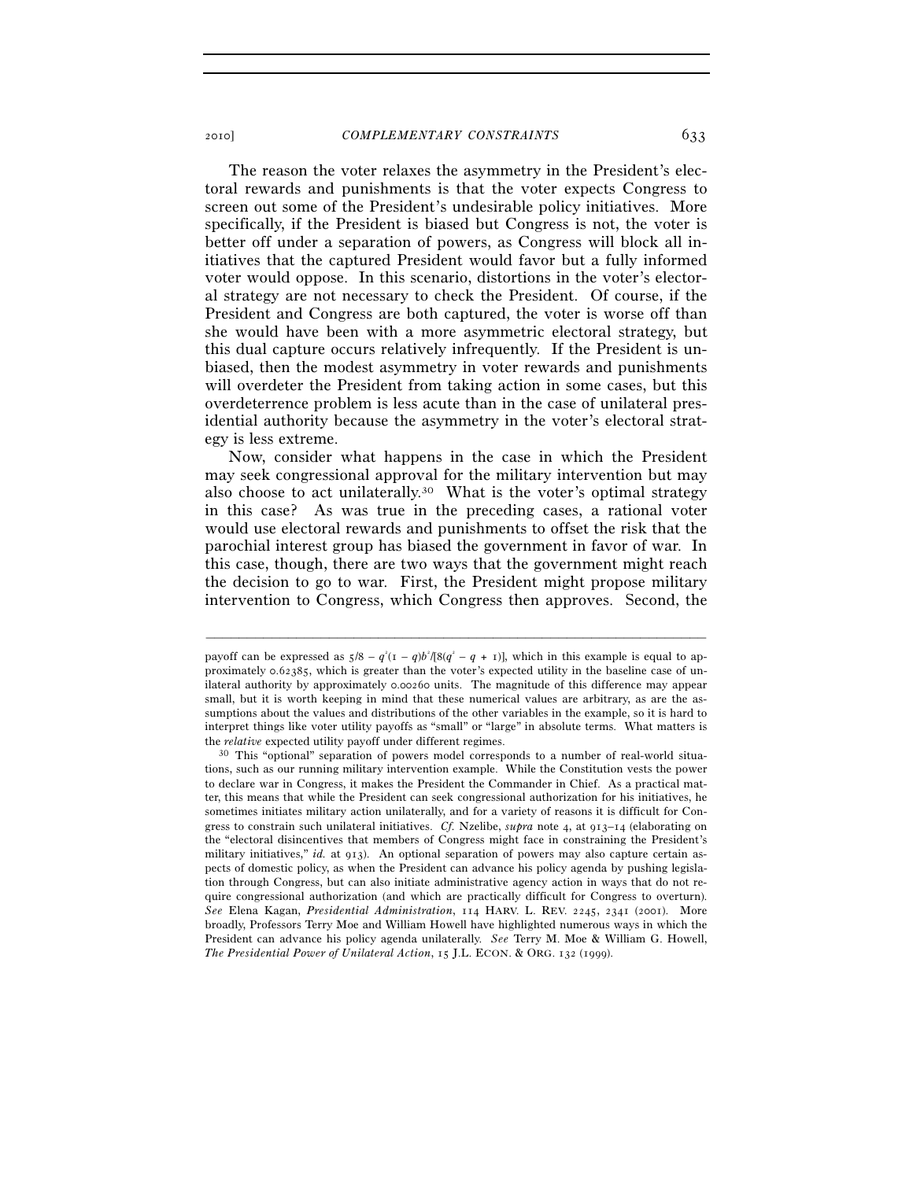The reason the voter relaxes the asymmetry in the President's electoral rewards and punishments is that the voter expects Congress to screen out some of the President's undesirable policy initiatives. More specifically, if the President is biased but Congress is not, the voter is better off under a separation of powers, as Congress will block all initiatives that the captured President would favor but a fully informed voter would oppose. In this scenario, distortions in the voter's electoral strategy are not necessary to check the President. Of course, if the President and Congress are both captured, the voter is worse off than she would have been with a more asymmetric electoral strategy, but this dual capture occurs relatively infrequently. If the President is unbiased, then the modest asymmetry in voter rewards and punishments will overdeter the President from taking action in some cases, but this overdeterrence problem is less acute than in the case of unilateral presidential authority because the asymmetry in the voter's electoral strategy is less extreme.

Now, consider what happens in the case in which the President may seek congressional approval for the military intervention but may also choose to act unilaterally.30 What is the voter's optimal strategy in this case? As was true in the preceding cases, a rational voter would use electoral rewards and punishments to offset the risk that the parochial interest group has biased the government in favor of war. In this case, though, there are two ways that the government might reach the decision to go to war. First, the President might propose military intervention to Congress, which Congress then approves. Second, the

payoff can be expressed as  $5/8 - q^2(1 - q)b^3/[8(q^2 - q + 1)]$ , which in this example is equal to approximately 0.62385, which is greater than the voter's expected utility in the baseline case of unilateral authority by approximately 0.00260 units. The magnitude of this difference may appear small, but it is worth keeping in mind that these numerical values are arbitrary, as are the assumptions about the values and distributions of the other variables in the example, so it is hard to interpret things like voter utility payoffs as "small" or "large" in absolute terms. What matters is the *relative* expected utility payoff under different regimes.<br><sup>30</sup> This "optional" separation of powers model corresponds to a number of real-world situa-

tions, such as our running military intervention example. While the Constitution vests the power to declare war in Congress, it makes the President the Commander in Chief. As a practical matter, this means that while the President can seek congressional authorization for his initiatives, he sometimes initiates military action unilaterally, and for a variety of reasons it is difficult for Congress to constrain such unilateral initiatives. *Cf.* Nzelibe, *supra* note 4, at 913–14 (elaborating on the "electoral disincentives that members of Congress might face in constraining the President's military initiatives," *id.* at 913). An optional separation of powers may also capture certain aspects of domestic policy, as when the President can advance his policy agenda by pushing legislation through Congress, but can also initiate administrative agency action in ways that do not require congressional authorization (and which are practically difficult for Congress to overturn). *See* Elena Kagan, *Presidential Administration*, 114 HARV. L. REV. 2245, 2341 (2001). More broadly, Professors Terry Moe and William Howell have highlighted numerous ways in which the President can advance his policy agenda unilaterally. *See* Terry M. Moe & William G. Howell, *The Presidential Power of Unilateral Action*, 15 J.L. ECON. & ORG. 132 (1999).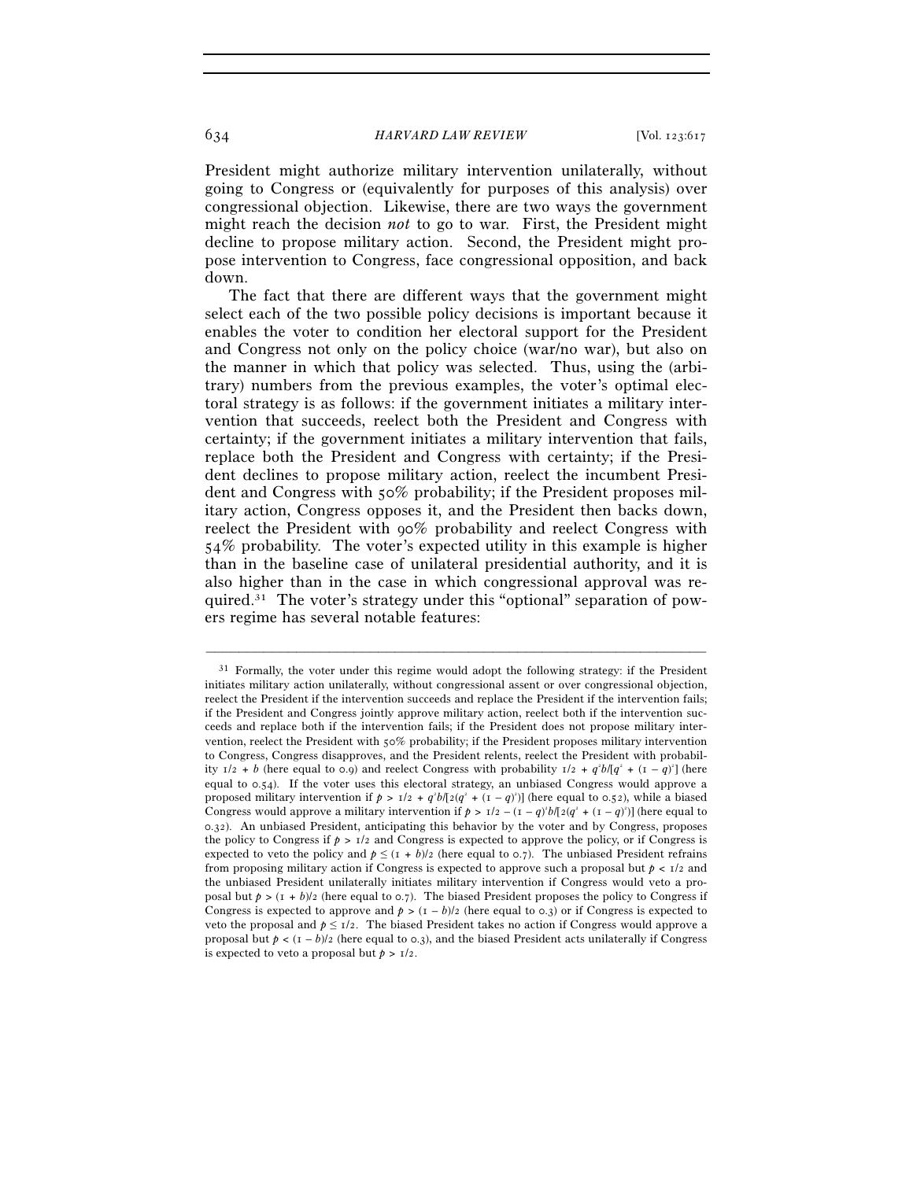President might authorize military intervention unilaterally, without going to Congress or (equivalently for purposes of this analysis) over congressional objection. Likewise, there are two ways the government might reach the decision *not* to go to war. First, the President might decline to propose military action. Second, the President might propose intervention to Congress, face congressional opposition, and back down.

The fact that there are different ways that the government might select each of the two possible policy decisions is important because it enables the voter to condition her electoral support for the President and Congress not only on the policy choice (war/no war), but also on the manner in which that policy was selected. Thus, using the (arbitrary) numbers from the previous examples, the voter's optimal electoral strategy is as follows: if the government initiates a military intervention that succeeds, reelect both the President and Congress with certainty; if the government initiates a military intervention that fails, replace both the President and Congress with certainty; if the President declines to propose military action, reelect the incumbent President and Congress with 50% probability; if the President proposes military action, Congress opposes it, and the President then backs down, reelect the President with 90% probability and reelect Congress with 54% probability. The voter's expected utility in this example is higher than in the baseline case of unilateral presidential authority, and it is also higher than in the case in which congressional approval was required.31 The voter's strategy under this "optional" separation of powers regime has several notable features:

 $31$  Formally, the voter under this regime would adopt the following strategy: if the President initiates military action unilaterally, without congressional assent or over congressional objection, reelect the President if the intervention succeeds and replace the President if the intervention fails; if the President and Congress jointly approve military action, reelect both if the intervention succeeds and replace both if the intervention fails; if the President does not propose military intervention, reelect the President with 50% probability; if the President proposes military intervention to Congress, Congress disapproves, and the President relents, reelect the President with probability  $1/2 + b$  (here equal to 0.9) and reelect Congress with probability  $1/2 + q^2b/(q^2 + (1 - q)^2)$  (here equal to 0.54). If the voter uses this electoral strategy, an unbiased Congress would approve a proposed military intervention if  $p > 1/2 + q^2b/[2(q^2 + (1 - q)^2)]$  (here equal to 0.52), while a biased Congress would approve a military intervention if  $p > 1/2 - (I - q)^2 b/[2(q^2 + (I - q)^2)]$  (here equal to 0.32). An unbiased President, anticipating this behavior by the voter and by Congress, proposes the policy to Congress if  $p > 1/2$  and Congress is expected to approve the policy, or if Congress is expected to veto the policy and  $p \leq (1 + b)/2$  (here equal to 0.7). The unbiased President refrains from proposing military action if Congress is expected to approve such a proposal but  $p < 1/2$  and the unbiased President unilaterally initiates military intervention if Congress would veto a proposal but  $p > (1 + b)/2$  (here equal to 0.7). The biased President proposes the policy to Congress if Congress is expected to approve and  $p > (1 - b)/2$  (here equal to 0.3) or if Congress is expected to veto the proposal and  $p \leq 1/2$ . The biased President takes no action if Congress would approve a proposal but  $p < (1 - b)/2$  (here equal to 0.3), and the biased President acts unilaterally if Congress is expected to veto a proposal but  $p > 1/2$ .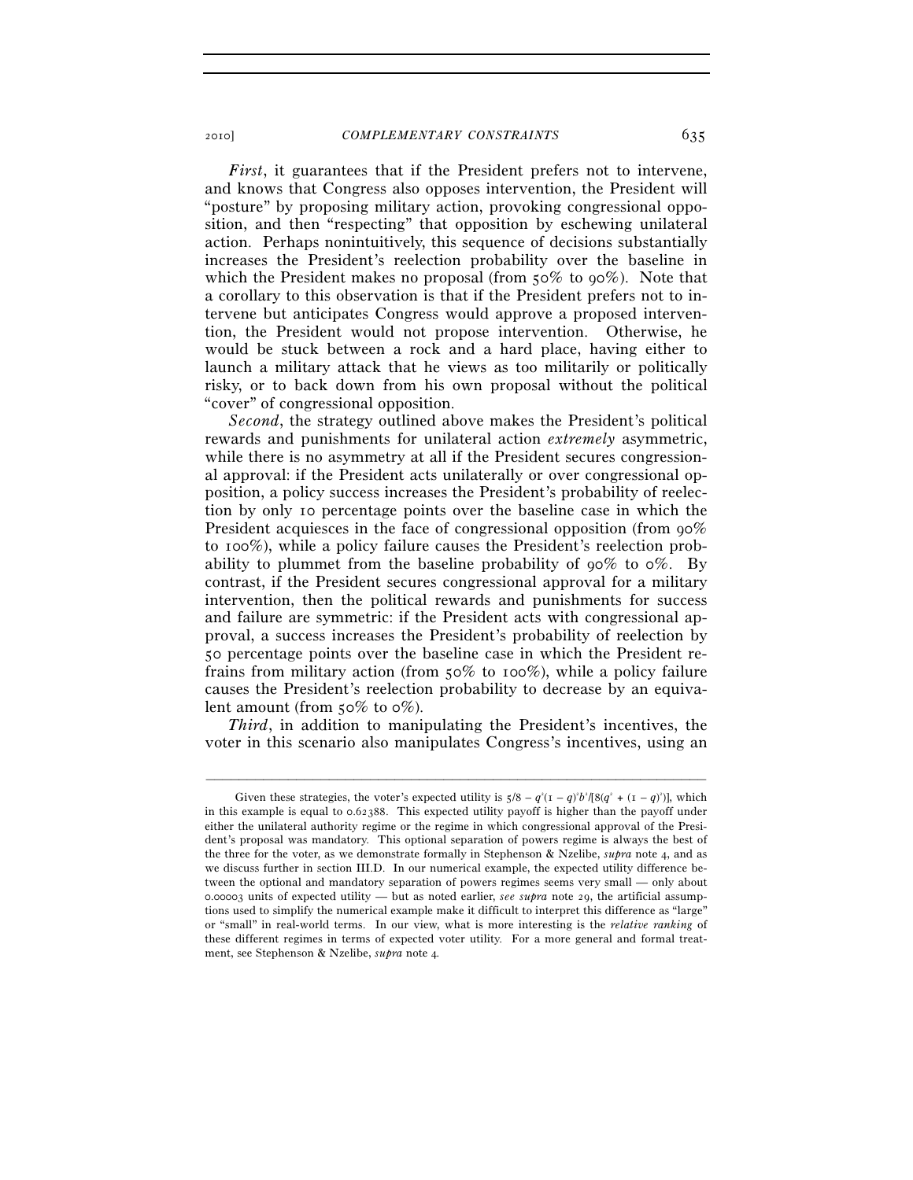*First*, it guarantees that if the President prefers not to intervene, and knows that Congress also opposes intervention, the President will "posture" by proposing military action, provoking congressional opposition, and then "respecting" that opposition by eschewing unilateral action. Perhaps nonintuitively, this sequence of decisions substantially increases the President's reelection probability over the baseline in which the President makes no proposal (from 50% to 90%). Note that a corollary to this observation is that if the President prefers not to intervene but anticipates Congress would approve a proposed intervention, the President would not propose intervention. Otherwise, he would be stuck between a rock and a hard place, having either to launch a military attack that he views as too militarily or politically risky, or to back down from his own proposal without the political "cover" of congressional opposition.

*Second*, the strategy outlined above makes the President's political rewards and punishments for unilateral action *extremely* asymmetric, while there is no asymmetry at all if the President secures congressional approval: if the President acts unilaterally or over congressional opposition, a policy success increases the President's probability of reelection by only 10 percentage points over the baseline case in which the President acquiesces in the face of congressional opposition (from 90%) to 100%), while a policy failure causes the President's reelection probability to plummet from the baseline probability of  $90\%$  to  $0\%$ . By contrast, if the President secures congressional approval for a military intervention, then the political rewards and punishments for success and failure are symmetric: if the President acts with congressional approval, a success increases the President's probability of reelection by 50 percentage points over the baseline case in which the President refrains from military action (from 50% to 100%), while a policy failure causes the President's reelection probability to decrease by an equivalent amount (from  $50\%$  to  $0\%$ ).

*Third*, in addition to manipulating the President's incentives, the voter in this scenario also manipulates Congress's incentives, using an

Given these strategies, the voter's expected utility is  $5/8 - q^2(1 - q)^2b^2/[8(q^2 + (1 - q)^2)]$ , which in this example is equal to 0.62388. This expected utility payoff is higher than the payoff under either the unilateral authority regime or the regime in which congressional approval of the President's proposal was mandatory. This optional separation of powers regime is always the best of the three for the voter, as we demonstrate formally in Stephenson & Nzelibe, *supra* note 4, and as we discuss further in section III.D. In our numerical example, the expected utility difference between the optional and mandatory separation of powers regimes seems very small — only about 0.00003 units of expected utility — but as noted earlier, *see supra* note 29, the artificial assumptions used to simplify the numerical example make it difficult to interpret this difference as "large" or "small" in real-world terms. In our view, what is more interesting is the *relative ranking* of these different regimes in terms of expected voter utility. For a more general and formal treatment, see Stephenson & Nzelibe, *supra* note 4*.*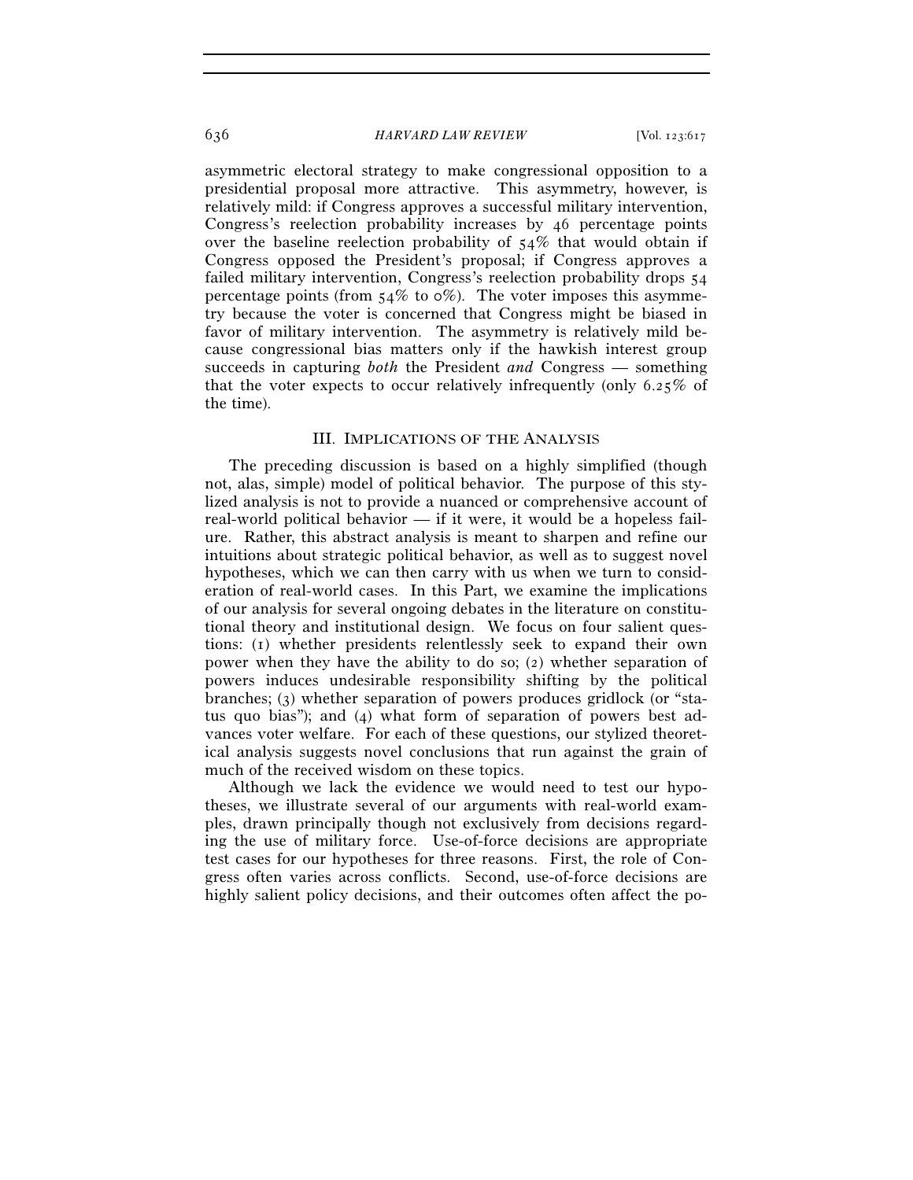asymmetric electoral strategy to make congressional opposition to a presidential proposal more attractive. This asymmetry, however, is relatively mild: if Congress approves a successful military intervention, Congress's reelection probability increases by 46 percentage points over the baseline reelection probability of 54% that would obtain if Congress opposed the President's proposal; if Congress approves a failed military intervention, Congress's reelection probability drops 54 percentage points (from  $54\%$  to  $\circ\%$ ). The voter imposes this asymmetry because the voter is concerned that Congress might be biased in favor of military intervention. The asymmetry is relatively mild because congressional bias matters only if the hawkish interest group succeeds in capturing *both* the President *and* Congress — something that the voter expects to occur relatively infrequently (only 6.25% of the time).

#### III. IMPLICATIONS OF THE ANALYSIS

The preceding discussion is based on a highly simplified (though not, alas, simple) model of political behavior. The purpose of this stylized analysis is not to provide a nuanced or comprehensive account of real-world political behavior — if it were, it would be a hopeless failure. Rather, this abstract analysis is meant to sharpen and refine our intuitions about strategic political behavior, as well as to suggest novel hypotheses, which we can then carry with us when we turn to consideration of real-world cases. In this Part, we examine the implications of our analysis for several ongoing debates in the literature on constitutional theory and institutional design. We focus on four salient questions: (1) whether presidents relentlessly seek to expand their own power when they have the ability to do so; (2) whether separation of powers induces undesirable responsibility shifting by the political branches; (3) whether separation of powers produces gridlock (or "status quo bias"); and (4) what form of separation of powers best advances voter welfare. For each of these questions, our stylized theoretical analysis suggests novel conclusions that run against the grain of much of the received wisdom on these topics.

Although we lack the evidence we would need to test our hypotheses, we illustrate several of our arguments with real-world examples, drawn principally though not exclusively from decisions regarding the use of military force. Use-of-force decisions are appropriate test cases for our hypotheses for three reasons. First, the role of Congress often varies across conflicts. Second, use-of-force decisions are highly salient policy decisions, and their outcomes often affect the po-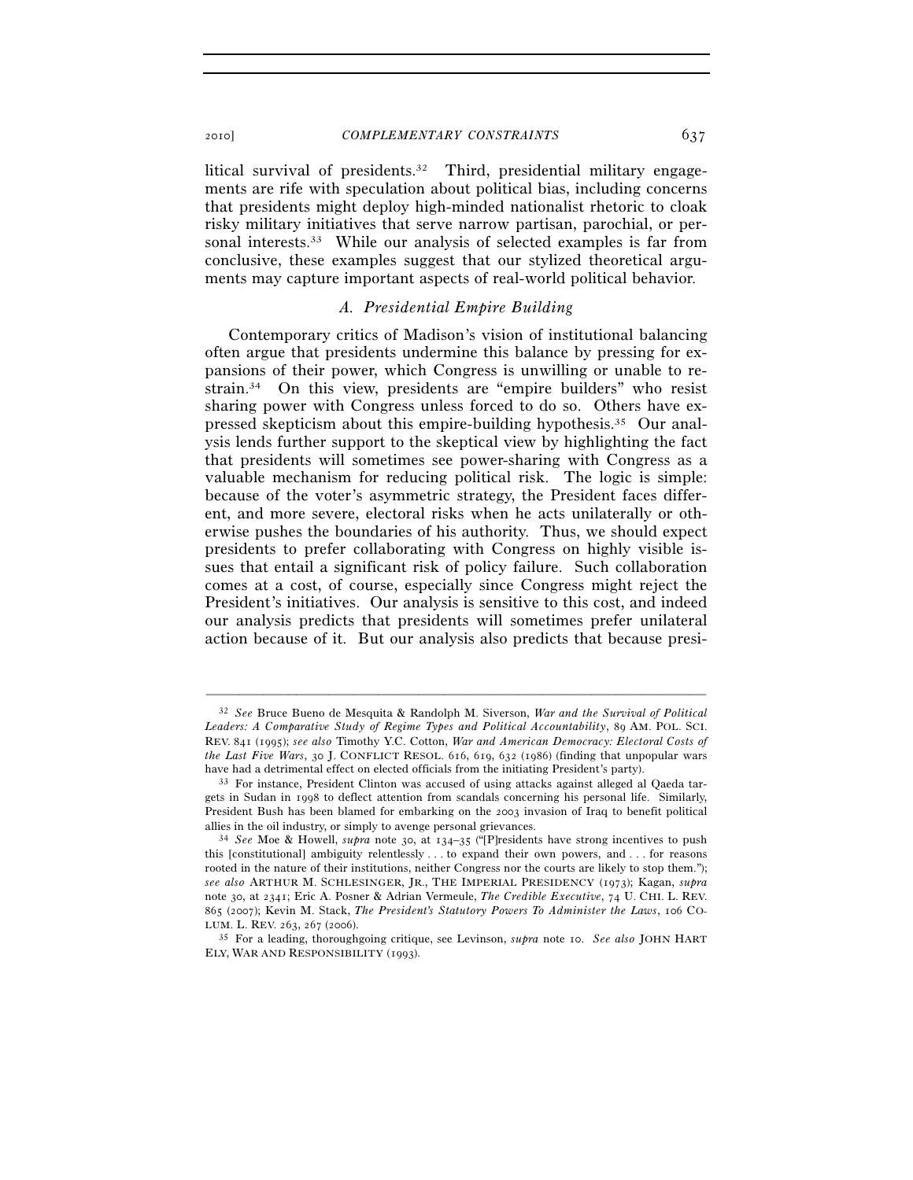litical survival of presidents.32 Third, presidential military engagements are rife with speculation about political bias, including concerns that presidents might deploy high-minded nationalist rhetoric to cloak risky military initiatives that serve narrow partisan, parochial, or personal interests.33 While our analysis of selected examples is far from conclusive, these examples suggest that our stylized theoretical arguments may capture important aspects of real-world political behavior.

## *A. Presidential Empire Building*

Contemporary critics of Madison's vision of institutional balancing often argue that presidents undermine this balance by pressing for expansions of their power, which Congress is unwilling or unable to restrain.34 On this view, presidents are "empire builders" who resist sharing power with Congress unless forced to do so. Others have expressed skepticism about this empire-building hypothesis.35 Our analysis lends further support to the skeptical view by highlighting the fact that presidents will sometimes see power-sharing with Congress as a valuable mechanism for reducing political risk. The logic is simple: because of the voter's asymmetric strategy, the President faces different, and more severe, electoral risks when he acts unilaterally or otherwise pushes the boundaries of his authority. Thus, we should expect presidents to prefer collaborating with Congress on highly visible issues that entail a significant risk of policy failure. Such collaboration comes at a cost, of course, especially since Congress might reject the President's initiatives. Our analysis is sensitive to this cost, and indeed our analysis predicts that presidents will sometimes prefer unilateral action because of it. But our analysis also predicts that because presi-

<sup>32</sup> *See* Bruce Bueno de Mesquita & Randolph M. Siverson, *War and the Survival of Political Leaders: A Comparative Study of Regime Types and Political Accountability*, 89 AM. POL. SCI. REV. 841 (1995); *see also* Timothy Y.C. Cotton, *War and American Democracy: Electoral Costs of the Last Five Wars*, 30 J. CONFLICT RESOL. 616, 619, 632 (1986) (finding that unpopular wars have had a detrimental effect on elected officials from the initiating President's party).<br><sup>33</sup> For instance, President Clinton was accused of using attacks against alleged al Qaeda tar-

gets in Sudan in 1998 to deflect attention from scandals concerning his personal life. Similarly, President Bush has been blamed for embarking on the 2003 invasion of Iraq to benefit political allies in the oil industry, or simply to avenge personal grievances. 34 *See* Moe & Howell, *supra* note 30, at 134–35 ("[P]residents have strong incentives to push

this [constitutional] ambiguity relentlessly . . . to expand their own powers, and . . . for reasons rooted in the nature of their institutions, neither Congress nor the courts are likely to stop them."); *see also* ARTHUR M. SCHLESINGER, JR., THE IMPERIAL PRESIDENCY (1973); Kagan, *supra* note 30, at 2341; Eric A. Posner & Adrian Vermeule, *The Credible Executive*, 74 U. CHI. L. REV. 865 (2007); Kevin M. Stack, *The President's Statutory Powers To Administer the Laws*, 106 CO-

<sup>&</sup>lt;sup>35</sup> For a leading, thoroughgoing critique, see Levinson, *supra* note 10. *See also* JOHN HART ELY, WAR AND RESPONSIBILITY (1993).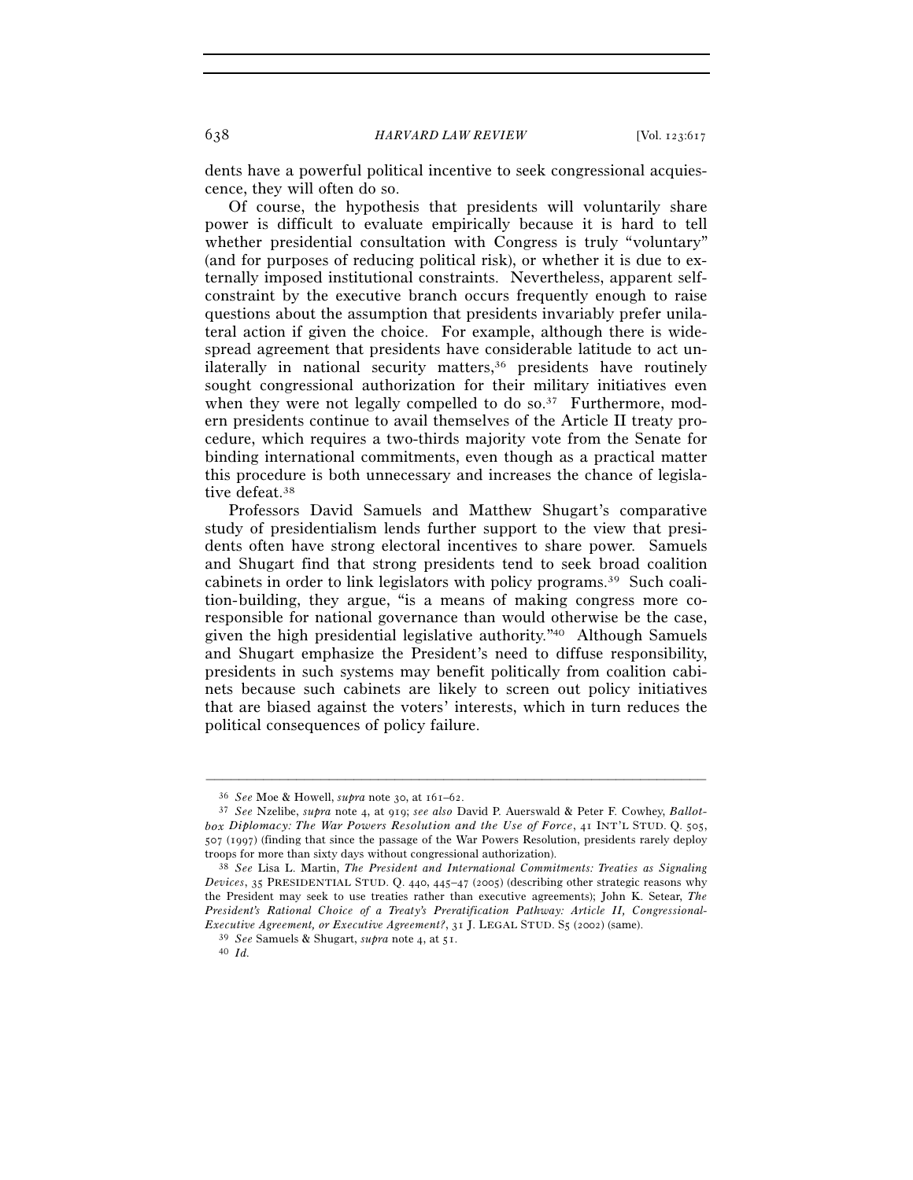dents have a powerful political incentive to seek congressional acquiescence, they will often do so.

Of course, the hypothesis that presidents will voluntarily share power is difficult to evaluate empirically because it is hard to tell whether presidential consultation with Congress is truly "voluntary" (and for purposes of reducing political risk), or whether it is due to externally imposed institutional constraints. Nevertheless, apparent selfconstraint by the executive branch occurs frequently enough to raise questions about the assumption that presidents invariably prefer unilateral action if given the choice. For example, although there is widespread agreement that presidents have considerable latitude to act unilaterally in national security matters,<sup>36</sup> presidents have routinely sought congressional authorization for their military initiatives even when they were not legally compelled to do so.<sup>37</sup> Furthermore, modern presidents continue to avail themselves of the Article II treaty procedure, which requires a two-thirds majority vote from the Senate for binding international commitments, even though as a practical matter this procedure is both unnecessary and increases the chance of legislative defeat.38

Professors David Samuels and Matthew Shugart's comparative study of presidentialism lends further support to the view that presidents often have strong electoral incentives to share power. Samuels and Shugart find that strong presidents tend to seek broad coalition cabinets in order to link legislators with policy programs.39 Such coalition-building, they argue, "is a means of making congress more coresponsible for national governance than would otherwise be the case, given the high presidential legislative authority."40 Although Samuels and Shugart emphasize the President's need to diffuse responsibility, presidents in such systems may benefit politically from coalition cabinets because such cabinets are likely to screen out policy initiatives that are biased against the voters' interests, which in turn reduces the political consequences of policy failure.

<sup>36</sup> *See* Moe & Howell, *supra* note 30, at 161–62. 37 *See* Nzelibe, *supra* note 4, at 919; *see also* David P. Auerswald & Peter F. Cowhey, *Ballotbox Diplomacy: The War Powers Resolution and the Use of Force*, 41 INT'L STUD. Q. 505, 507 (1997) (finding that since the passage of the War Powers Resolution, presidents rarely deploy troops for more than sixty days without congressional authorization). 38 *See* Lisa L. Martin, *The President and International Commitments: Treaties as Signaling* 

*Devices*, 35 PRESIDENTIAL STUD. Q. 440, 445–47 (2005) (describing other strategic reasons why the President may seek to use treaties rather than executive agreements); John K. Setear, *The President's Rational Choice of a Treaty's Preratification Pathway: Article II, Congressional-Executive Agreement, or Executive Agreement?*, 31 J. LEGAL STUD. S5 (2002) (same). 39 *See* Samuels & Shugart, *supra* note 4, at 51. 40 *Id.*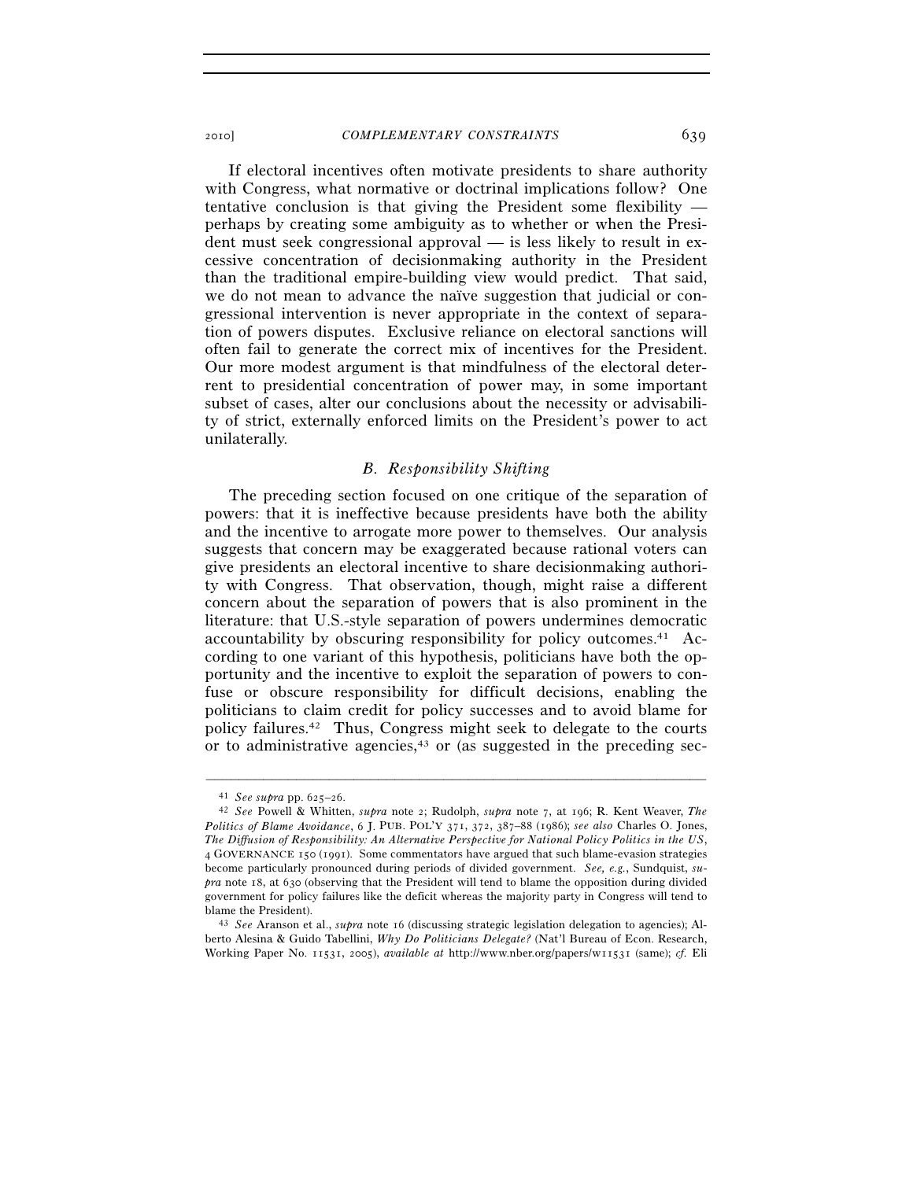If electoral incentives often motivate presidents to share authority with Congress, what normative or doctrinal implications follow? One tentative conclusion is that giving the President some flexibility perhaps by creating some ambiguity as to whether or when the President must seek congressional approval — is less likely to result in excessive concentration of decisionmaking authority in the President than the traditional empire-building view would predict. That said, we do not mean to advance the naïve suggestion that judicial or congressional intervention is never appropriate in the context of separation of powers disputes. Exclusive reliance on electoral sanctions will often fail to generate the correct mix of incentives for the President. Our more modest argument is that mindfulness of the electoral deterrent to presidential concentration of power may, in some important subset of cases, alter our conclusions about the necessity or advisability of strict, externally enforced limits on the President's power to act unilaterally.

## *B. Responsibility Shifting*

The preceding section focused on one critique of the separation of powers: that it is ineffective because presidents have both the ability and the incentive to arrogate more power to themselves. Our analysis suggests that concern may be exaggerated because rational voters can give presidents an electoral incentive to share decisionmaking authority with Congress. That observation, though, might raise a different concern about the separation of powers that is also prominent in the literature: that U.S.-style separation of powers undermines democratic accountability by obscuring responsibility for policy outcomes.41 According to one variant of this hypothesis, politicians have both the opportunity and the incentive to exploit the separation of powers to confuse or obscure responsibility for difficult decisions, enabling the politicians to claim credit for policy successes and to avoid blame for policy failures.42 Thus, Congress might seek to delegate to the courts or to administrative agencies, $43$  or (as suggested in the preceding sec-

<sup>41</sup> *See supra* pp. 625–26. 42 *See* Powell & Whitten, *supra* note 2; Rudolph, *supra* note 7, at 196; R. Kent Weaver, *The Politics of Blame Avoidance*, 6 J. PUB. POL'Y 371, 372, 387–88 (1986); *see also* Charles O. Jones, *The Diffusion of Responsibility: An Alternative Perspective for National Policy Politics in the US*, 4 GOVERNANCE 150 (1991). Some commentators have argued that such blame-evasion strategies become particularly pronounced during periods of divided government. *See, e.g.*, Sundquist, *supra* note 18, at 630 (observing that the President will tend to blame the opposition during divided government for policy failures like the deficit whereas the majority party in Congress will tend to

blame the President). 43 *See* Aranson et al., *supra* note 16 (discussing strategic legislation delegation to agencies); Alberto Alesina & Guido Tabellini, *Why Do Politicians Delegate?* (Nat'l Bureau of Econ. Research, Working Paper No. 11531, 2005), *available at* http://www.nber.org/papers/w11531 (same); *cf.* Eli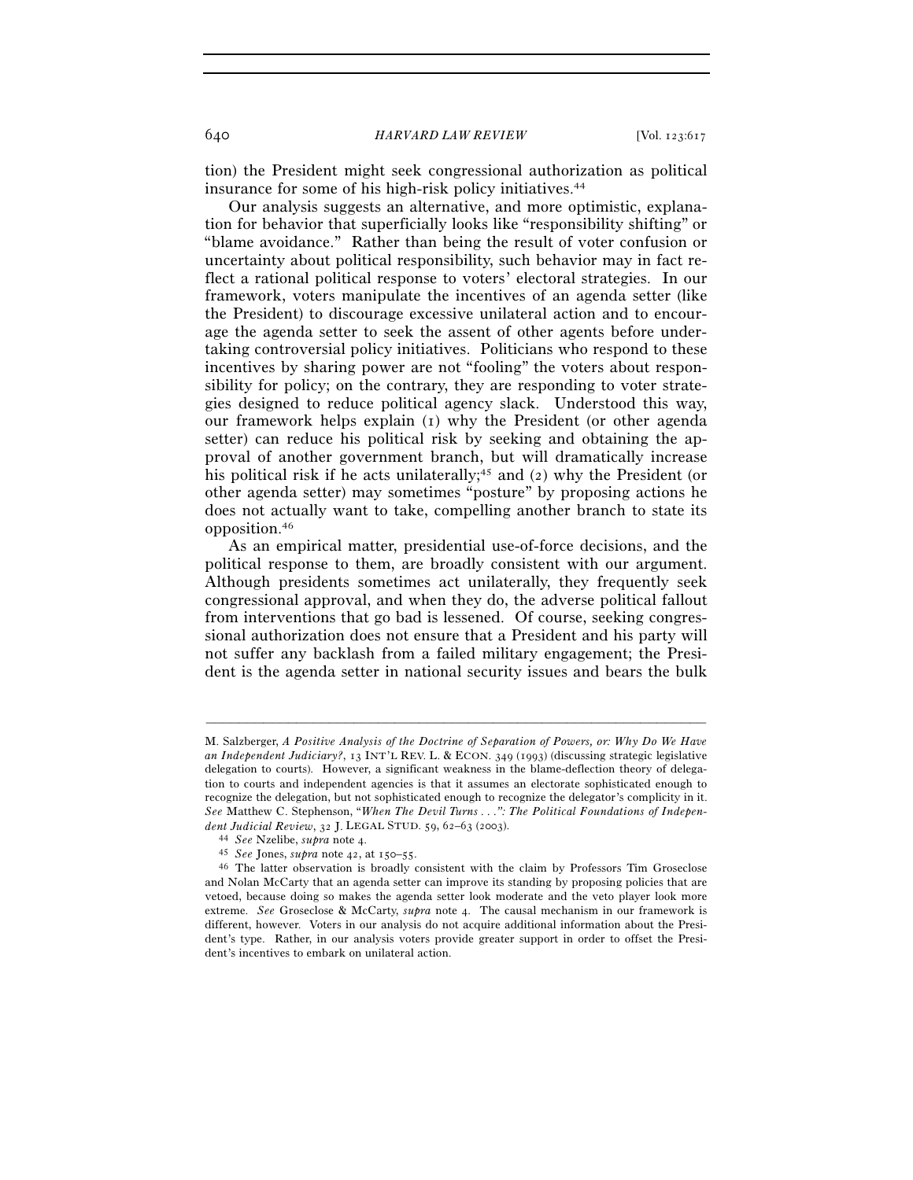tion) the President might seek congressional authorization as political insurance for some of his high-risk policy initiatives.44

Our analysis suggests an alternative, and more optimistic, explanation for behavior that superficially looks like "responsibility shifting" or "blame avoidance." Rather than being the result of voter confusion or uncertainty about political responsibility, such behavior may in fact reflect a rational political response to voters' electoral strategies. In our framework, voters manipulate the incentives of an agenda setter (like the President) to discourage excessive unilateral action and to encourage the agenda setter to seek the assent of other agents before undertaking controversial policy initiatives. Politicians who respond to these incentives by sharing power are not "fooling" the voters about responsibility for policy; on the contrary, they are responding to voter strategies designed to reduce political agency slack. Understood this way, our framework helps explain (1) why the President (or other agenda setter) can reduce his political risk by seeking and obtaining the approval of another government branch, but will dramatically increase his political risk if he acts unilaterally;<sup>45</sup> and (2) why the President (or other agenda setter) may sometimes "posture" by proposing actions he does not actually want to take, compelling another branch to state its opposition.46

As an empirical matter, presidential use-of-force decisions, and the political response to them, are broadly consistent with our argument. Although presidents sometimes act unilaterally, they frequently seek congressional approval, and when they do, the adverse political fallout from interventions that go bad is lessened. Of course, seeking congressional authorization does not ensure that a President and his party will not suffer any backlash from a failed military engagement; the President is the agenda setter in national security issues and bears the bulk

M. Salzberger, *A Positive Analysis of the Doctrine of Separation of Powers, or: Why Do We Have an Independent Judiciary?*, 13 INT'L REV. L. & ECON. 349 (1993) (discussing strategic legislative delegation to courts). However, a significant weakness in the blame-deflection theory of delegation to courts and independent agencies is that it assumes an electorate sophisticated enough to recognize the delegation, but not sophisticated enough to recognize the delegator's complicity in it. *See* Matthew C. Stephenson, "*When The Devil Turns . . .": The Political Foundations of Indepen*dent Judicial Review, 32 J. LEGAL STUD. 59, 62–63 (2003).<br>
<sup>44</sup> See Nzelibe, *supra* note 4.<br>
<sup>45</sup> See Jones, *supra* note 42, at 150–55.<br>
<sup>46</sup> The latter observation is broadly consistent with the claim by Professors Tim

and Nolan McCarty that an agenda setter can improve its standing by proposing policies that are vetoed, because doing so makes the agenda setter look moderate and the veto player look more extreme. *See* Groseclose & McCarty, *supra* note 4. The causal mechanism in our framework is different, however. Voters in our analysis do not acquire additional information about the President's type. Rather, in our analysis voters provide greater support in order to offset the President's incentives to embark on unilateral action.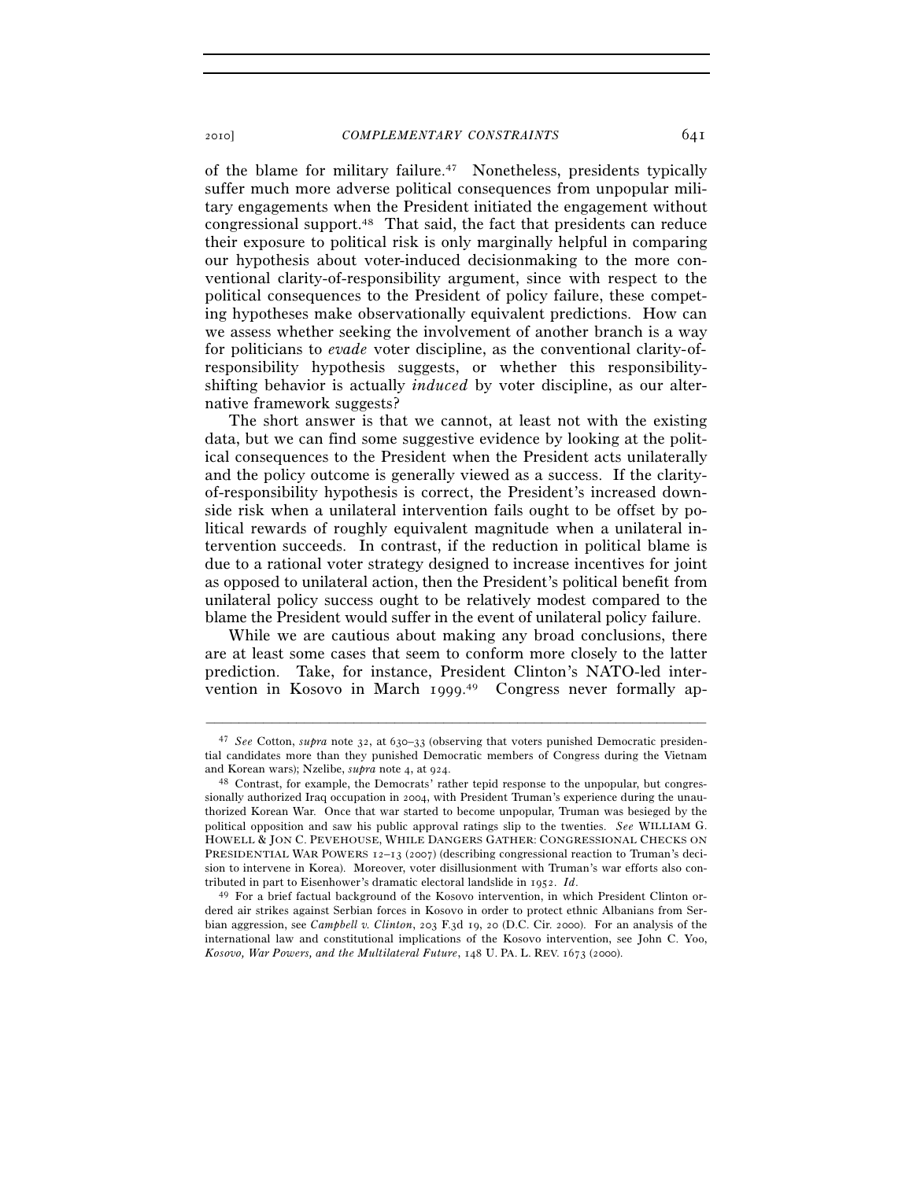of the blame for military failure.47 Nonetheless, presidents typically suffer much more adverse political consequences from unpopular military engagements when the President initiated the engagement without congressional support.48 That said, the fact that presidents can reduce their exposure to political risk is only marginally helpful in comparing our hypothesis about voter-induced decisionmaking to the more conventional clarity-of-responsibility argument, since with respect to the political consequences to the President of policy failure, these competing hypotheses make observationally equivalent predictions. How can we assess whether seeking the involvement of another branch is a way for politicians to *evade* voter discipline, as the conventional clarity-ofresponsibility hypothesis suggests, or whether this responsibilityshifting behavior is actually *induced* by voter discipline, as our alternative framework suggests?

The short answer is that we cannot, at least not with the existing data, but we can find some suggestive evidence by looking at the political consequences to the President when the President acts unilaterally and the policy outcome is generally viewed as a success. If the clarityof-responsibility hypothesis is correct, the President's increased downside risk when a unilateral intervention fails ought to be offset by political rewards of roughly equivalent magnitude when a unilateral intervention succeeds. In contrast, if the reduction in political blame is due to a rational voter strategy designed to increase incentives for joint as opposed to unilateral action, then the President's political benefit from unilateral policy success ought to be relatively modest compared to the blame the President would suffer in the event of unilateral policy failure.

While we are cautious about making any broad conclusions, there are at least some cases that seem to conform more closely to the latter prediction. Take, for instance, President Clinton's NATO-led intervention in Kosovo in March 1999. 49 Congress never formally ap-

<sup>47</sup> *See* Cotton, *supra* note 32, at 630–33 (observing that voters punished Democratic presidential candidates more than they punished Democratic members of Congress during the Vietnam and Korean wars); Nzelibe, *supra* note 4, at 924.<br><sup>48</sup> Contrast, for example, the Democrats' rather tepid response to the unpopular, but congres-

sionally authorized Iraq occupation in 2004, with President Truman's experience during the unauthorized Korean War. Once that war started to become unpopular, Truman was besieged by the political opposition and saw his public approval ratings slip to the twenties. *See* WILLIAM G. HOWELL & JON C. PEVEHOUSE, WHILE DANGERS GATHER: CONGRESSIONAL CHECKS ON PRESIDENTIAL WAR POWERS 12-13 (2007) (describing congressional reaction to Truman's decision to intervene in Korea). Moreover, voter disillusionment with Truman's war efforts also contributed in part to Eisenhower's dramatic electoral landslide in 1952. *Id*.<br><sup>49</sup> For a brief factual background of the Kosovo intervention, in which President Clinton or-

dered air strikes against Serbian forces in Kosovo in order to protect ethnic Albanians from Serbian aggression, see *Campbell v. Clinton*, 203 F.3d 19, 20 (D.C. Cir. 2000). For an analysis of the international law and constitutional implications of the Kosovo intervention, see John C. Yoo, *Kosovo, War Powers, and the Multilateral Future*, 148 U. PA. L. REV. 1673 (2000).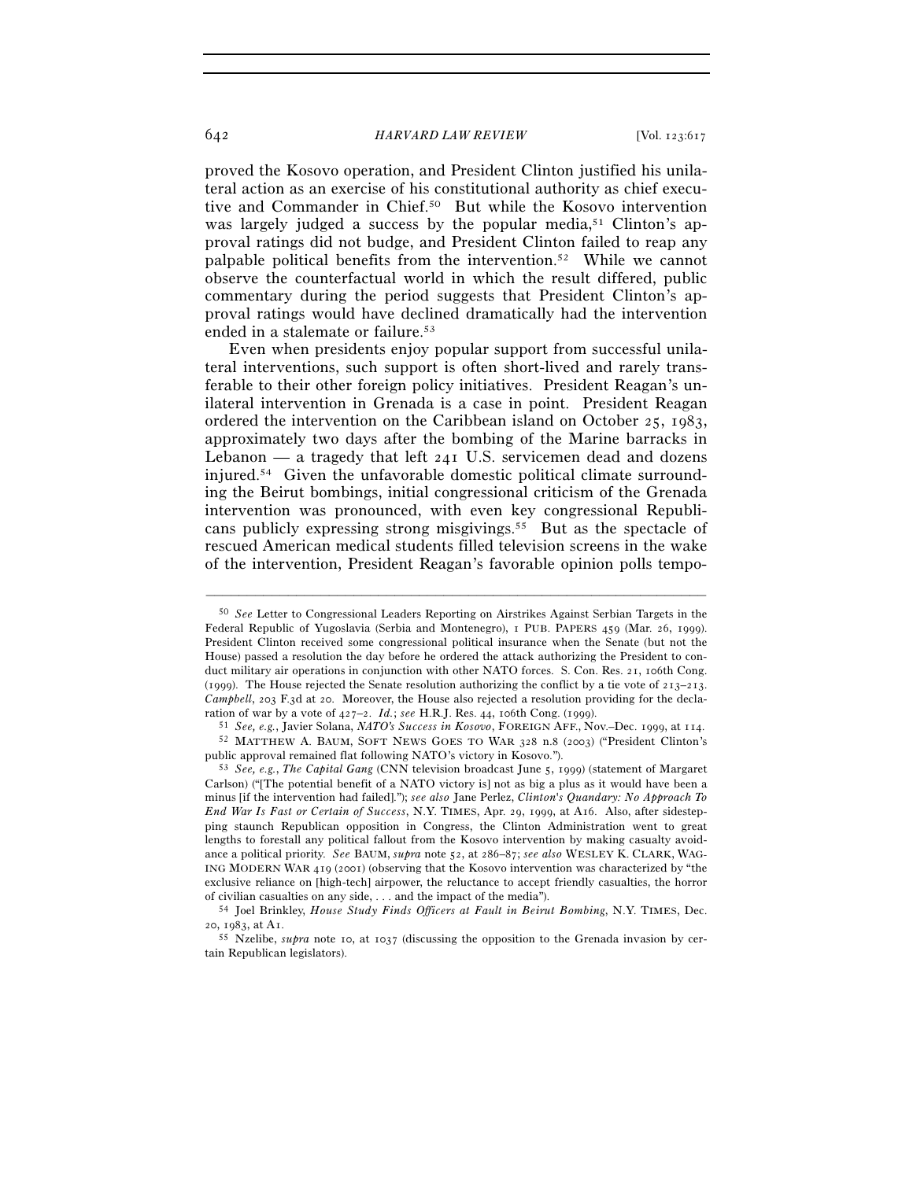proved the Kosovo operation, and President Clinton justified his unilateral action as an exercise of his constitutional authority as chief executive and Commander in Chief.50 But while the Kosovo intervention was largely judged a success by the popular media,<sup>51</sup> Clinton's approval ratings did not budge, and President Clinton failed to reap any palpable political benefits from the intervention.52 While we cannot observe the counterfactual world in which the result differed, public commentary during the period suggests that President Clinton's approval ratings would have declined dramatically had the intervention ended in a stalemate or failure.53

Even when presidents enjoy popular support from successful unilateral interventions, such support is often short-lived and rarely transferable to their other foreign policy initiatives. President Reagan's unilateral intervention in Grenada is a case in point. President Reagan ordered the intervention on the Caribbean island on October 25, 1983, approximately two days after the bombing of the Marine barracks in Lebanon — a tragedy that left 241 U.S. servicemen dead and dozens injured.54 Given the unfavorable domestic political climate surrounding the Beirut bombings, initial congressional criticism of the Grenada intervention was pronounced, with even key congressional Republicans publicly expressing strong misgivings.55 But as the spectacle of rescued American medical students filled television screens in the wake of the intervention, President Reagan's favorable opinion polls tempo-

<sup>50</sup> *See* Letter to Congressional Leaders Reporting on Airstrikes Against Serbian Targets in the Federal Republic of Yugoslavia (Serbia and Montenegro), 1 PUB. PAPERS 459 (Mar. 26, 1999). President Clinton received some congressional political insurance when the Senate (but not the House) passed a resolution the day before he ordered the attack authorizing the President to conduct military air operations in conjunction with other NATO forces. S. Con. Res. 21, 106th Cong. (1999). The House rejected the Senate resolution authorizing the conflict by a tie vote of  $213-213$ . *Campbell*, 203 F.3d at 20. Moreover, the House also rejected a resolution providing for the decla-<br>ration of war by a vote of  $427-2$ . *Id.*; see H.R.J. Res. 44, 106th Cong. (1999).

<sup>&</sup>lt;sup>51</sup> See, e.g., Javier Solana, *NATO's Success in Kosovo*, FOREIGN AFF., Nov.-Dec. 1999, at 114.<br><sup>52</sup> MATTHEW A. BAUM, SOFT NEWS GOES TO WAR 328 n.8 (2003) ("President Clinton's public approval remained flat following NATO

<sup>&</sup>lt;sup>53</sup> See, e.g., *The Capital Gang* (CNN television broadcast June 5, 1999) (statement of Margaret Carlson) ("[The potential benefit of a NATO victory is] not as big a plus as it would have been a minus [if the intervention had failed]."); *see also* Jane Perlez, *Clinton's Quandary: No Approach To End War Is Fast or Certain of Success*, N.Y. TIMES, Apr. 29, 1999, at A16. Also, after sidestepping staunch Republican opposition in Congress, the Clinton Administration went to great lengths to forestall any political fallout from the Kosovo intervention by making casualty avoidance a political priority. *See* BAUM, *supra* note 52, at 286–87; *see also* WESLEY K. CLARK, WAG-ING MODERN WAR 419 (2001) (observing that the Kosovo intervention was characterized by "the exclusive reliance on [high-tech] airpower, the reluctance to accept friendly casualties, the horror

of civilian casualties on any side, . . . and the impact of the media"). 54 Joel Brinkley, *House Study Finds Officers at Fault in Beirut Bombing*, N.Y. TIMES, Dec.

<sup>&</sup>lt;sup>55</sup> Nzelibe, *supra* note 10, at 1037 (discussing the opposition to the Grenada invasion by certain Republican legislators).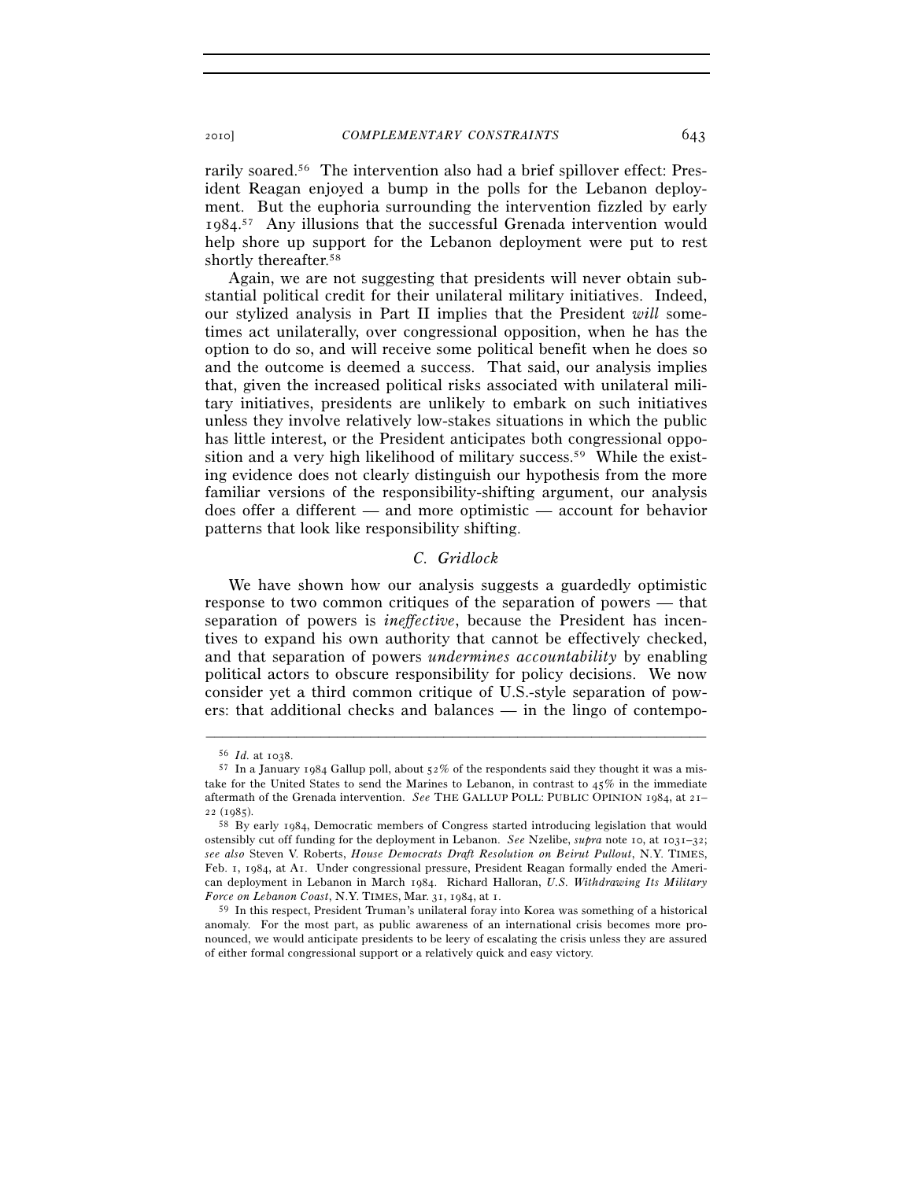rarily soared.56 The intervention also had a brief spillover effect: President Reagan enjoyed a bump in the polls for the Lebanon deployment. But the euphoria surrounding the intervention fizzled by early 1984. 57 Any illusions that the successful Grenada intervention would help shore up support for the Lebanon deployment were put to rest shortly thereafter.58

Again, we are not suggesting that presidents will never obtain substantial political credit for their unilateral military initiatives. Indeed, our stylized analysis in Part II implies that the President *will* sometimes act unilaterally, over congressional opposition, when he has the option to do so, and will receive some political benefit when he does so and the outcome is deemed a success. That said, our analysis implies that, given the increased political risks associated with unilateral military initiatives, presidents are unlikely to embark on such initiatives unless they involve relatively low-stakes situations in which the public has little interest, or the President anticipates both congressional opposition and a very high likelihood of military success.59 While the existing evidence does not clearly distinguish our hypothesis from the more familiar versions of the responsibility-shifting argument, our analysis does offer a different — and more optimistic — account for behavior patterns that look like responsibility shifting.

## *C. Gridlock*

We have shown how our analysis suggests a guardedly optimistic response to two common critiques of the separation of powers — that separation of powers is *ineffective*, because the President has incentives to expand his own authority that cannot be effectively checked, and that separation of powers *undermines accountability* by enabling political actors to obscure responsibility for policy decisions. We now consider yet a third common critique of U.S.-style separation of powers: that additional checks and balances — in the lingo of contempo-

 $^{56}$   $\emph{Id.}$  at 1038.  $^{57}$  In a January 1984 Gallup poll, about 52% of the respondents said they thought it was a mistake for the United States to send the Marines to Lebanon, in contrast to 45% in the immediate aftermath of the Grenada intervention. *See* THE GALLUP POLL: PUBLIC OPINION 1984, at 21– <sup>22</sup> (1985). 58 By early 1984, Democratic members of Congress started introducing legislation that would

ostensibly cut off funding for the deployment in Lebanon. *See* Nzelibe, *supra* note 10, at 1031–32; *see also* Steven V. Roberts, *House Democrats Draft Resolution on Beirut Pullout*, N.Y. TIMES, Feb. 1, 1984, at A1. Under congressional pressure, President Reagan formally ended the American deployment in Lebanon in March 1984. Richard Halloran, *U.S. Withdrawing Its Military Force on Lebanon Coast*, N.Y. TIMES, Mar. <sup>31</sup>, <sup>1984</sup>, at 1. 59 In this respect, President Truman's unilateral foray into Korea was something of a historical

anomaly. For the most part, as public awareness of an international crisis becomes more pronounced, we would anticipate presidents to be leery of escalating the crisis unless they are assured of either formal congressional support or a relatively quick and easy victory.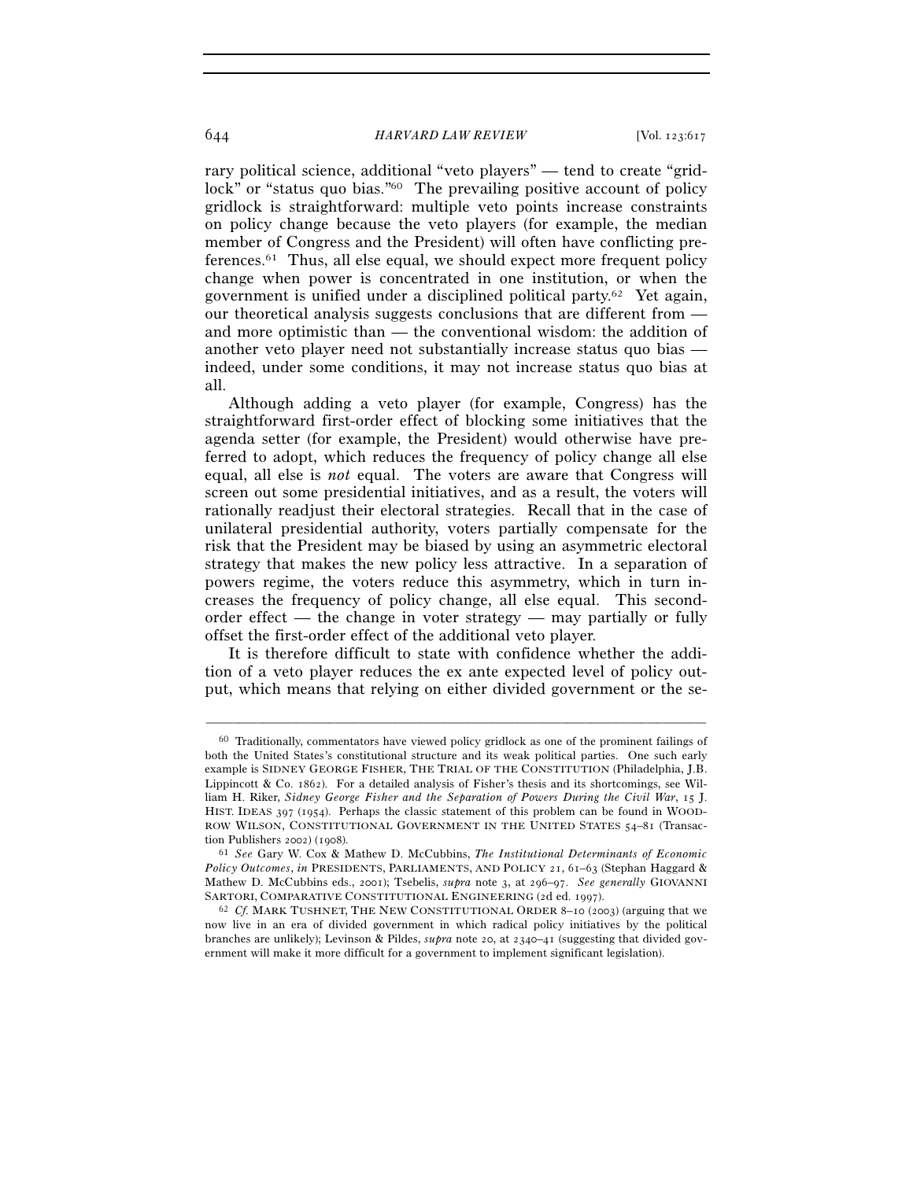rary political science, additional "veto players" — tend to create "gridlock" or "status quo bias."<sup>60</sup> The prevailing positive account of policy gridlock is straightforward: multiple veto points increase constraints on policy change because the veto players (for example, the median member of Congress and the President) will often have conflicting preferences.61 Thus, all else equal, we should expect more frequent policy change when power is concentrated in one institution, or when the government is unified under a disciplined political party.62 Yet again, our theoretical analysis suggests conclusions that are different from and more optimistic than — the conventional wisdom: the addition of another veto player need not substantially increase status quo bias indeed, under some conditions, it may not increase status quo bias at all.

Although adding a veto player (for example, Congress) has the straightforward first-order effect of blocking some initiatives that the agenda setter (for example, the President) would otherwise have preferred to adopt, which reduces the frequency of policy change all else equal, all else is *not* equal. The voters are aware that Congress will screen out some presidential initiatives, and as a result, the voters will rationally readjust their electoral strategies. Recall that in the case of unilateral presidential authority, voters partially compensate for the risk that the President may be biased by using an asymmetric electoral strategy that makes the new policy less attractive. In a separation of powers regime, the voters reduce this asymmetry, which in turn increases the frequency of policy change, all else equal. This secondorder effect — the change in voter strategy — may partially or fully offset the first-order effect of the additional veto player.

It is therefore difficult to state with confidence whether the addition of a veto player reduces the ex ante expected level of policy output, which means that relying on either divided government or the se-

<sup>60</sup> Traditionally, commentators have viewed policy gridlock as one of the prominent failings of both the United States's constitutional structure and its weak political parties. One such early example is SIDNEY GEORGE FISHER, THE TRIAL OF THE CONSTITUTION (Philadelphia, J.B. Lippincott & Co. 1862). For a detailed analysis of Fisher's thesis and its shortcomings, see William H. Riker, *Sidney George Fisher and the Separation of Powers During the Civil War*, 15 J. HIST. IDEAS 397 (1954). Perhaps the classic statement of this problem can be found in WOOD-ROW WILSON, CONSTITUTIONAL GOVERNMENT IN THE UNITED STATES 54-81 (Transaction Publishers 2002) (1908). 61 *See* Gary W. Cox & Mathew D. McCubbins, *The Institutional Determinants of Economic* 

*Policy Outcomes*, *in* PRESIDENTS, PARLIAMENTS, AND POLICY 21, 61–63 (Stephan Haggard & Mathew D. McCubbins eds., 2001); Tsebelis, *supra* note 3, at 296–97. *See generally* GIOVANNI

SARTORI, COMPARATIVE CONSTITUTIONAL ENGINEERING (2d ed. 1997). 62 *Cf.* MARK TUSHNET, THE NEW CONSTITUTIONAL ORDER <sup>8</sup>–10 (2003) (arguing that we now live in an era of divided government in which radical policy initiatives by the political branches are unlikely); Levinson & Pildes, *supra* note 20, at 2340–41 (suggesting that divided government will make it more difficult for a government to implement significant legislation).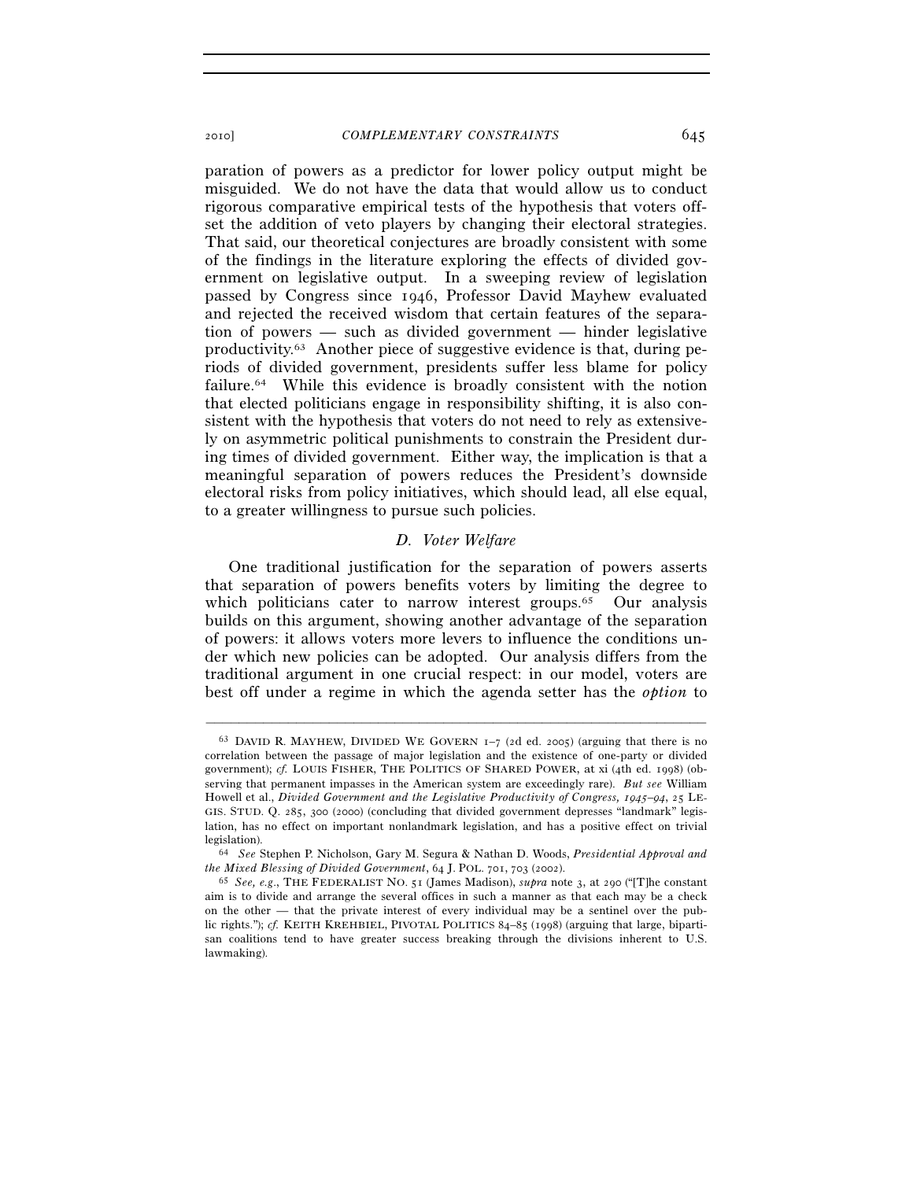paration of powers as a predictor for lower policy output might be misguided. We do not have the data that would allow us to conduct rigorous comparative empirical tests of the hypothesis that voters offset the addition of veto players by changing their electoral strategies. That said, our theoretical conjectures are broadly consistent with some of the findings in the literature exploring the effects of divided government on legislative output. In a sweeping review of legislation passed by Congress since 1946, Professor David Mayhew evaluated and rejected the received wisdom that certain features of the separation of powers — such as divided government — hinder legislative productivity.<sup>63</sup> Another piece of suggestive evidence is that, during periods of divided government, presidents suffer less blame for policy failure.<sup>64</sup> While this evidence is broadly consistent with the notion that elected politicians engage in responsibility shifting, it is also consistent with the hypothesis that voters do not need to rely as extensively on asymmetric political punishments to constrain the President during times of divided government. Either way, the implication is that a meaningful separation of powers reduces the President's downside electoral risks from policy initiatives, which should lead, all else equal, to a greater willingness to pursue such policies.

### *D. Voter Welfare*

One traditional justification for the separation of powers asserts that separation of powers benefits voters by limiting the degree to which politicians cater to narrow interest groups.<sup>65</sup> Our analysis builds on this argument, showing another advantage of the separation of powers: it allows voters more levers to influence the conditions under which new policies can be adopted. Our analysis differs from the traditional argument in one crucial respect: in our model, voters are best off under a regime in which the agenda setter has the *option* to

<sup>63</sup> DAVID R. MAYHEW, DIVIDED WE GOVERN 1–7 (2d ed. 2005) (arguing that there is no correlation between the passage of major legislation and the existence of one-party or divided government); *cf.* LOUIS FISHER, THE POLITICS OF SHARED POWER, at xi (4th ed. 1998) (observing that permanent impasses in the American system are exceedingly rare). *But see* William Howell et al., *Divided Government and the Legislative Productivity of Congress, 1945*–*94*, 25 LE-GIS. STUD. Q. 285, 300 (2000) (concluding that divided government depresses "landmark" legislation, has no effect on important nonlandmark legislation, and has a positive effect on trivial legislation). 64 *See* Stephen P. Nicholson, Gary M. Segura & Nathan D. Woods, *Presidential Approval and* 

*the Mixed Blessing of Divided Government*, 64 J. POL. <sup>701</sup>, <sup>703</sup> (2002). 65 *See, e.g*., THE FEDERALIST NO. <sup>51</sup> (James Madison), *supra* note 3, at 290 ("[T]he constant

aim is to divide and arrange the several offices in such a manner as that each may be a check on the other — that the private interest of every individual may be a sentinel over the public rights."); *cf.* KEITH KREHBIEL, PIVOTAL POLITICS 84-85 (1998) (arguing that large, bipartisan coalitions tend to have greater success breaking through the divisions inherent to U.S. lawmaking).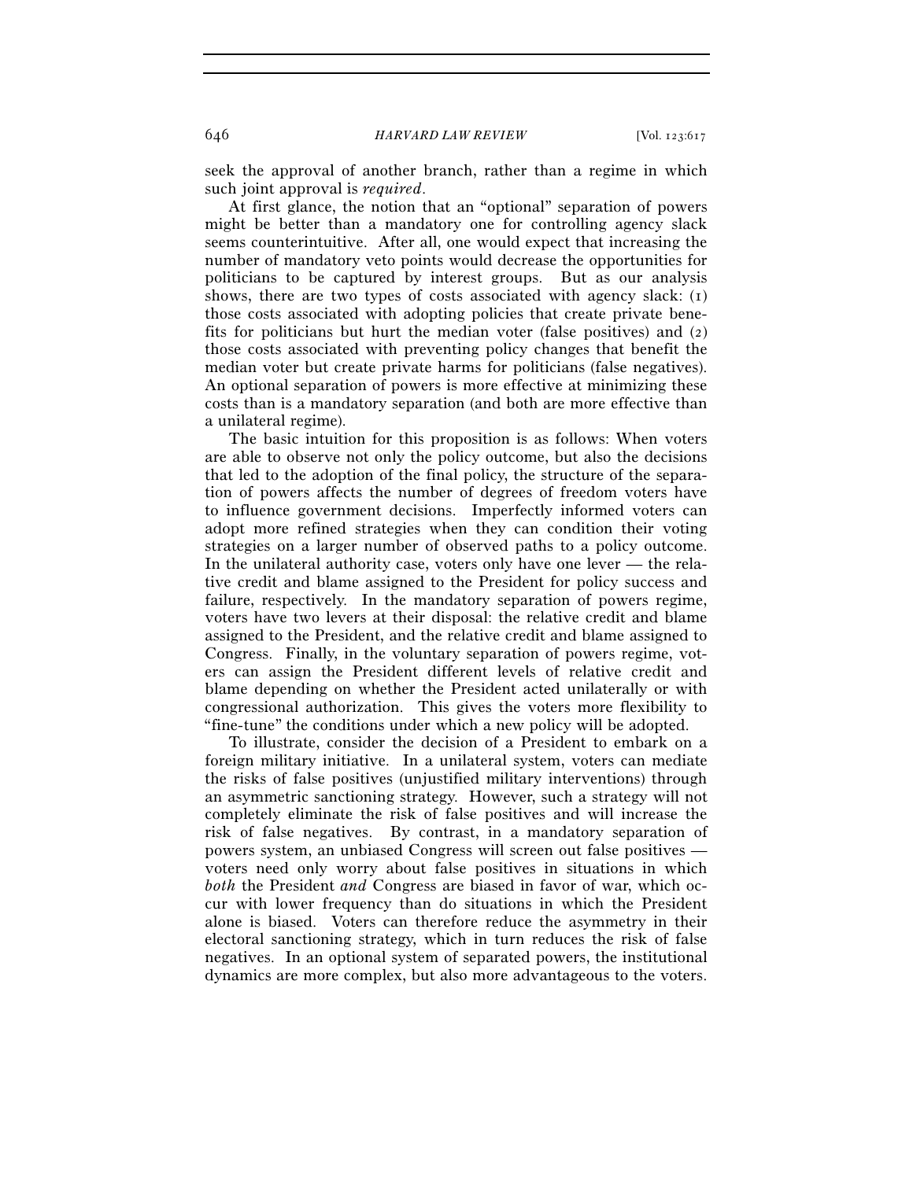seek the approval of another branch, rather than a regime in which such joint approval is *required*.

At first glance, the notion that an "optional" separation of powers might be better than a mandatory one for controlling agency slack seems counterintuitive. After all, one would expect that increasing the number of mandatory veto points would decrease the opportunities for politicians to be captured by interest groups. But as our analysis shows, there are two types of costs associated with agency slack: (1) those costs associated with adopting policies that create private benefits for politicians but hurt the median voter (false positives) and (2) those costs associated with preventing policy changes that benefit the median voter but create private harms for politicians (false negatives). An optional separation of powers is more effective at minimizing these costs than is a mandatory separation (and both are more effective than a unilateral regime).

The basic intuition for this proposition is as follows: When voters are able to observe not only the policy outcome, but also the decisions that led to the adoption of the final policy, the structure of the separation of powers affects the number of degrees of freedom voters have to influence government decisions. Imperfectly informed voters can adopt more refined strategies when they can condition their voting strategies on a larger number of observed paths to a policy outcome. In the unilateral authority case, voters only have one lever — the relative credit and blame assigned to the President for policy success and failure, respectively. In the mandatory separation of powers regime, voters have two levers at their disposal: the relative credit and blame assigned to the President, and the relative credit and blame assigned to Congress. Finally, in the voluntary separation of powers regime, voters can assign the President different levels of relative credit and blame depending on whether the President acted unilaterally or with congressional authorization. This gives the voters more flexibility to "fine-tune" the conditions under which a new policy will be adopted.

To illustrate, consider the decision of a President to embark on a foreign military initiative. In a unilateral system, voters can mediate the risks of false positives (unjustified military interventions) through an asymmetric sanctioning strategy. However, such a strategy will not completely eliminate the risk of false positives and will increase the risk of false negatives. By contrast, in a mandatory separation of powers system, an unbiased Congress will screen out false positives voters need only worry about false positives in situations in which *both* the President *and* Congress are biased in favor of war, which occur with lower frequency than do situations in which the President alone is biased. Voters can therefore reduce the asymmetry in their electoral sanctioning strategy, which in turn reduces the risk of false negatives. In an optional system of separated powers, the institutional dynamics are more complex, but also more advantageous to the voters.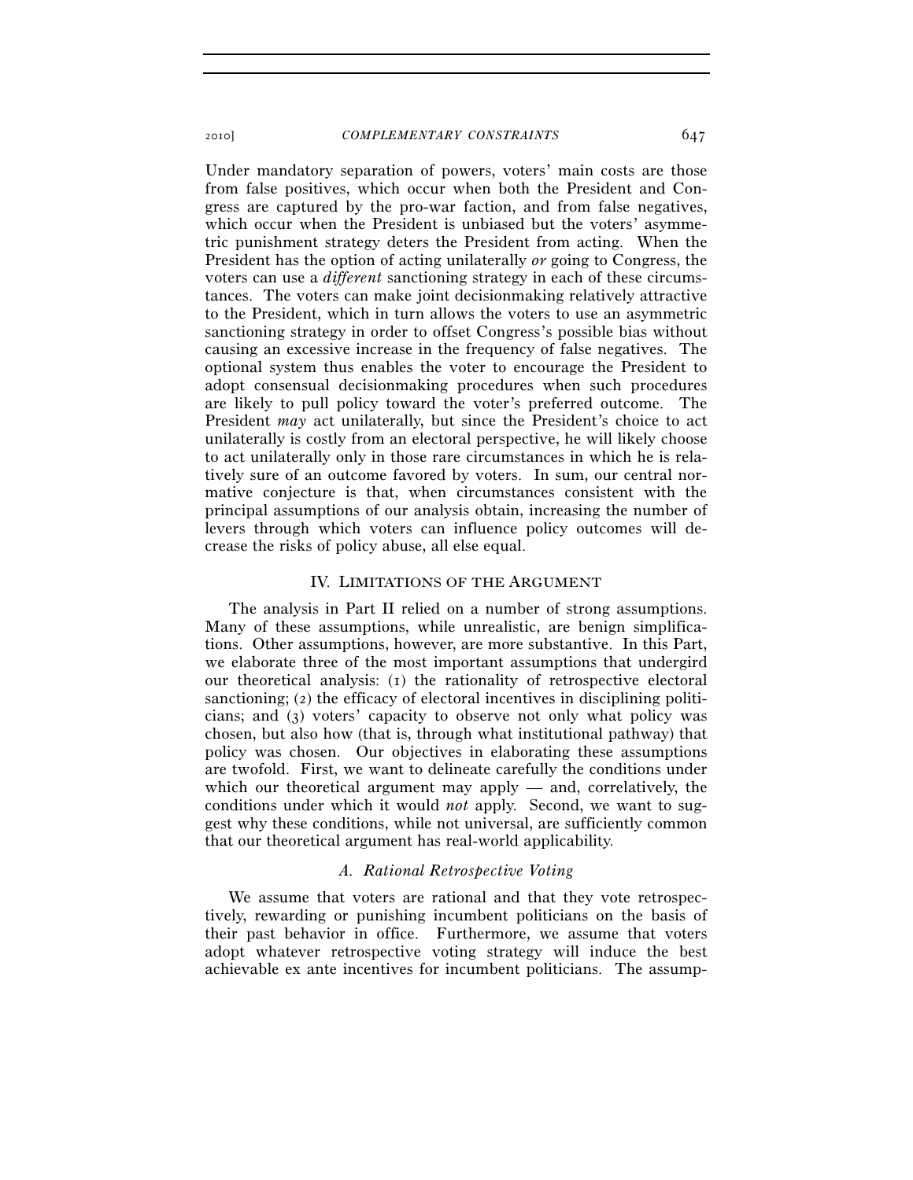Under mandatory separation of powers, voters' main costs are those from false positives, which occur when both the President and Congress are captured by the pro-war faction, and from false negatives, which occur when the President is unbiased but the voters' asymmetric punishment strategy deters the President from acting. When the President has the option of acting unilaterally *or* going to Congress, the voters can use a *different* sanctioning strategy in each of these circumstances. The voters can make joint decisionmaking relatively attractive to the President, which in turn allows the voters to use an asymmetric sanctioning strategy in order to offset Congress's possible bias without causing an excessive increase in the frequency of false negatives. The optional system thus enables the voter to encourage the President to adopt consensual decisionmaking procedures when such procedures are likely to pull policy toward the voter's preferred outcome. The President *may* act unilaterally, but since the President's choice to act unilaterally is costly from an electoral perspective, he will likely choose to act unilaterally only in those rare circumstances in which he is relatively sure of an outcome favored by voters. In sum, our central normative conjecture is that, when circumstances consistent with the principal assumptions of our analysis obtain, increasing the number of levers through which voters can influence policy outcomes will decrease the risks of policy abuse, all else equal.

#### IV. LIMITATIONS OF THE ARGUMENT

The analysis in Part II relied on a number of strong assumptions. Many of these assumptions, while unrealistic, are benign simplifications. Other assumptions, however, are more substantive. In this Part, we elaborate three of the most important assumptions that undergird our theoretical analysis: (1) the rationality of retrospective electoral sanctioning; (2) the efficacy of electoral incentives in disciplining politicians; and (3) voters' capacity to observe not only what policy was chosen, but also how (that is, through what institutional pathway) that policy was chosen. Our objectives in elaborating these assumptions are twofold. First, we want to delineate carefully the conditions under which our theoretical argument may apply — and, correlatively, the conditions under which it would *not* apply. Second, we want to suggest why these conditions, while not universal, are sufficiently common that our theoretical argument has real-world applicability.

#### *A. Rational Retrospective Voting*

We assume that voters are rational and that they vote retrospectively, rewarding or punishing incumbent politicians on the basis of their past behavior in office. Furthermore, we assume that voters adopt whatever retrospective voting strategy will induce the best achievable ex ante incentives for incumbent politicians. The assump-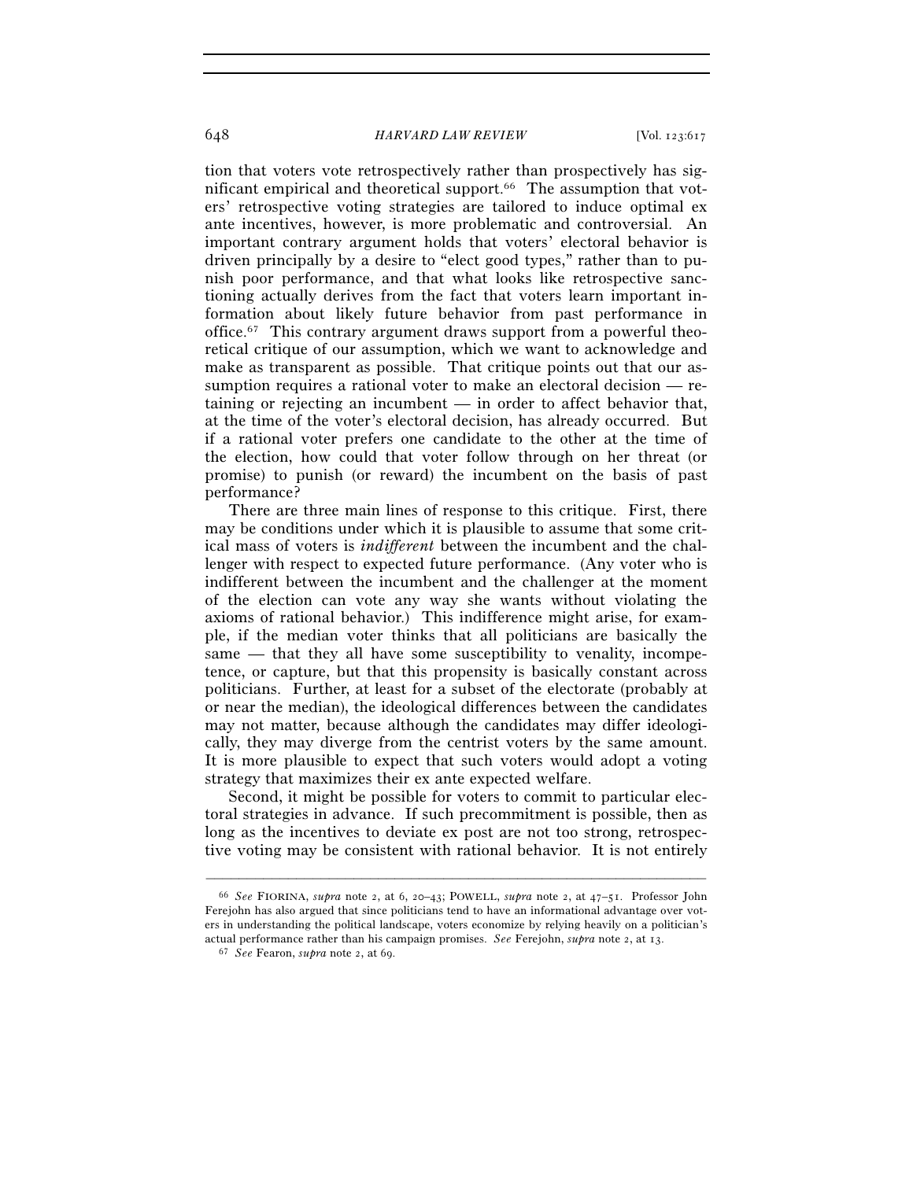tion that voters vote retrospectively rather than prospectively has significant empirical and theoretical support.66 The assumption that voters' retrospective voting strategies are tailored to induce optimal ex ante incentives, however, is more problematic and controversial. An important contrary argument holds that voters' electoral behavior is driven principally by a desire to "elect good types," rather than to punish poor performance, and that what looks like retrospective sanctioning actually derives from the fact that voters learn important information about likely future behavior from past performance in office.67 This contrary argument draws support from a powerful theoretical critique of our assumption, which we want to acknowledge and make as transparent as possible. That critique points out that our assumption requires a rational voter to make an electoral decision — retaining or rejecting an incumbent — in order to affect behavior that, at the time of the voter's electoral decision, has already occurred. But if a rational voter prefers one candidate to the other at the time of the election, how could that voter follow through on her threat (or promise) to punish (or reward) the incumbent on the basis of past performance?

There are three main lines of response to this critique. First, there may be conditions under which it is plausible to assume that some critical mass of voters is *indifferent* between the incumbent and the challenger with respect to expected future performance. (Any voter who is indifferent between the incumbent and the challenger at the moment of the election can vote any way she wants without violating the axioms of rational behavior.) This indifference might arise, for example, if the median voter thinks that all politicians are basically the same — that they all have some susceptibility to venality, incompetence, or capture, but that this propensity is basically constant across politicians. Further, at least for a subset of the electorate (probably at or near the median), the ideological differences between the candidates may not matter, because although the candidates may differ ideologically, they may diverge from the centrist voters by the same amount. It is more plausible to expect that such voters would adopt a voting strategy that maximizes their ex ante expected welfare.

Second, it might be possible for voters to commit to particular electoral strategies in advance. If such precommitment is possible, then as long as the incentives to deviate ex post are not too strong, retrospective voting may be consistent with rational behavior. It is not entirely

<sup>66</sup> *See* FIORINA, *supra* note 2, at 6, 20–43; POWELL, *supra* note 2, at 47–51. Professor John Ferejohn has also argued that since politicians tend to have an informational advantage over voters in understanding the political landscape, voters economize by relying heavily on a politician's actual performance rather than his campaign promises. *See* Ferejohn, *supra* note 2, at 13. 67 *See* Fearon, *supra* note 2, at 69.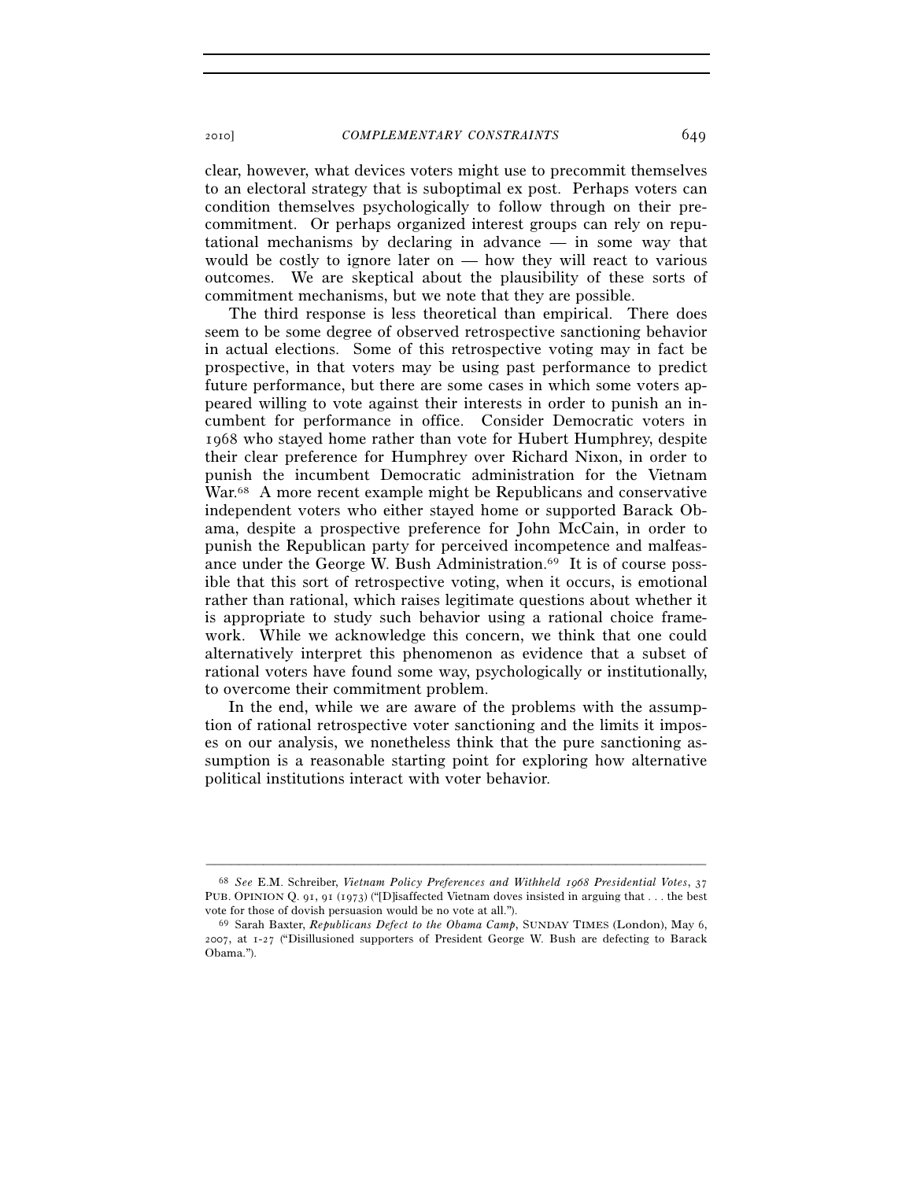clear, however, what devices voters might use to precommit themselves to an electoral strategy that is suboptimal ex post. Perhaps voters can condition themselves psychologically to follow through on their precommitment. Or perhaps organized interest groups can rely on reputational mechanisms by declaring in advance — in some way that would be costly to ignore later on — how they will react to various outcomes. We are skeptical about the plausibility of these sorts of commitment mechanisms, but we note that they are possible.

The third response is less theoretical than empirical. There does seem to be some degree of observed retrospective sanctioning behavior in actual elections. Some of this retrospective voting may in fact be prospective, in that voters may be using past performance to predict future performance, but there are some cases in which some voters appeared willing to vote against their interests in order to punish an incumbent for performance in office. Consider Democratic voters in 1968 who stayed home rather than vote for Hubert Humphrey, despite their clear preference for Humphrey over Richard Nixon, in order to punish the incumbent Democratic administration for the Vietnam War.<sup>68</sup> A more recent example might be Republicans and conservative independent voters who either stayed home or supported Barack Obama, despite a prospective preference for John McCain, in order to punish the Republican party for perceived incompetence and malfeasance under the George W. Bush Administration.69 It is of course possible that this sort of retrospective voting, when it occurs, is emotional rather than rational, which raises legitimate questions about whether it is appropriate to study such behavior using a rational choice framework. While we acknowledge this concern, we think that one could alternatively interpret this phenomenon as evidence that a subset of rational voters have found some way, psychologically or institutionally, to overcome their commitment problem.

In the end, while we are aware of the problems with the assumption of rational retrospective voter sanctioning and the limits it imposes on our analysis, we nonetheless think that the pure sanctioning assumption is a reasonable starting point for exploring how alternative political institutions interact with voter behavior.

<sup>68</sup> *See* E.M. Schreiber, *Vietnam Policy Preferences and Withheld 1968 Presidential Votes*, 37 PUB. OPINION Q. 91, 91 (1973) ("D isaffected Vietnam doves insisted in arguing that ... the best vote for those of dovish persuasion would be no vote at all.").<br><sup>69</sup> Sarah Baxter, *Republicans Defect to the Obama Camp*, SUNDAY TIMES (London), May 6,

<sup>2007</sup>, at 1-27 ("Disillusioned supporters of President George W. Bush are defecting to Barack Obama.").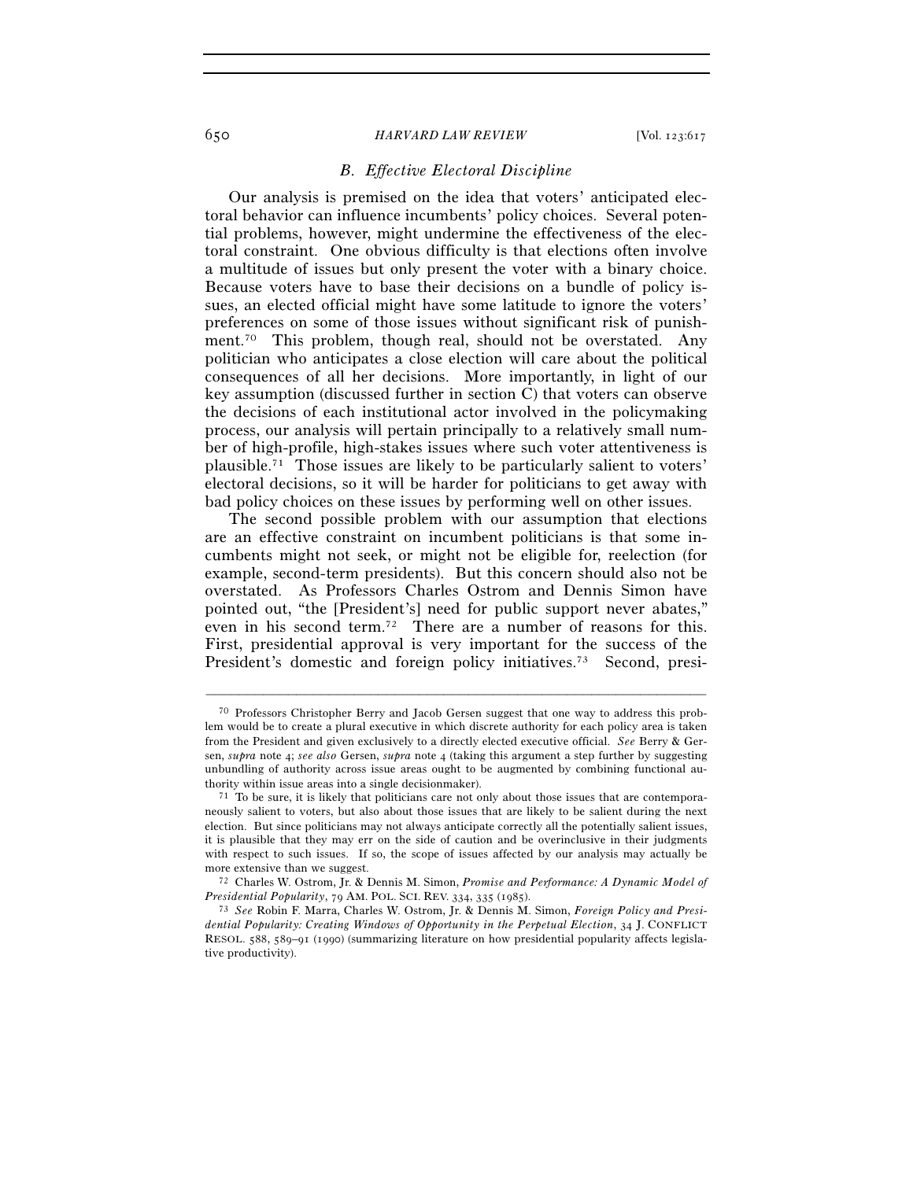## *B. Effective Electoral Discipline*

Our analysis is premised on the idea that voters' anticipated electoral behavior can influence incumbents' policy choices. Several potential problems, however, might undermine the effectiveness of the electoral constraint. One obvious difficulty is that elections often involve a multitude of issues but only present the voter with a binary choice. Because voters have to base their decisions on a bundle of policy issues, an elected official might have some latitude to ignore the voters' preferences on some of those issues without significant risk of punishment.70 This problem, though real, should not be overstated. Any politician who anticipates a close election will care about the political consequences of all her decisions. More importantly, in light of our key assumption (discussed further in section C) that voters can observe the decisions of each institutional actor involved in the policymaking process, our analysis will pertain principally to a relatively small number of high-profile, high-stakes issues where such voter attentiveness is plausible.71 Those issues are likely to be particularly salient to voters' electoral decisions, so it will be harder for politicians to get away with bad policy choices on these issues by performing well on other issues.

The second possible problem with our assumption that elections are an effective constraint on incumbent politicians is that some incumbents might not seek, or might not be eligible for, reelection (for example, second-term presidents). But this concern should also not be overstated. As Professors Charles Ostrom and Dennis Simon have pointed out, "the [President's] need for public support never abates," even in his second term.<sup>72</sup> There are a number of reasons for this. First, presidential approval is very important for the success of the President's domestic and foreign policy initiatives.<sup>73</sup> Second, presi-

<sup>70</sup> Professors Christopher Berry and Jacob Gersen suggest that one way to address this problem would be to create a plural executive in which discrete authority for each policy area is taken from the President and given exclusively to a directly elected executive official. *See* Berry & Gersen, *supra* note 4; *see also* Gersen, *supra* note 4 (taking this argument a step further by suggesting unbundling of authority across issue areas ought to be augmented by combining functional authority within issue areas into a single decisionmaker).<br><sup>71</sup> To be sure, it is likely that politicians care not only about those issues that are contempora-

neously salient to voters, but also about those issues that are likely to be salient during the next election. But since politicians may not always anticipate correctly all the potentially salient issues, it is plausible that they may err on the side of caution and be overinclusive in their judgments with respect to such issues. If so, the scope of issues affected by our analysis may actually be more extensive than we suggest.<br><sup>72</sup> Charles W. Ostrom, Jr. & Dennis M. Simon, *Promise and Performance: A Dynamic Model of* 

*Presidential Popularity*, 79 AM. POL. SCI. REV. <sup>334</sup>, 335 (1985). 73 *See* Robin F. Marra, Charles W. Ostrom, Jr. & Dennis M. Simon, *Foreign Policy and Presidential Popularity: Creating Windows of Opportunity in the Perpetual Election*, 34 J. CONFLICT RESOL. 588, 589–91 (1990) (summarizing literature on how presidential popularity affects legislative productivity).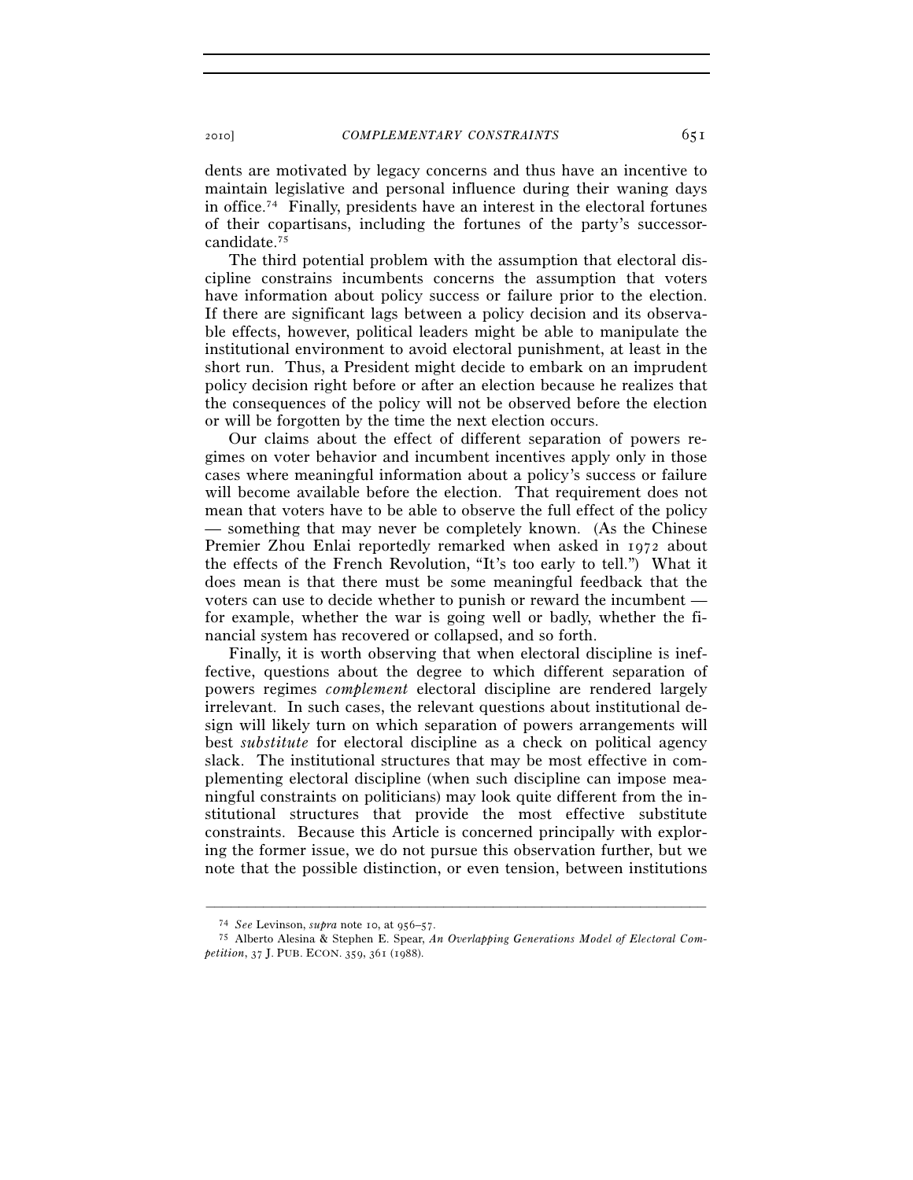dents are motivated by legacy concerns and thus have an incentive to maintain legislative and personal influence during their waning days in office.74 Finally, presidents have an interest in the electoral fortunes of their copartisans, including the fortunes of the party's successorcandidate.75

The third potential problem with the assumption that electoral discipline constrains incumbents concerns the assumption that voters have information about policy success or failure prior to the election. If there are significant lags between a policy decision and its observable effects, however, political leaders might be able to manipulate the institutional environment to avoid electoral punishment, at least in the short run. Thus, a President might decide to embark on an imprudent policy decision right before or after an election because he realizes that the consequences of the policy will not be observed before the election or will be forgotten by the time the next election occurs.

Our claims about the effect of different separation of powers regimes on voter behavior and incumbent incentives apply only in those cases where meaningful information about a policy's success or failure will become available before the election. That requirement does not mean that voters have to be able to observe the full effect of the policy — something that may never be completely known. (As the Chinese Premier Zhou Enlai reportedly remarked when asked in 1972 about the effects of the French Revolution, "It's too early to tell.") What it does mean is that there must be some meaningful feedback that the voters can use to decide whether to punish or reward the incumbent for example, whether the war is going well or badly, whether the financial system has recovered or collapsed, and so forth.

Finally, it is worth observing that when electoral discipline is ineffective, questions about the degree to which different separation of powers regimes *complement* electoral discipline are rendered largely irrelevant. In such cases, the relevant questions about institutional design will likely turn on which separation of powers arrangements will best *substitute* for electoral discipline as a check on political agency slack. The institutional structures that may be most effective in complementing electoral discipline (when such discipline can impose meaningful constraints on politicians) may look quite different from the institutional structures that provide the most effective substitute constraints. Because this Article is concerned principally with exploring the former issue, we do not pursue this observation further, but we note that the possible distinction, or even tension, between institutions

<sup>74</sup> *See* Levinson, *supra* note 10, at 956–57. 75 Alberto Alesina & Stephen E. Spear, *An Overlapping Generations Model of Electoral Competition*, 37 J. PUB. ECON. 359, 361 (1988).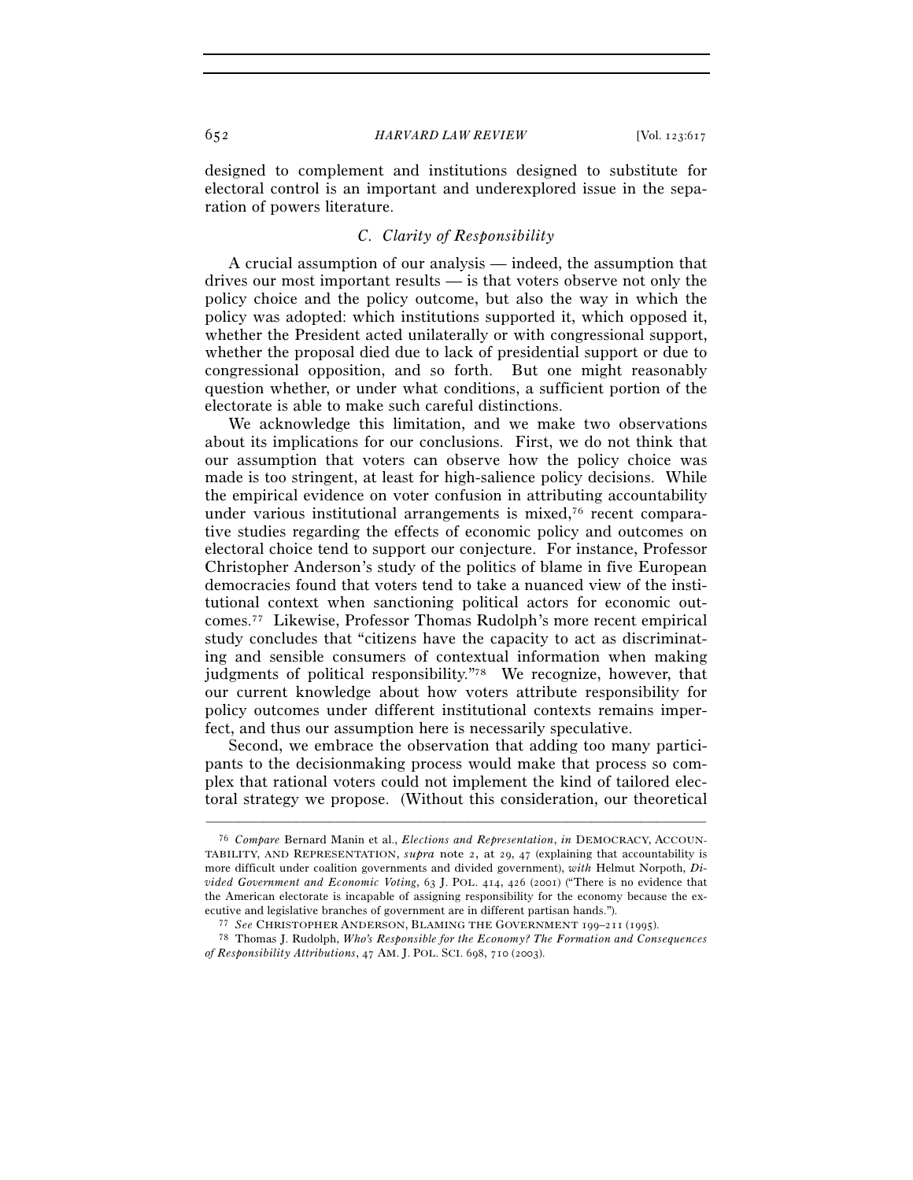designed to complement and institutions designed to substitute for electoral control is an important and underexplored issue in the separation of powers literature.

## *C. Clarity of Responsibility*

A crucial assumption of our analysis — indeed, the assumption that drives our most important results — is that voters observe not only the policy choice and the policy outcome, but also the way in which the policy was adopted: which institutions supported it, which opposed it, whether the President acted unilaterally or with congressional support, whether the proposal died due to lack of presidential support or due to congressional opposition, and so forth. But one might reasonably question whether, or under what conditions, a sufficient portion of the electorate is able to make such careful distinctions.

We acknowledge this limitation, and we make two observations about its implications for our conclusions. First, we do not think that our assumption that voters can observe how the policy choice was made is too stringent, at least for high-salience policy decisions. While the empirical evidence on voter confusion in attributing accountability under various institutional arrangements is mixed,<sup>76</sup> recent comparative studies regarding the effects of economic policy and outcomes on electoral choice tend to support our conjecture. For instance, Professor Christopher Anderson's study of the politics of blame in five European democracies found that voters tend to take a nuanced view of the institutional context when sanctioning political actors for economic outcomes.77 Likewise, Professor Thomas Rudolph's more recent empirical study concludes that "citizens have the capacity to act as discriminating and sensible consumers of contextual information when making judgments of political responsibility."78 We recognize, however, that our current knowledge about how voters attribute responsibility for policy outcomes under different institutional contexts remains imperfect, and thus our assumption here is necessarily speculative.

Second, we embrace the observation that adding too many participants to the decisionmaking process would make that process so complex that rational voters could not implement the kind of tailored electoral strategy we propose. (Without this consideration, our theoretical

<sup>76</sup> *Compare* Bernard Manin et al., *Elections and Representation*, *in* DEMOCRACY, ACCOUN-TABILITY, AND REPRESENTATION, *supra* note 2, at 29, 47 (explaining that accountability is more difficult under coalition governments and divided government), *with* Helmut Norpoth, *Divided Government and Economic Voting*, 63 J. POL. 414, 426 (2001) ("There is no evidence that the American electorate is incapable of assigning responsibility for the economy because the ex-

<sup>%</sup> ecutive and legislative branches of government are in different partisan hands.").<br>The CHRISTOPHER ANDERSON, BLAMING THE GOVERNMENT 199–211 (1995).<br>The Thomas J. Rudolph, Who's Responsible for the Economy? The Formation *of Responsibility Attributions*, 47 AM. J. POL. SCI. 698, 710 (2003).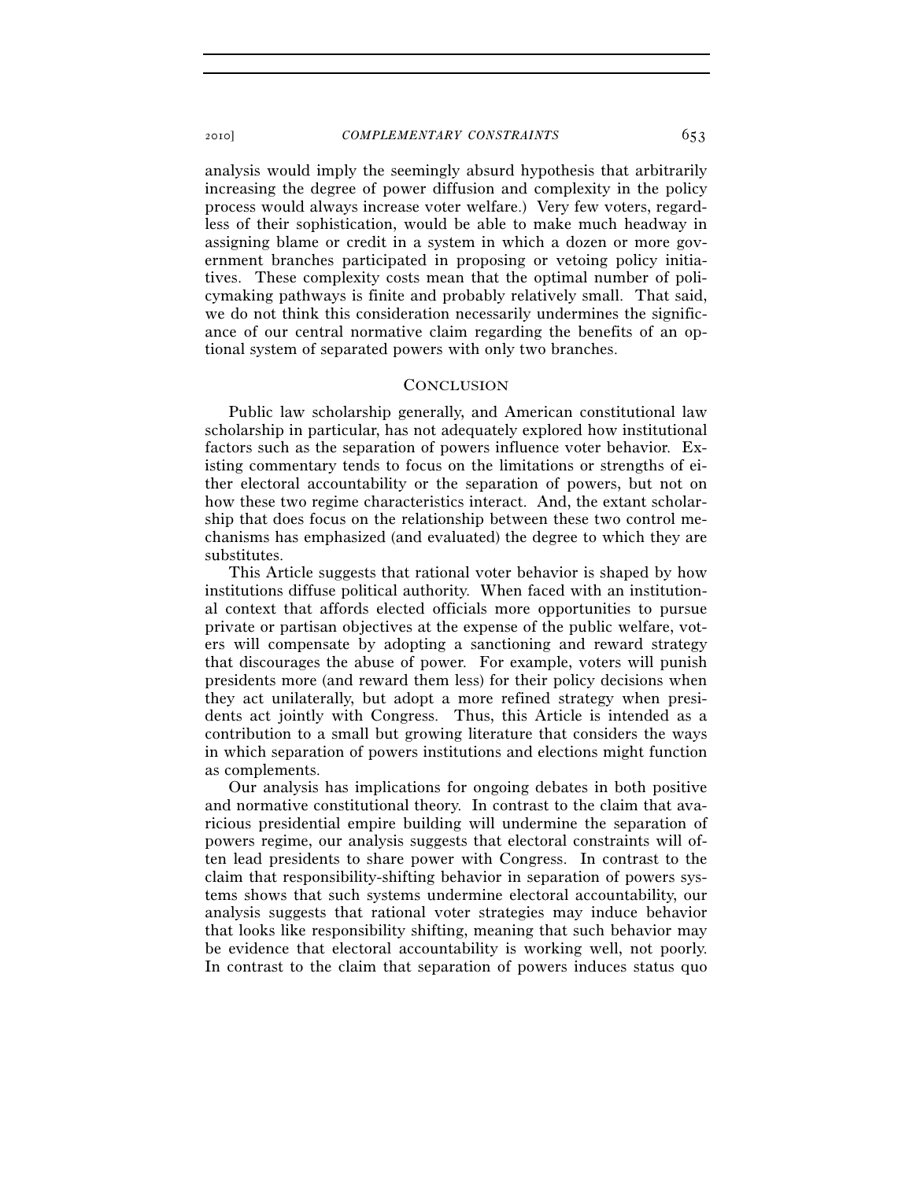analysis would imply the seemingly absurd hypothesis that arbitrarily increasing the degree of power diffusion and complexity in the policy process would always increase voter welfare.) Very few voters, regardless of their sophistication, would be able to make much headway in assigning blame or credit in a system in which a dozen or more government branches participated in proposing or vetoing policy initiatives. These complexity costs mean that the optimal number of policymaking pathways is finite and probably relatively small. That said, we do not think this consideration necessarily undermines the significance of our central normative claim regarding the benefits of an optional system of separated powers with only two branches.

### **CONCLUSION**

Public law scholarship generally, and American constitutional law scholarship in particular, has not adequately explored how institutional factors such as the separation of powers influence voter behavior. Existing commentary tends to focus on the limitations or strengths of either electoral accountability or the separation of powers, but not on how these two regime characteristics interact. And, the extant scholarship that does focus on the relationship between these two control mechanisms has emphasized (and evaluated) the degree to which they are substitutes.

This Article suggests that rational voter behavior is shaped by how institutions diffuse political authority. When faced with an institutional context that affords elected officials more opportunities to pursue private or partisan objectives at the expense of the public welfare, voters will compensate by adopting a sanctioning and reward strategy that discourages the abuse of power. For example, voters will punish presidents more (and reward them less) for their policy decisions when they act unilaterally, but adopt a more refined strategy when presidents act jointly with Congress. Thus, this Article is intended as a contribution to a small but growing literature that considers the ways in which separation of powers institutions and elections might function as complements.

Our analysis has implications for ongoing debates in both positive and normative constitutional theory. In contrast to the claim that avaricious presidential empire building will undermine the separation of powers regime, our analysis suggests that electoral constraints will often lead presidents to share power with Congress. In contrast to the claim that responsibility-shifting behavior in separation of powers systems shows that such systems undermine electoral accountability, our analysis suggests that rational voter strategies may induce behavior that looks like responsibility shifting, meaning that such behavior may be evidence that electoral accountability is working well, not poorly. In contrast to the claim that separation of powers induces status quo